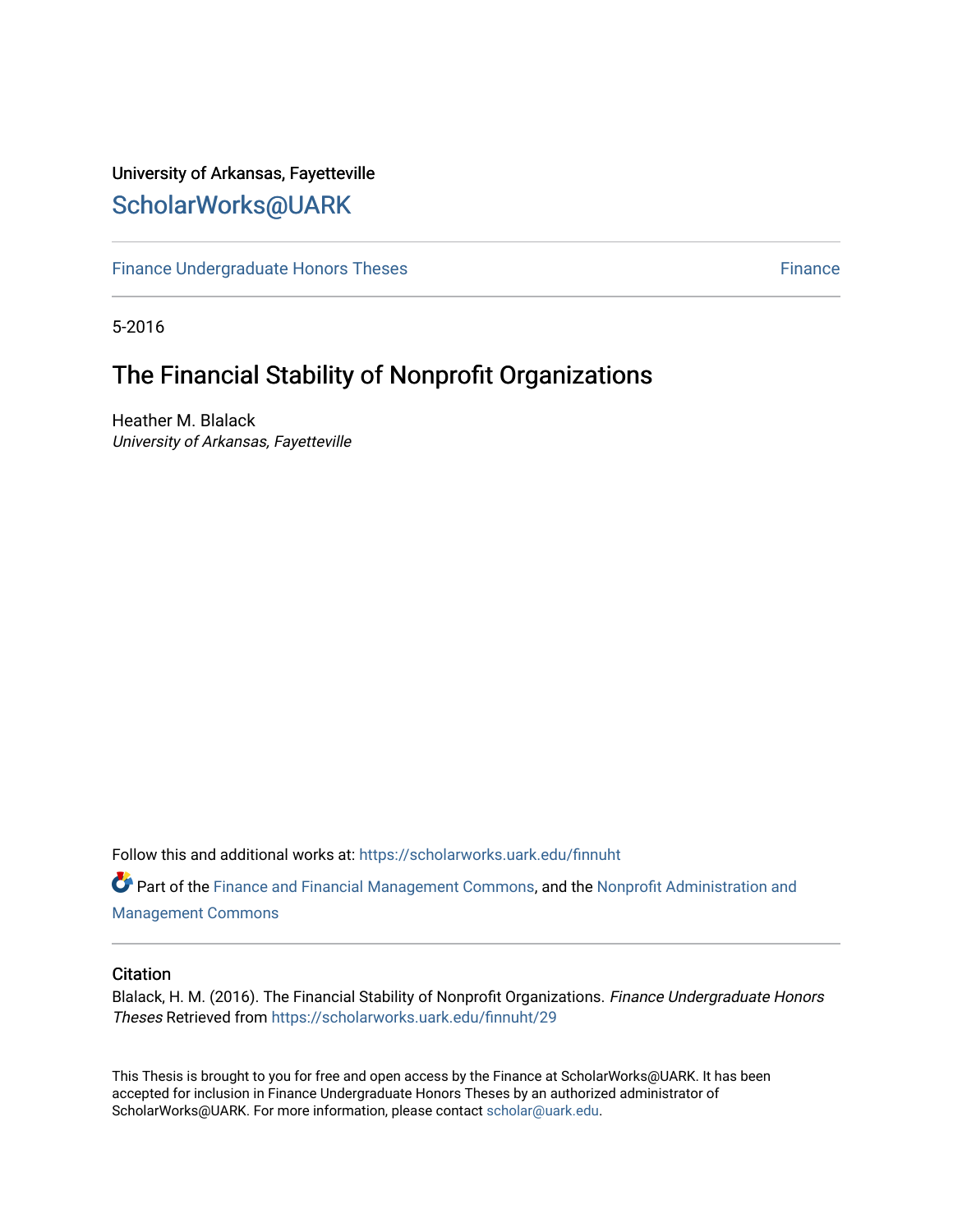## University of Arkansas, Fayetteville [ScholarWorks@UARK](https://scholarworks.uark.edu/)

[Finance Undergraduate Honors Theses](https://scholarworks.uark.edu/finnuht) **[Finance](https://scholarworks.uark.edu/finn) Executes** Finance

5-2016

# The Financial Stability of Nonprofit Organizations

Heather M. Blalack University of Arkansas, Fayetteville

Follow this and additional works at: [https://scholarworks.uark.edu/finnuht](https://scholarworks.uark.edu/finnuht?utm_source=scholarworks.uark.edu%2Ffinnuht%2F29&utm_medium=PDF&utm_campaign=PDFCoverPages)

Part of the [Finance and Financial Management Commons,](http://network.bepress.com/hgg/discipline/631?utm_source=scholarworks.uark.edu%2Ffinnuht%2F29&utm_medium=PDF&utm_campaign=PDFCoverPages) and the [Nonprofit Administration and](http://network.bepress.com/hgg/discipline/1228?utm_source=scholarworks.uark.edu%2Ffinnuht%2F29&utm_medium=PDF&utm_campaign=PDFCoverPages) [Management Commons](http://network.bepress.com/hgg/discipline/1228?utm_source=scholarworks.uark.edu%2Ffinnuht%2F29&utm_medium=PDF&utm_campaign=PDFCoverPages)

#### **Citation**

Blalack, H. M. (2016). The Financial Stability of Nonprofit Organizations. Finance Undergraduate Honors Theses Retrieved from [https://scholarworks.uark.edu/finnuht/29](https://scholarworks.uark.edu/finnuht/29?utm_source=scholarworks.uark.edu%2Ffinnuht%2F29&utm_medium=PDF&utm_campaign=PDFCoverPages) 

This Thesis is brought to you for free and open access by the Finance at ScholarWorks@UARK. It has been accepted for inclusion in Finance Undergraduate Honors Theses by an authorized administrator of ScholarWorks@UARK. For more information, please contact [scholar@uark.edu](mailto:scholar@uark.edu).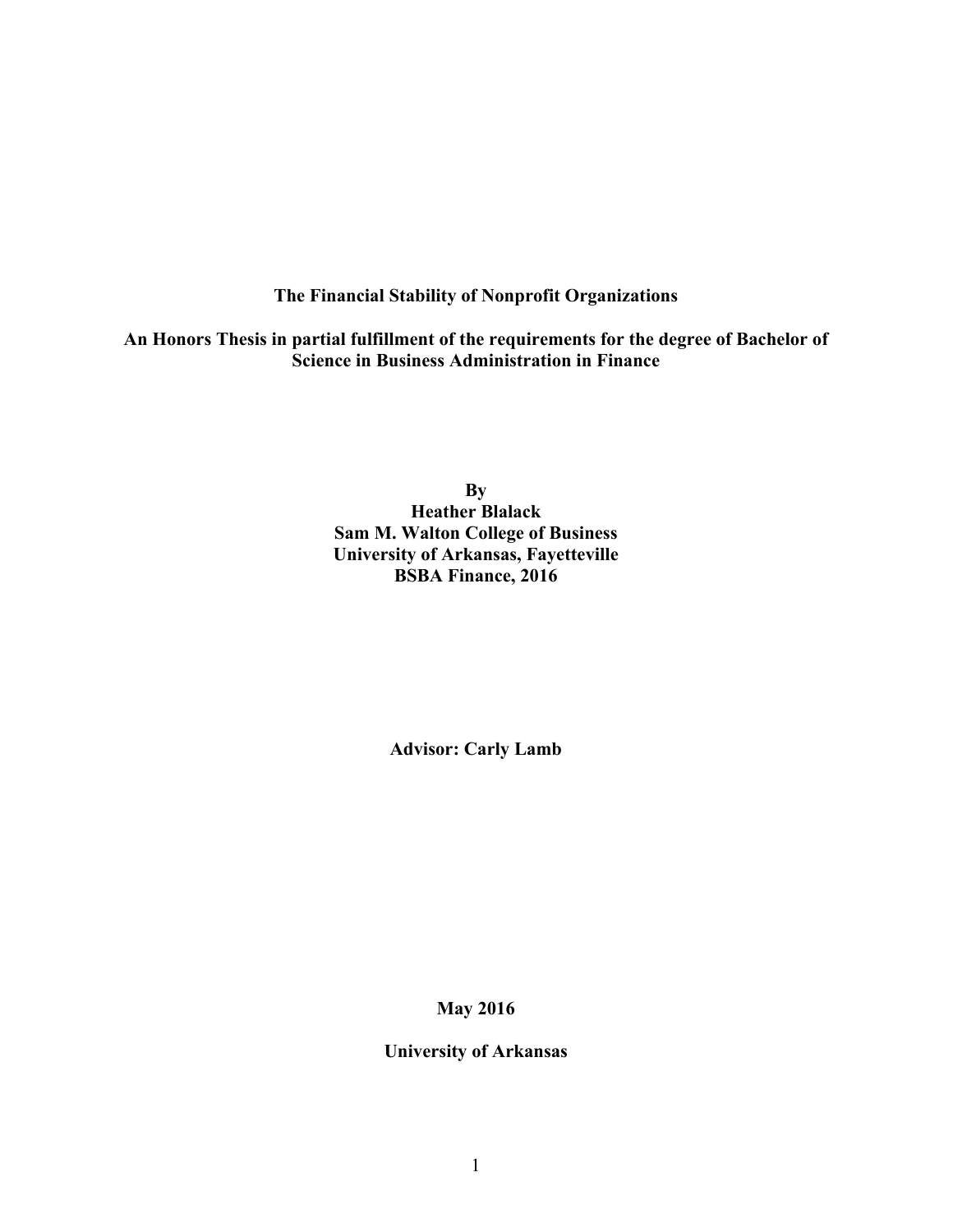### **The Financial Stability of Nonprofit Organizations**

**An Honors Thesis in partial fulfillment of the requirements for the degree of Bachelor of Science in Business Administration in Finance**

> **By Heather Blalack Sam M. Walton College of Business University of Arkansas, Fayetteville BSBA Finance, 2016**

> > **Advisor: Carly Lamb**

**May 2016**

**University of Arkansas**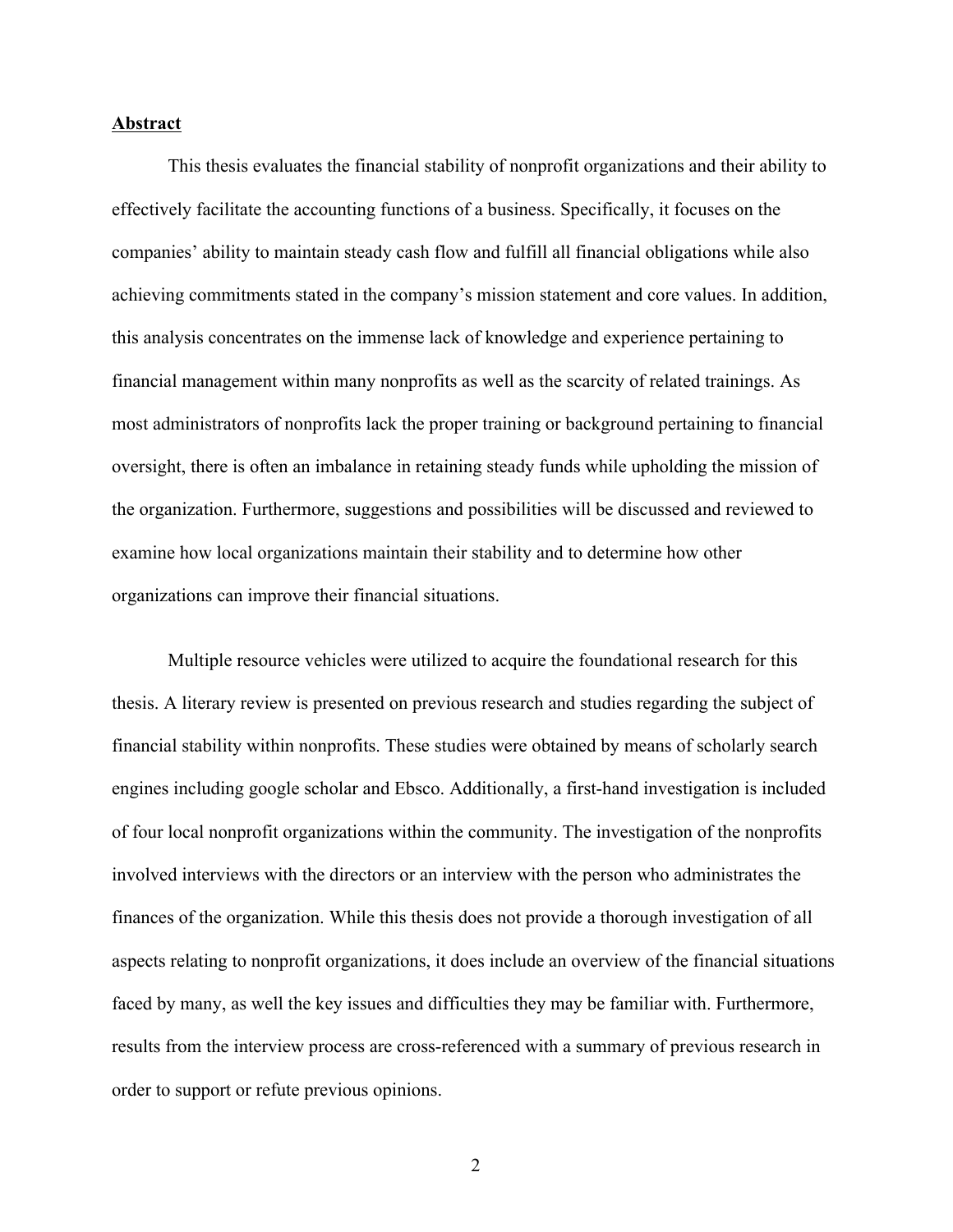#### **Abstract**

This thesis evaluates the financial stability of nonprofit organizations and their ability to effectively facilitate the accounting functions of a business. Specifically, it focuses on the companies' ability to maintain steady cash flow and fulfill all financial obligations while also achieving commitments stated in the company's mission statement and core values. In addition, this analysis concentrates on the immense lack of knowledge and experience pertaining to financial management within many nonprofits as well as the scarcity of related trainings. As most administrators of nonprofits lack the proper training or background pertaining to financial oversight, there is often an imbalance in retaining steady funds while upholding the mission of the organization. Furthermore, suggestions and possibilities will be discussed and reviewed to examine how local organizations maintain their stability and to determine how other organizations can improve their financial situations.

Multiple resource vehicles were utilized to acquire the foundational research for this thesis. A literary review is presented on previous research and studies regarding the subject of financial stability within nonprofits. These studies were obtained by means of scholarly search engines including google scholar and Ebsco. Additionally, a first-hand investigation is included of four local nonprofit organizations within the community. The investigation of the nonprofits involved interviews with the directors or an interview with the person who administrates the finances of the organization. While this thesis does not provide a thorough investigation of all aspects relating to nonprofit organizations, it does include an overview of the financial situations faced by many, as well the key issues and difficulties they may be familiar with. Furthermore, results from the interview process are cross-referenced with a summary of previous research in order to support or refute previous opinions.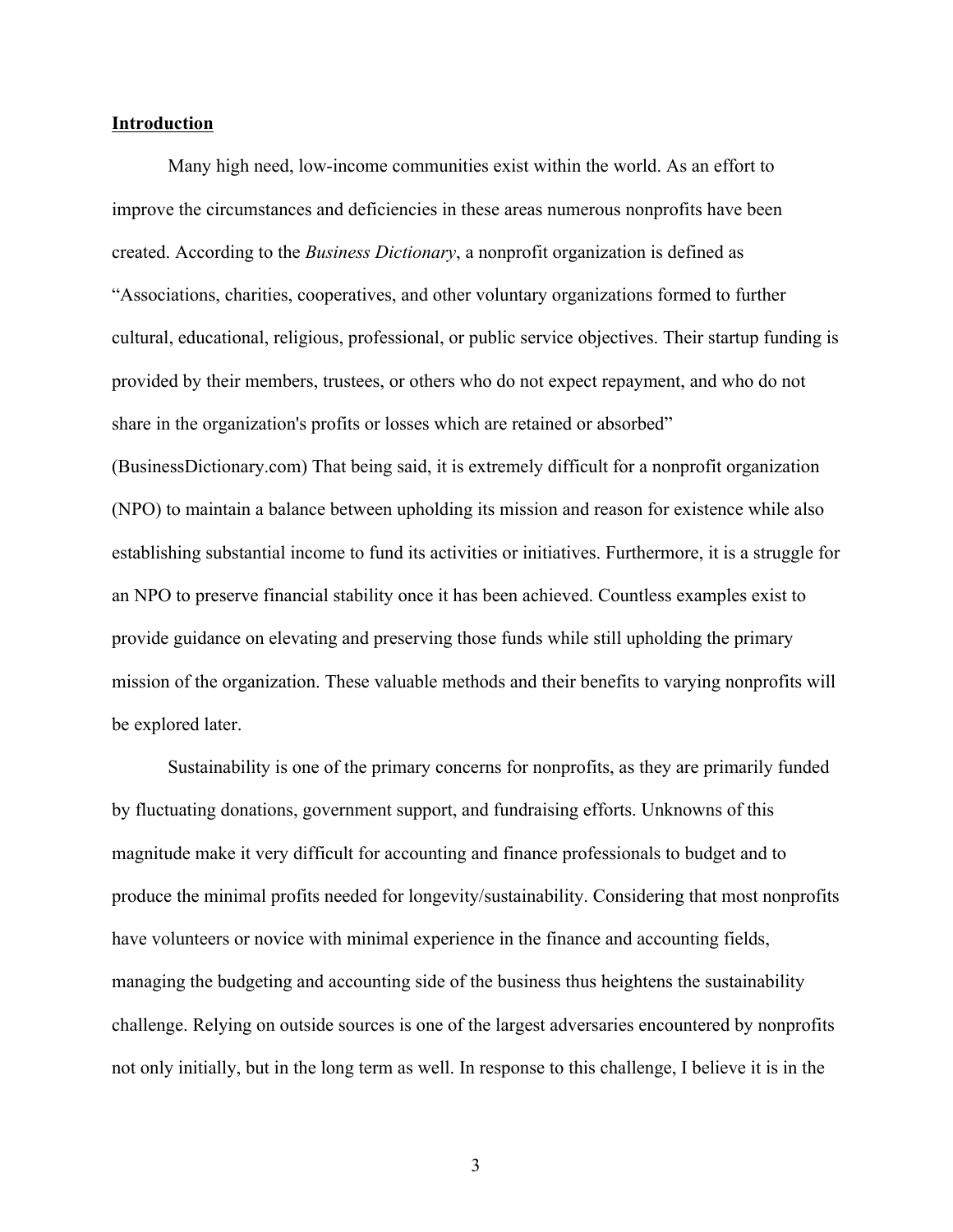#### **Introduction**

Many high need, low-income communities exist within the world. As an effort to improve the circumstances and deficiencies in these areas numerous nonprofits have been created. According to the *Business Dictionary*, a nonprofit organization is defined as "Associations, charities, cooperatives, and other voluntary organizations formed to further cultural, educational, religious, professional, or public service objectives. Their startup funding is provided by their members, trustees, or others who do not expect repayment, and who do not share in the organization's profits or losses which are retained or absorbed" (BusinessDictionary.com) That being said, it is extremely difficult for a nonprofit organization (NPO) to maintain a balance between upholding its mission and reason for existence while also establishing substantial income to fund its activities or initiatives. Furthermore, it is a struggle for an NPO to preserve financial stability once it has been achieved. Countless examples exist to provide guidance on elevating and preserving those funds while still upholding the primary mission of the organization. These valuable methods and their benefits to varying nonprofits will be explored later.

Sustainability is one of the primary concerns for nonprofits, as they are primarily funded by fluctuating donations, government support, and fundraising efforts. Unknowns of this magnitude make it very difficult for accounting and finance professionals to budget and to produce the minimal profits needed for longevity/sustainability. Considering that most nonprofits have volunteers or novice with minimal experience in the finance and accounting fields, managing the budgeting and accounting side of the business thus heightens the sustainability challenge. Relying on outside sources is one of the largest adversaries encountered by nonprofits not only initially, but in the long term as well. In response to this challenge, I believe it is in the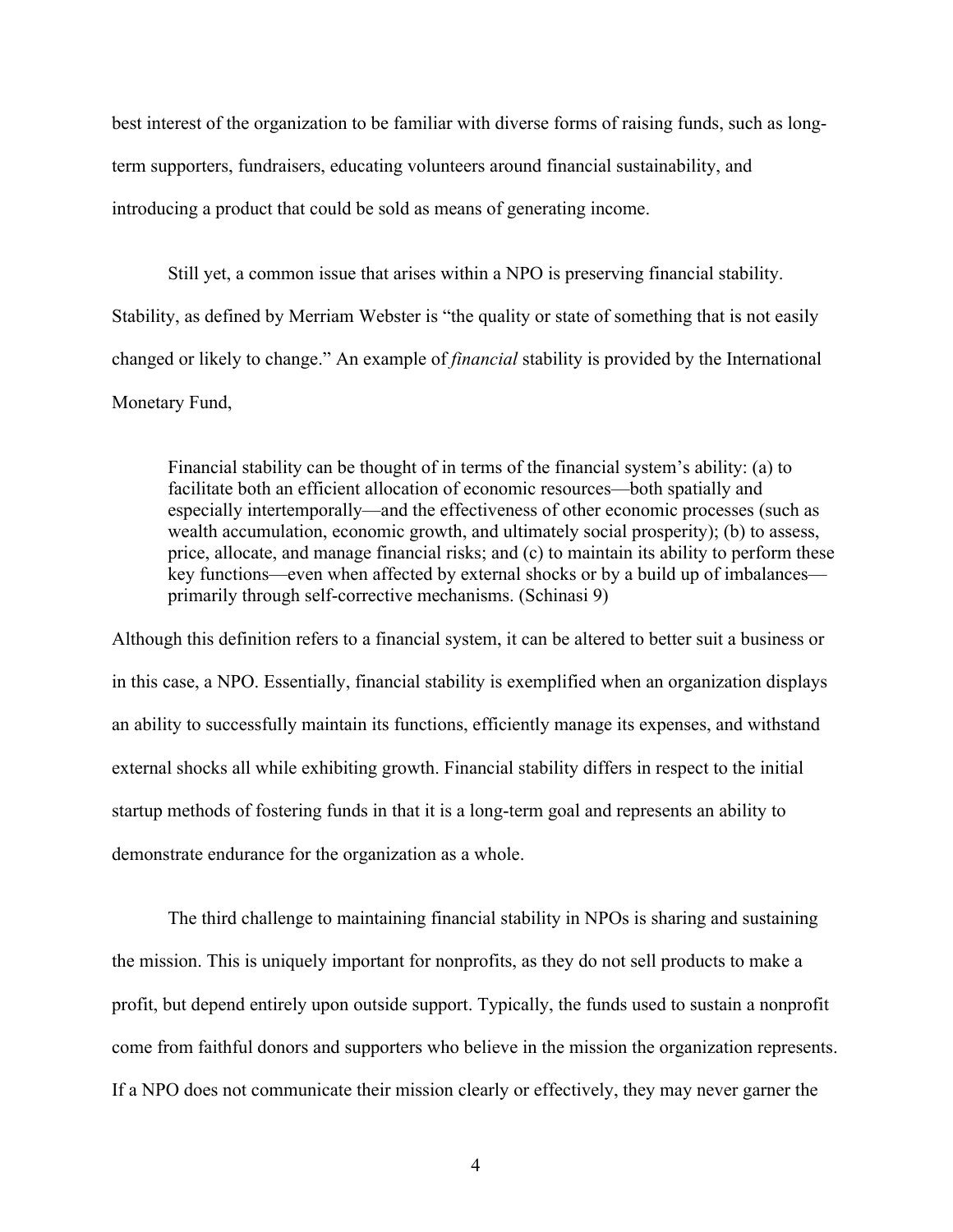best interest of the organization to be familiar with diverse forms of raising funds, such as longterm supporters, fundraisers, educating volunteers around financial sustainability, and introducing a product that could be sold as means of generating income.

Still yet, a common issue that arises within a NPO is preserving financial stability. Stability, as defined by Merriam Webster is "the quality or state of something that is not easily changed or likely to change." An example of *financial* stability is provided by the International Monetary Fund,

Financial stability can be thought of in terms of the financial system's ability: (a) to facilitate both an efficient allocation of economic resources—both spatially and especially intertemporally—and the effectiveness of other economic processes (such as wealth accumulation, economic growth, and ultimately social prosperity); (b) to assess, price, allocate, and manage financial risks; and (c) to maintain its ability to perform these key functions—even when affected by external shocks or by a build up of imbalances primarily through self-corrective mechanisms. (Schinasi 9)

Although this definition refers to a financial system, it can be altered to better suit a business or in this case, a NPO. Essentially, financial stability is exemplified when an organization displays an ability to successfully maintain its functions, efficiently manage its expenses, and withstand external shocks all while exhibiting growth. Financial stability differs in respect to the initial startup methods of fostering funds in that it is a long-term goal and represents an ability to demonstrate endurance for the organization as a whole.

The third challenge to maintaining financial stability in NPOs is sharing and sustaining the mission. This is uniquely important for nonprofits, as they do not sell products to make a profit, but depend entirely upon outside support. Typically, the funds used to sustain a nonprofit come from faithful donors and supporters who believe in the mission the organization represents. If a NPO does not communicate their mission clearly or effectively, they may never garner the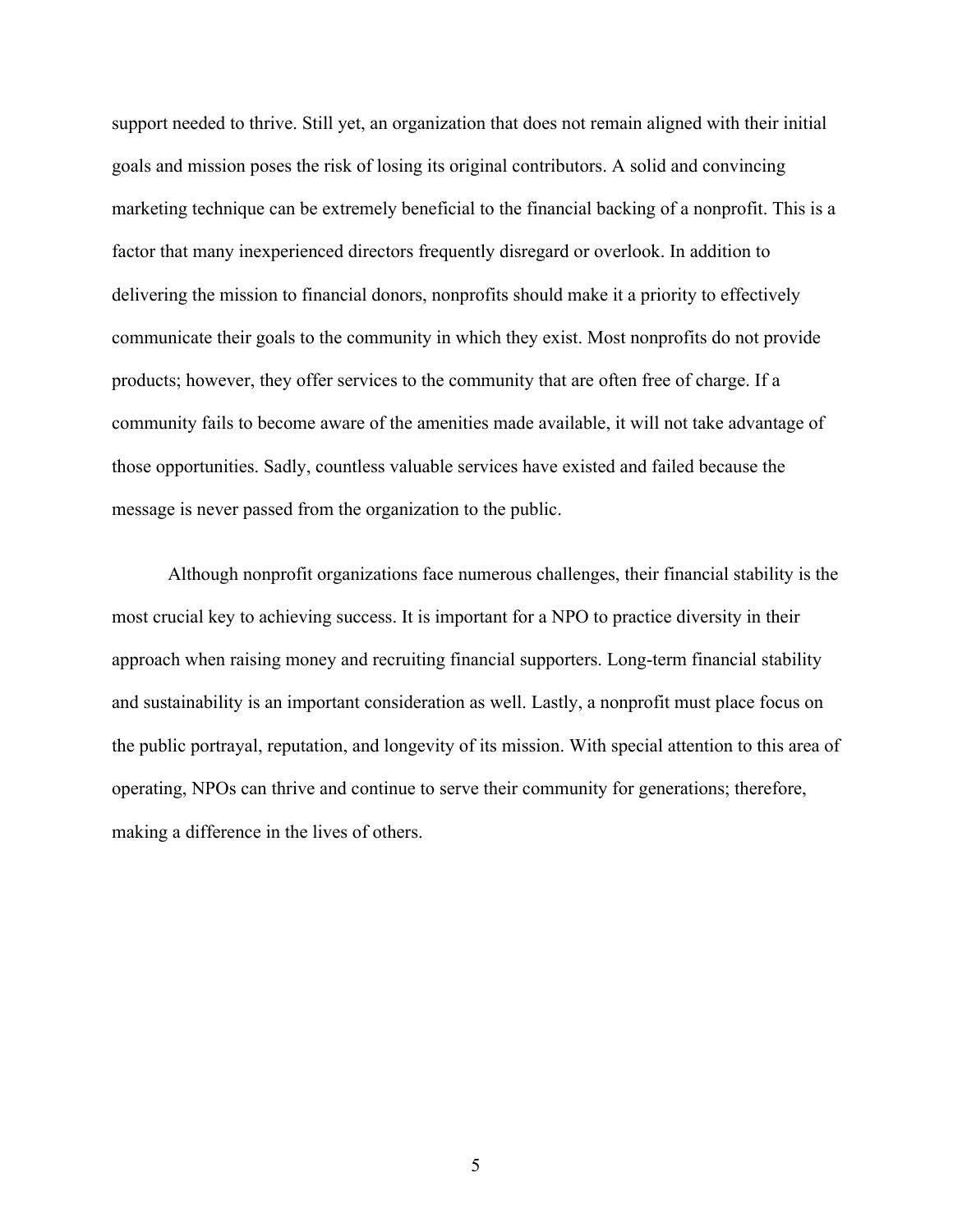support needed to thrive. Still yet, an organization that does not remain aligned with their initial goals and mission poses the risk of losing its original contributors. A solid and convincing marketing technique can be extremely beneficial to the financial backing of a nonprofit. This is a factor that many inexperienced directors frequently disregard or overlook. In addition to delivering the mission to financial donors, nonprofits should make it a priority to effectively communicate their goals to the community in which they exist. Most nonprofits do not provide products; however, they offer services to the community that are often free of charge. If a community fails to become aware of the amenities made available, it will not take advantage of those opportunities. Sadly, countless valuable services have existed and failed because the message is never passed from the organization to the public.

Although nonprofit organizations face numerous challenges, their financial stability is the most crucial key to achieving success. It is important for a NPO to practice diversity in their approach when raising money and recruiting financial supporters. Long-term financial stability and sustainability is an important consideration as well. Lastly, a nonprofit must place focus on the public portrayal, reputation, and longevity of its mission. With special attention to this area of operating, NPOs can thrive and continue to serve their community for generations; therefore, making a difference in the lives of others.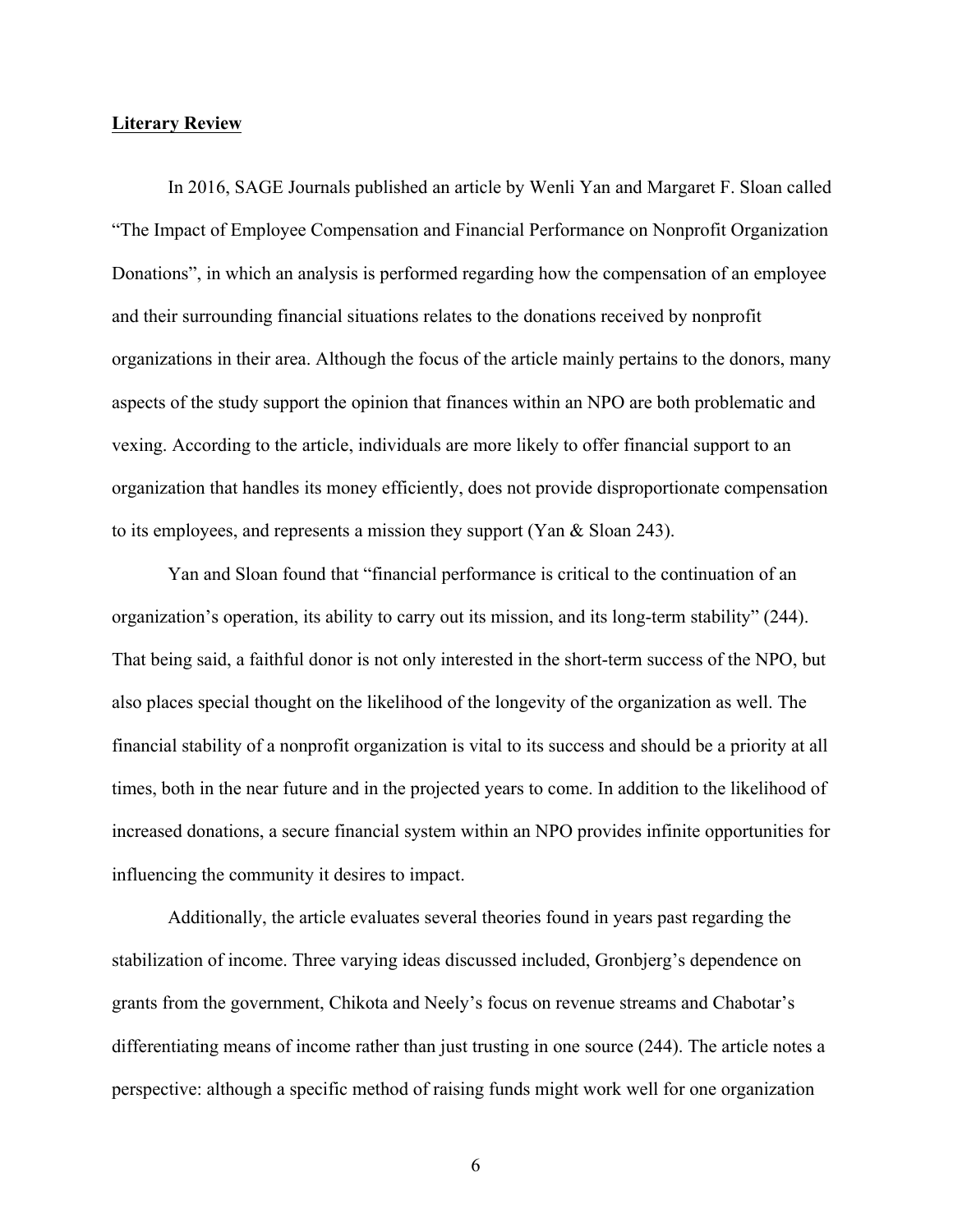#### **Literary Review**

In 2016, SAGE Journals published an article by Wenli Yan and Margaret F. Sloan called "The Impact of Employee Compensation and Financial Performance on Nonprofit Organization Donations", in which an analysis is performed regarding how the compensation of an employee and their surrounding financial situations relates to the donations received by nonprofit organizations in their area. Although the focus of the article mainly pertains to the donors, many aspects of the study support the opinion that finances within an NPO are both problematic and vexing. According to the article, individuals are more likely to offer financial support to an organization that handles its money efficiently, does not provide disproportionate compensation to its employees, and represents a mission they support (Yan & Sloan 243).

Yan and Sloan found that "financial performance is critical to the continuation of an organization's operation, its ability to carry out its mission, and its long-term stability" (244). That being said, a faithful donor is not only interested in the short-term success of the NPO, but also places special thought on the likelihood of the longevity of the organization as well. The financial stability of a nonprofit organization is vital to its success and should be a priority at all times, both in the near future and in the projected years to come. In addition to the likelihood of increased donations, a secure financial system within an NPO provides infinite opportunities for influencing the community it desires to impact.

Additionally, the article evaluates several theories found in years past regarding the stabilization of income. Three varying ideas discussed included, Gronbjerg's dependence on grants from the government, Chikota and Neely's focus on revenue streams and Chabotar's differentiating means of income rather than just trusting in one source (244). The article notes a perspective: although a specific method of raising funds might work well for one organization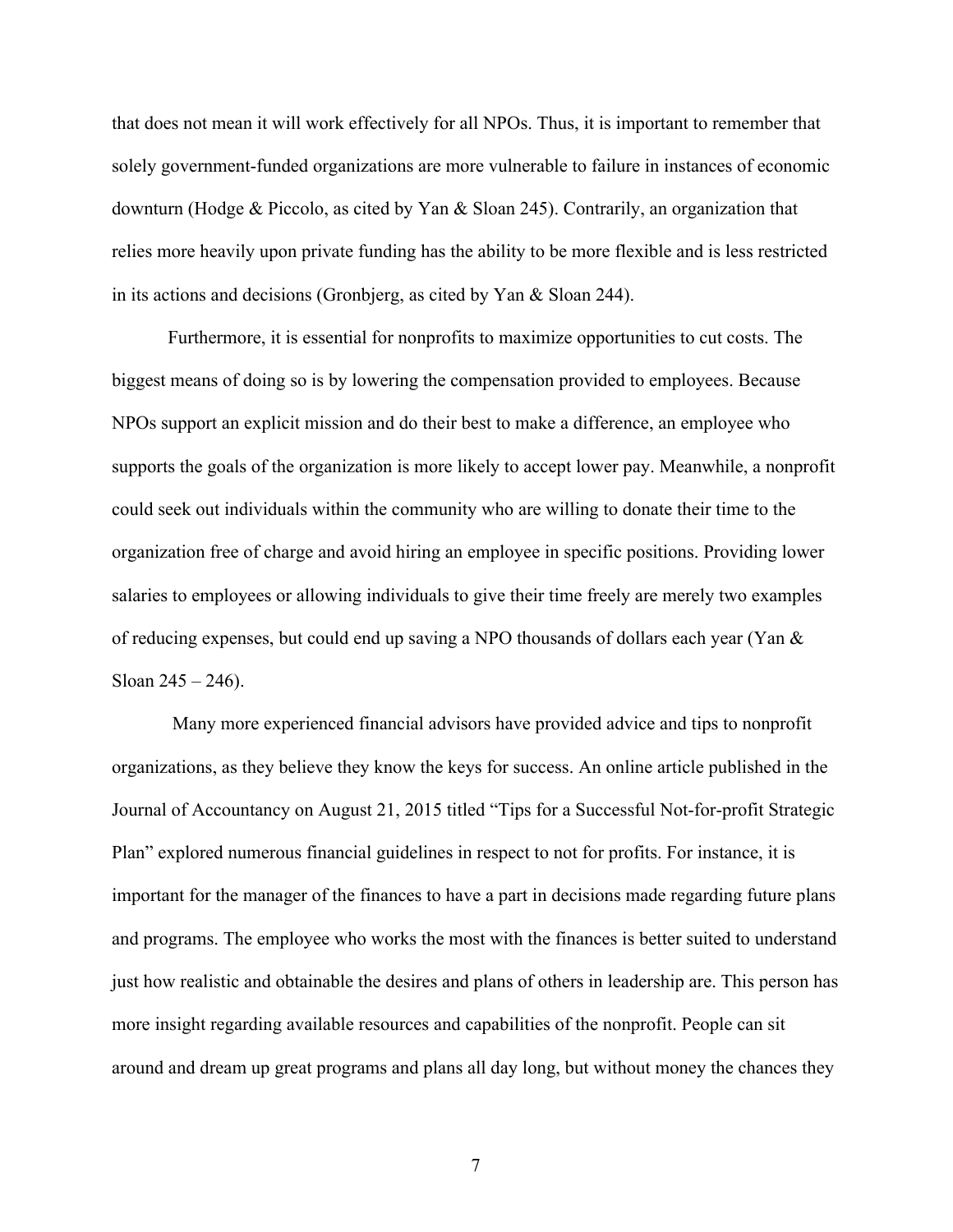that does not mean it will work effectively for all NPOs. Thus, it is important to remember that solely government-funded organizations are more vulnerable to failure in instances of economic downturn (Hodge & Piccolo, as cited by Yan & Sloan 245). Contrarily, an organization that relies more heavily upon private funding has the ability to be more flexible and is less restricted in its actions and decisions (Gronbjerg, as cited by Yan & Sloan 244).

Furthermore, it is essential for nonprofits to maximize opportunities to cut costs. The biggest means of doing so is by lowering the compensation provided to employees. Because NPOs support an explicit mission and do their best to make a difference, an employee who supports the goals of the organization is more likely to accept lower pay. Meanwhile, a nonprofit could seek out individuals within the community who are willing to donate their time to the organization free of charge and avoid hiring an employee in specific positions. Providing lower salaries to employees or allowing individuals to give their time freely are merely two examples of reducing expenses, but could end up saving a NPO thousands of dollars each year (Yan & Sloan  $245 - 246$ ).

Many more experienced financial advisors have provided advice and tips to nonprofit organizations, as they believe they know the keys for success. An online article published in the Journal of Accountancy on August 21, 2015 titled "Tips for a Successful Not-for-profit Strategic Plan" explored numerous financial guidelines in respect to not for profits. For instance, it is important for the manager of the finances to have a part in decisions made regarding future plans and programs. The employee who works the most with the finances is better suited to understand just how realistic and obtainable the desires and plans of others in leadership are. This person has more insight regarding available resources and capabilities of the nonprofit. People can sit around and dream up great programs and plans all day long, but without money the chances they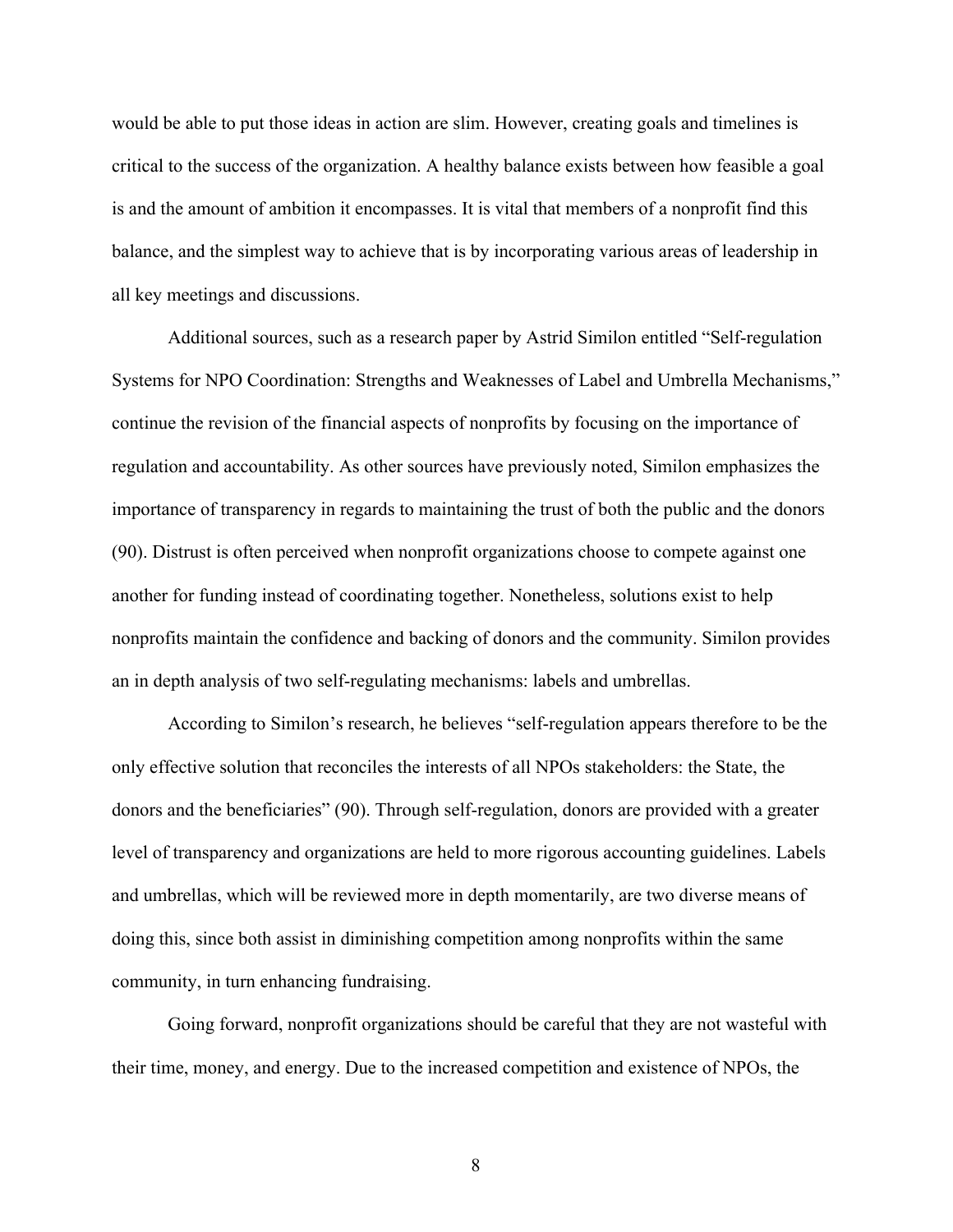would be able to put those ideas in action are slim. However, creating goals and timelines is critical to the success of the organization. A healthy balance exists between how feasible a goal is and the amount of ambition it encompasses. It is vital that members of a nonprofit find this balance, and the simplest way to achieve that is by incorporating various areas of leadership in all key meetings and discussions.

Additional sources, such as a research paper by Astrid Similon entitled "Self-regulation Systems for NPO Coordination: Strengths and Weaknesses of Label and Umbrella Mechanisms," continue the revision of the financial aspects of nonprofits by focusing on the importance of regulation and accountability. As other sources have previously noted, Similon emphasizes the importance of transparency in regards to maintaining the trust of both the public and the donors (90). Distrust is often perceived when nonprofit organizations choose to compete against one another for funding instead of coordinating together. Nonetheless, solutions exist to help nonprofits maintain the confidence and backing of donors and the community. Similon provides an in depth analysis of two self-regulating mechanisms: labels and umbrellas.

According to Similon's research, he believes "self-regulation appears therefore to be the only effective solution that reconciles the interests of all NPOs stakeholders: the State, the donors and the beneficiaries" (90). Through self-regulation, donors are provided with a greater level of transparency and organizations are held to more rigorous accounting guidelines. Labels and umbrellas, which will be reviewed more in depth momentarily, are two diverse means of doing this, since both assist in diminishing competition among nonprofits within the same community, in turn enhancing fundraising.

Going forward, nonprofit organizations should be careful that they are not wasteful with their time, money, and energy. Due to the increased competition and existence of NPOs, the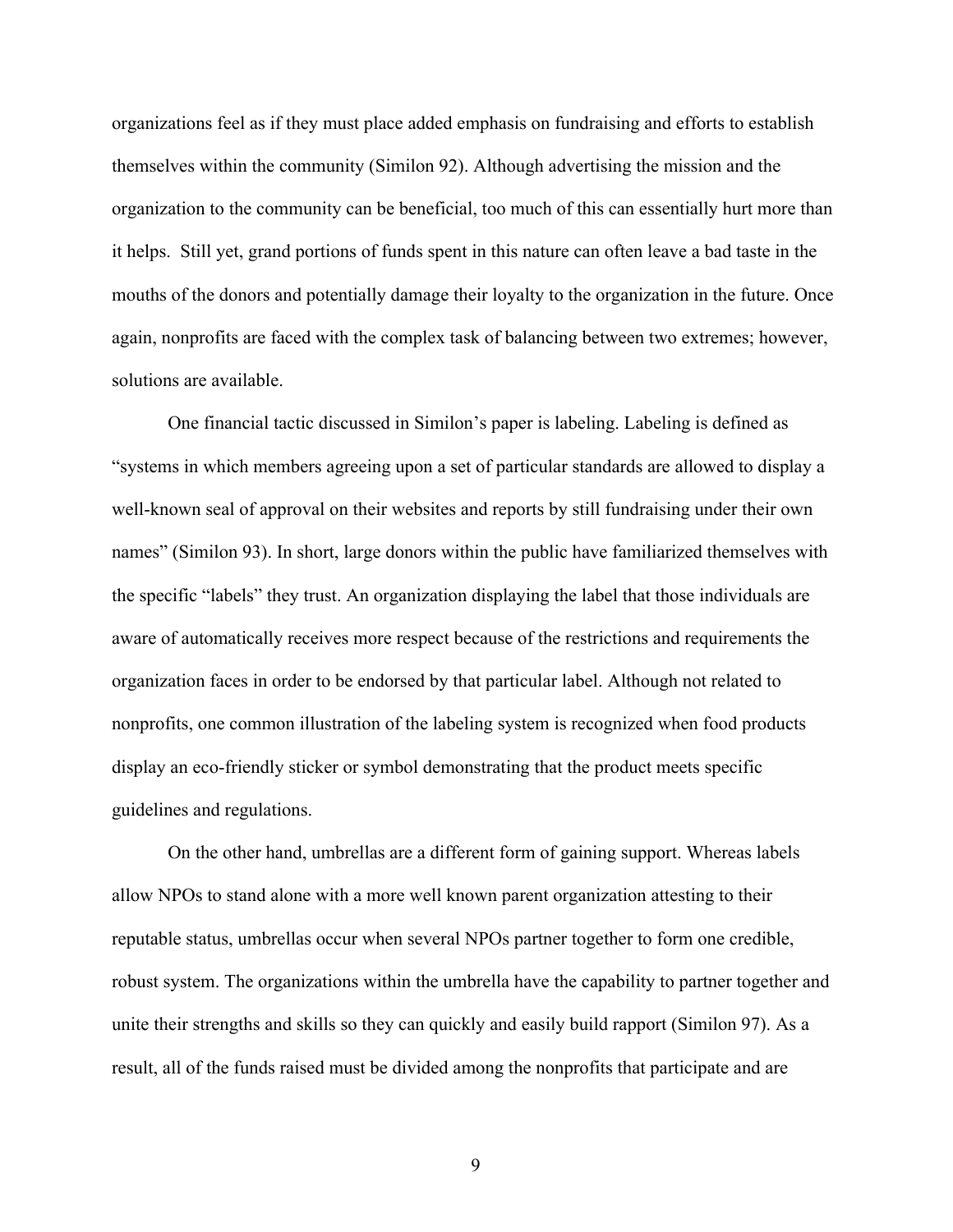organizations feel as if they must place added emphasis on fundraising and efforts to establish themselves within the community (Similon 92). Although advertising the mission and the organization to the community can be beneficial, too much of this can essentially hurt more than it helps. Still yet, grand portions of funds spent in this nature can often leave a bad taste in the mouths of the donors and potentially damage their loyalty to the organization in the future. Once again, nonprofits are faced with the complex task of balancing between two extremes; however, solutions are available.

One financial tactic discussed in Similon's paper is labeling. Labeling is defined as "systems in which members agreeing upon a set of particular standards are allowed to display a well-known seal of approval on their websites and reports by still fundraising under their own names" (Similon 93). In short, large donors within the public have familiarized themselves with the specific "labels" they trust. An organization displaying the label that those individuals are aware of automatically receives more respect because of the restrictions and requirements the organization faces in order to be endorsed by that particular label. Although not related to nonprofits, one common illustration of the labeling system is recognized when food products display an eco-friendly sticker or symbol demonstrating that the product meets specific guidelines and regulations.

On the other hand, umbrellas are a different form of gaining support. Whereas labels allow NPOs to stand alone with a more well known parent organization attesting to their reputable status, umbrellas occur when several NPOs partner together to form one credible, robust system. The organizations within the umbrella have the capability to partner together and unite their strengths and skills so they can quickly and easily build rapport (Similon 97). As a result, all of the funds raised must be divided among the nonprofits that participate and are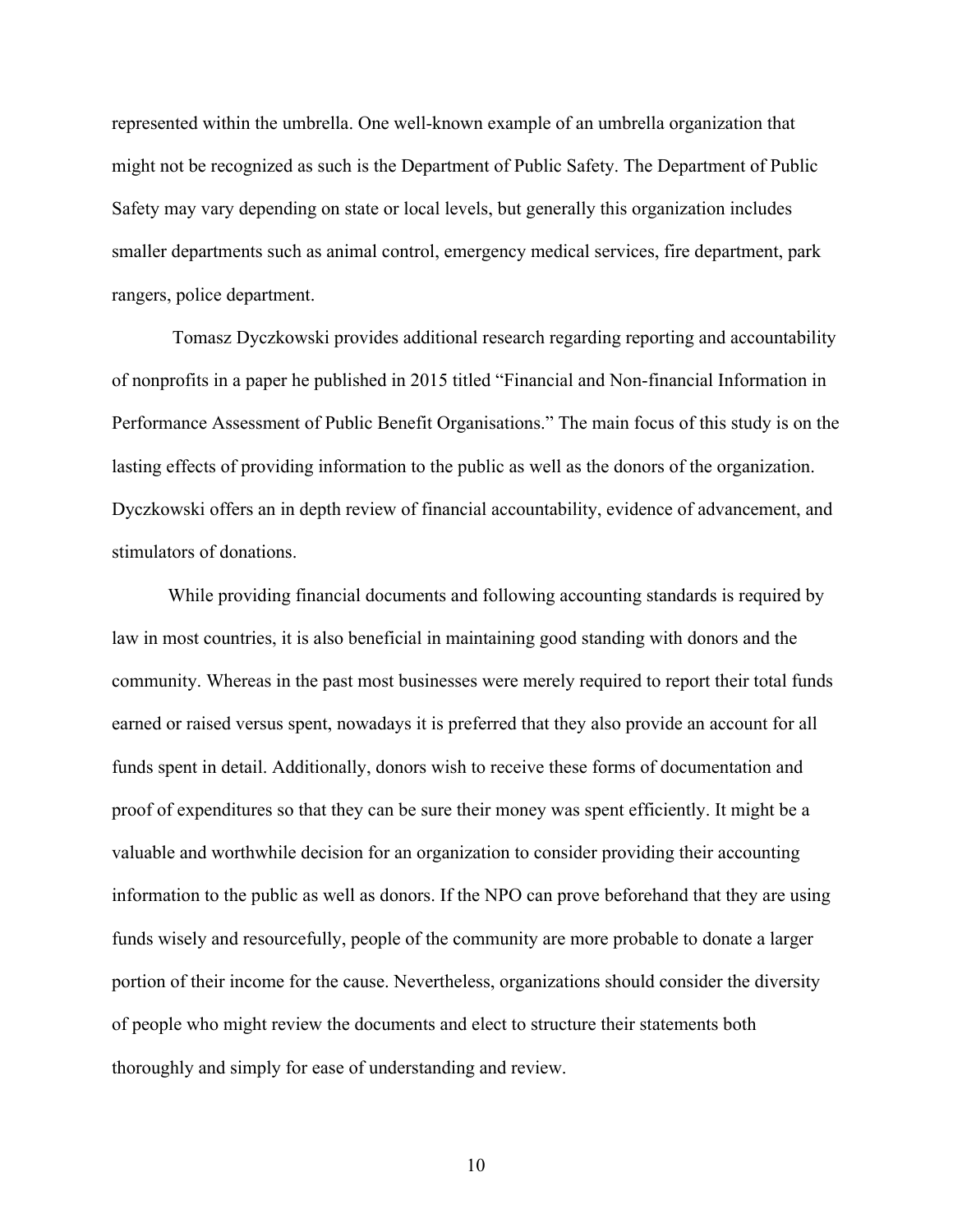represented within the umbrella. One well-known example of an umbrella organization that might not be recognized as such is the Department of Public Safety. The Department of Public Safety may vary depending on state or local levels, but generally this organization includes smaller departments such as animal control, emergency medical services, fire department, park rangers, police department.

Tomasz Dyczkowski provides additional research regarding reporting and accountability of nonprofits in a paper he published in 2015 titled "Financial and Non-financial Information in Performance Assessment of Public Benefit Organisations." The main focus of this study is on the lasting effects of providing information to the public as well as the donors of the organization. Dyczkowski offers an in depth review of financial accountability, evidence of advancement, and stimulators of donations.

While providing financial documents and following accounting standards is required by law in most countries, it is also beneficial in maintaining good standing with donors and the community. Whereas in the past most businesses were merely required to report their total funds earned or raised versus spent, nowadays it is preferred that they also provide an account for all funds spent in detail. Additionally, donors wish to receive these forms of documentation and proof of expenditures so that they can be sure their money was spent efficiently. It might be a valuable and worthwhile decision for an organization to consider providing their accounting information to the public as well as donors. If the NPO can prove beforehand that they are using funds wisely and resourcefully, people of the community are more probable to donate a larger portion of their income for the cause. Nevertheless, organizations should consider the diversity of people who might review the documents and elect to structure their statements both thoroughly and simply for ease of understanding and review.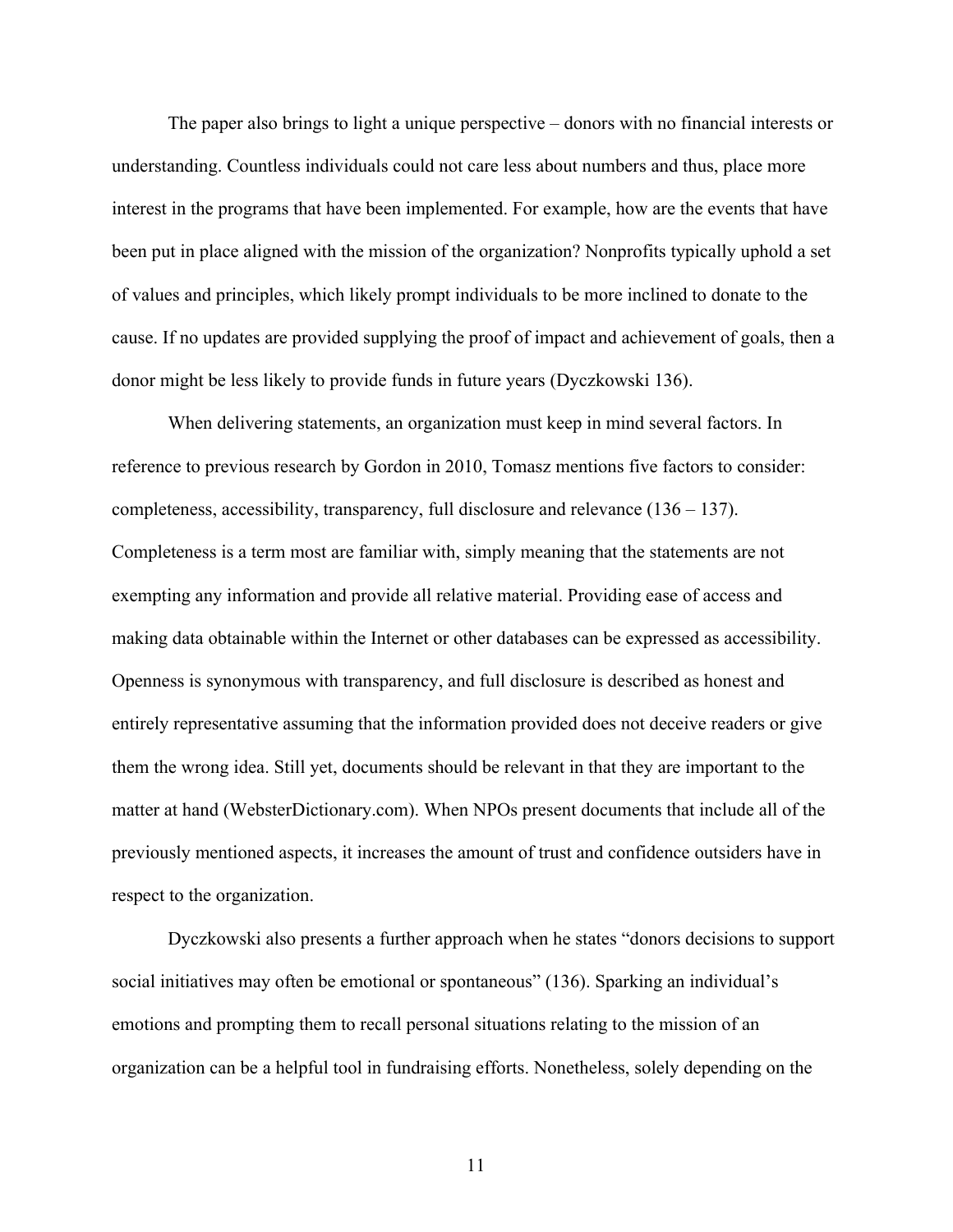The paper also brings to light a unique perspective – donors with no financial interests or understanding. Countless individuals could not care less about numbers and thus, place more interest in the programs that have been implemented. For example, how are the events that have been put in place aligned with the mission of the organization? Nonprofits typically uphold a set of values and principles, which likely prompt individuals to be more inclined to donate to the cause. If no updates are provided supplying the proof of impact and achievement of goals, then a donor might be less likely to provide funds in future years (Dyczkowski 136).

When delivering statements, an organization must keep in mind several factors. In reference to previous research by Gordon in 2010, Tomasz mentions five factors to consider: completeness, accessibility, transparency, full disclosure and relevance  $(136 - 137)$ . Completeness is a term most are familiar with, simply meaning that the statements are not exempting any information and provide all relative material. Providing ease of access and making data obtainable within the Internet or other databases can be expressed as accessibility. Openness is synonymous with transparency, and full disclosure is described as honest and entirely representative assuming that the information provided does not deceive readers or give them the wrong idea. Still yet, documents should be relevant in that they are important to the matter at hand (WebsterDictionary.com). When NPOs present documents that include all of the previously mentioned aspects, it increases the amount of trust and confidence outsiders have in respect to the organization.

Dyczkowski also presents a further approach when he states "donors decisions to support social initiatives may often be emotional or spontaneous" (136). Sparking an individual's emotions and prompting them to recall personal situations relating to the mission of an organization can be a helpful tool in fundraising efforts. Nonetheless, solely depending on the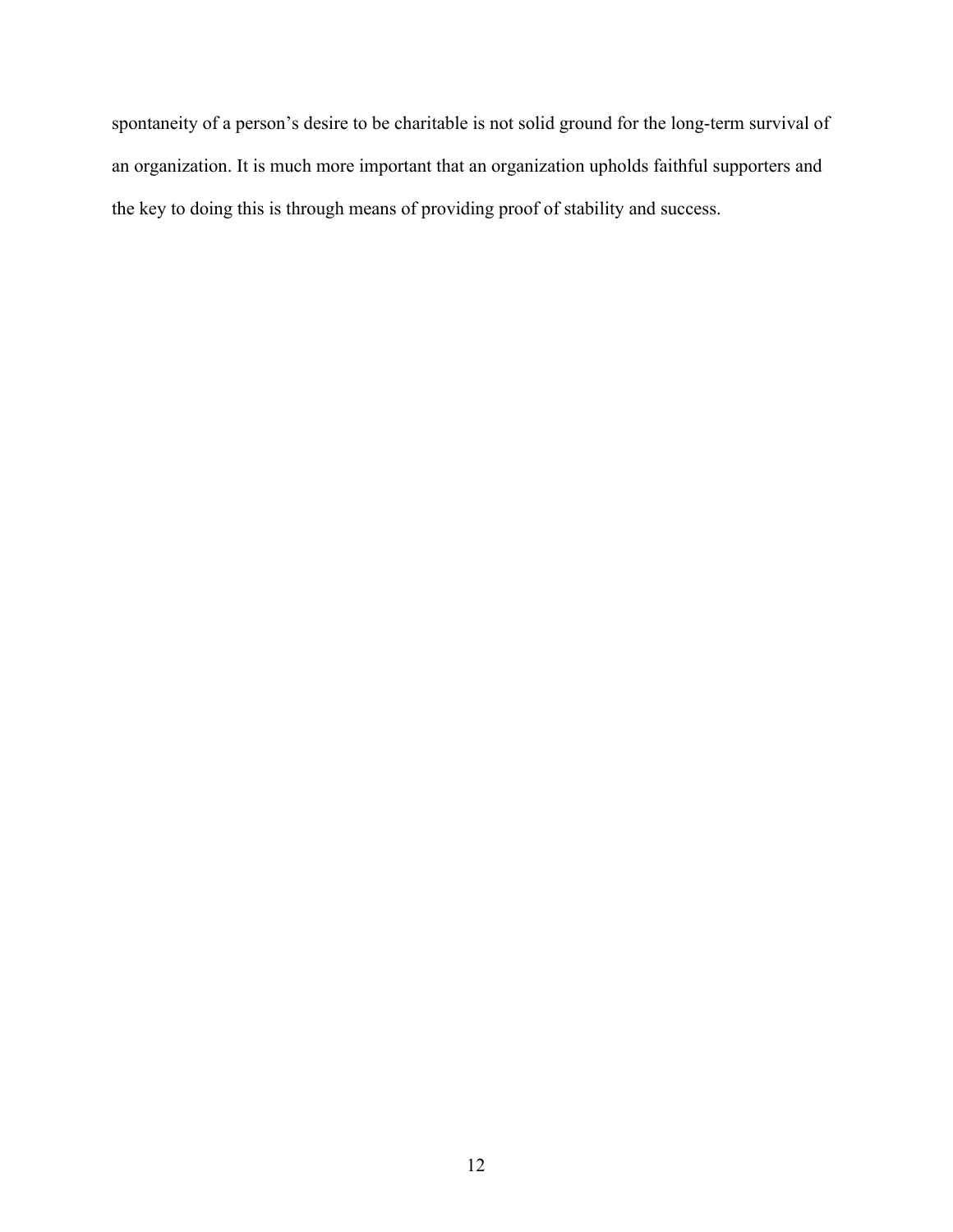spontaneity of a person's desire to be charitable is not solid ground for the long-term survival of an organization. It is much more important that an organization upholds faithful supporters and the key to doing this is through means of providing proof of stability and success.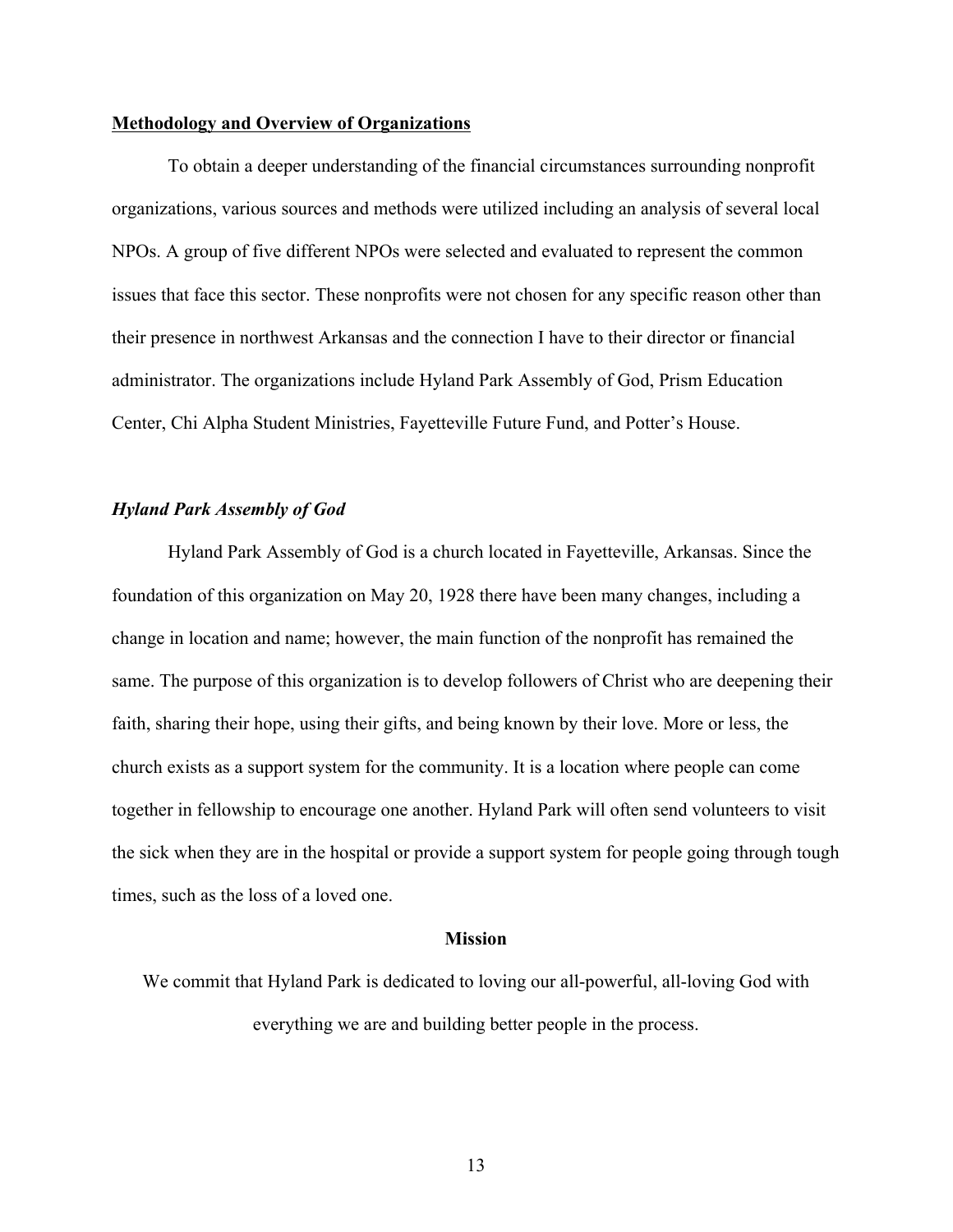#### **Methodology and Overview of Organizations**

To obtain a deeper understanding of the financial circumstances surrounding nonprofit organizations, various sources and methods were utilized including an analysis of several local NPOs. A group of five different NPOs were selected and evaluated to represent the common issues that face this sector. These nonprofits were not chosen for any specific reason other than their presence in northwest Arkansas and the connection I have to their director or financial administrator. The organizations include Hyland Park Assembly of God, Prism Education Center, Chi Alpha Student Ministries, Fayetteville Future Fund, and Potter's House.

#### *Hyland Park Assembly of God*

Hyland Park Assembly of God is a church located in Fayetteville, Arkansas. Since the foundation of this organization on May 20, 1928 there have been many changes, including a change in location and name; however, the main function of the nonprofit has remained the same. The purpose of this organization is to develop followers of Christ who are deepening their faith, sharing their hope, using their gifts, and being known by their love. More or less, the church exists as a support system for the community. It is a location where people can come together in fellowship to encourage one another. Hyland Park will often send volunteers to visit the sick when they are in the hospital or provide a support system for people going through tough times, such as the loss of a loved one.

#### **Mission**

We commit that Hyland Park is dedicated to loving our all-powerful, all-loving God with everything we are and building better people in the process.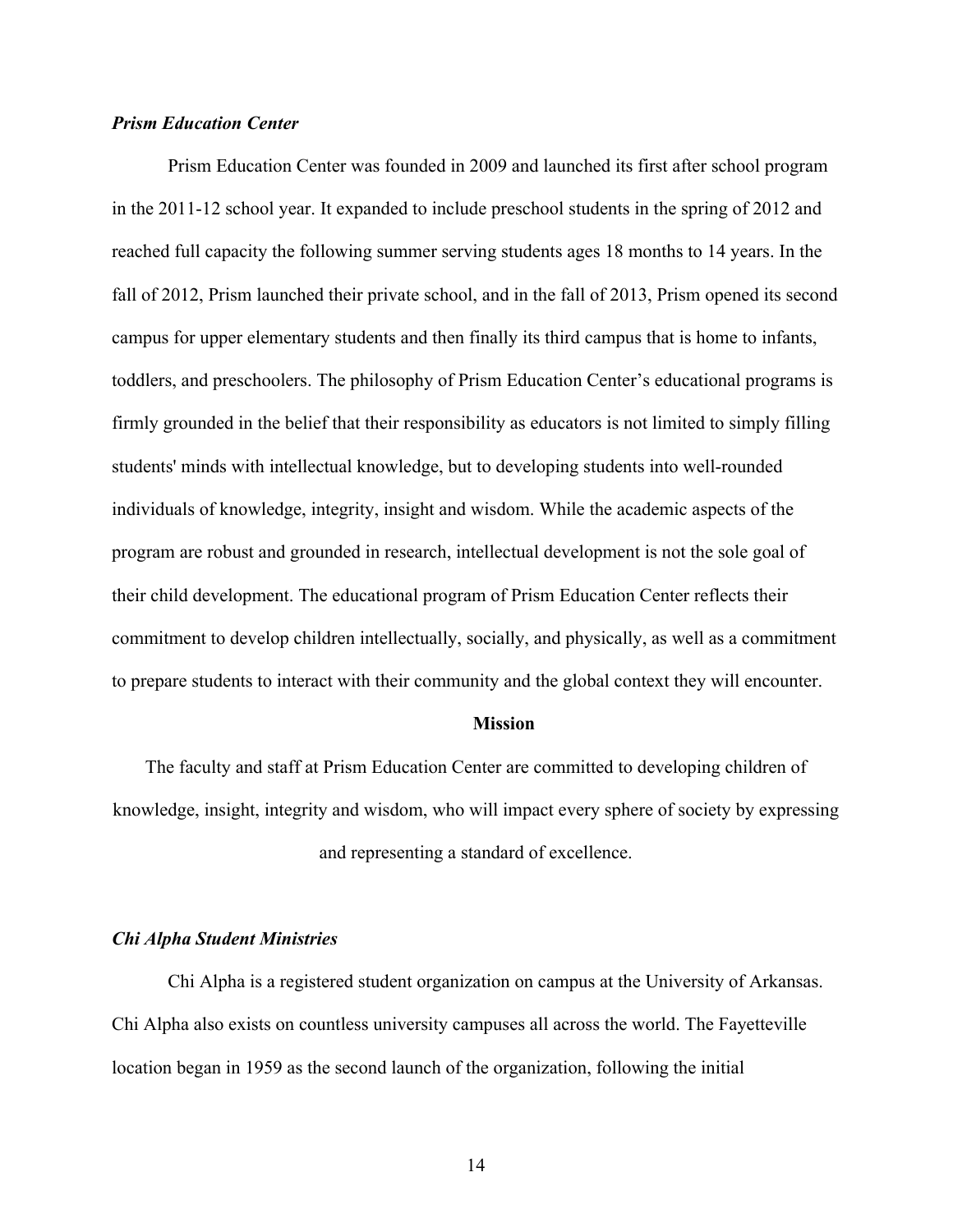#### *Prism Education Center*

Prism Education Center was founded in 2009 and launched its first after school program in the 2011-12 school year. It expanded to include preschool students in the spring of 2012 and reached full capacity the following summer serving students ages 18 months to 14 years. In the fall of 2012, Prism launched their private school, and in the fall of 2013, Prism opened its second campus for upper elementary students and then finally its third campus that is home to infants, toddlers, and preschoolers. The philosophy of Prism Education Center's educational programs is firmly grounded in the belief that their responsibility as educators is not limited to simply filling students' minds with intellectual knowledge, but to developing students into well-rounded individuals of knowledge, integrity, insight and wisdom. While the academic aspects of the program are robust and grounded in research, intellectual development is not the sole goal of their child development. The educational program of Prism Education Center reflects their commitment to develop children intellectually, socially, and physically, as well as a commitment to prepare students to interact with their community and the global context they will encounter.

#### **Mission**

The faculty and staff at Prism Education Center are committed to developing children of knowledge, insight, integrity and wisdom, who will impact every sphere of society by expressing and representing a standard of excellence.

#### *Chi Alpha Student Ministries*

Chi Alpha is a registered student organization on campus at the University of Arkansas. Chi Alpha also exists on countless university campuses all across the world. The Fayetteville location began in 1959 as the second launch of the organization, following the initial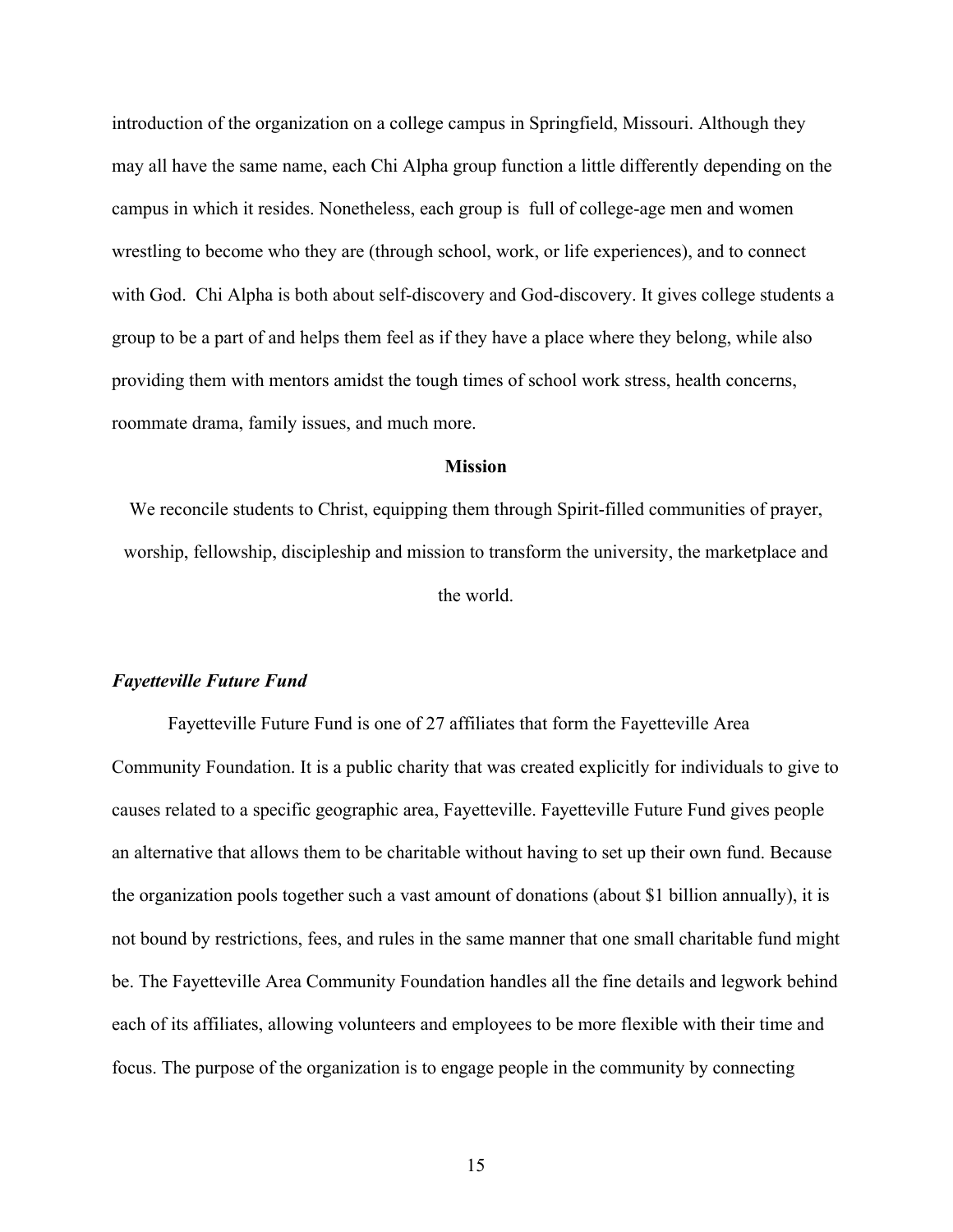introduction of the organization on a college campus in Springfield, Missouri. Although they may all have the same name, each Chi Alpha group function a little differently depending on the campus in which it resides. Nonetheless, each group is full of college-age men and women wrestling to become who they are (through school, work, or life experiences), and to connect with God. Chi Alpha is both about self-discovery and God-discovery. It gives college students a group to be a part of and helps them feel as if they have a place where they belong, while also providing them with mentors amidst the tough times of school work stress, health concerns, roommate drama, family issues, and much more.

#### **Mission**

We reconcile students to Christ, equipping them through Spirit-filled communities of prayer, worship, fellowship, discipleship and mission to transform the university, the marketplace and the world.

#### *Fayetteville Future Fund*

Fayetteville Future Fund is one of 27 affiliates that form the Fayetteville Area Community Foundation. It is a public charity that was created explicitly for individuals to give to causes related to a specific geographic area, Fayetteville. Fayetteville Future Fund gives people an alternative that allows them to be charitable without having to set up their own fund. Because the organization pools together such a vast amount of donations (about \$1 billion annually), it is not bound by restrictions, fees, and rules in the same manner that one small charitable fund might be. The Fayetteville Area Community Foundation handles all the fine details and legwork behind each of its affiliates, allowing volunteers and employees to be more flexible with their time and focus. The purpose of the organization is to engage people in the community by connecting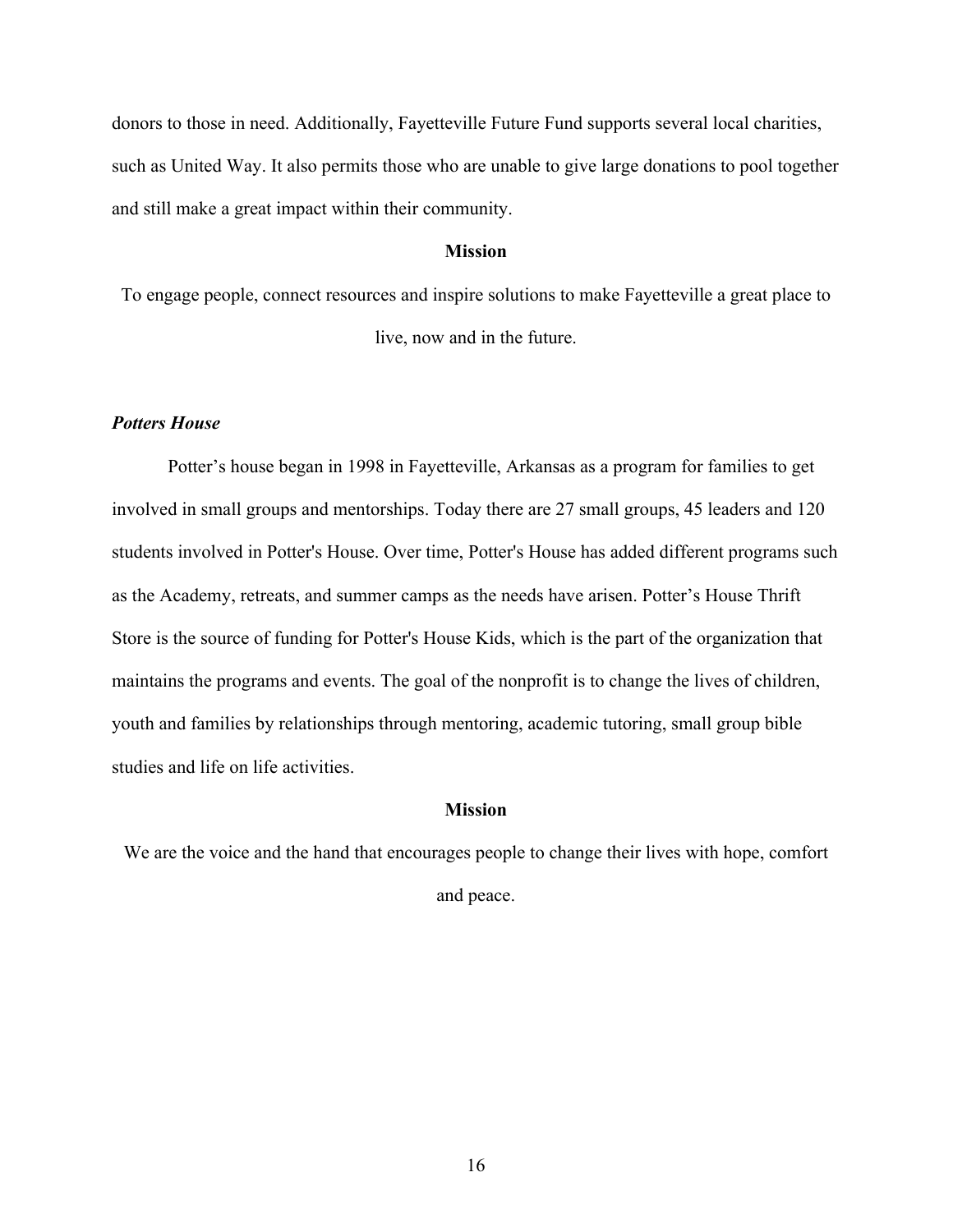donors to those in need. Additionally, Fayetteville Future Fund supports several local charities, such as United Way. It also permits those who are unable to give large donations to pool together and still make a great impact within their community.

#### **Mission**

To engage people, connect resources and inspire solutions to make Fayetteville a great place to live, now and in the future.

#### *Potters House*

Potter's house began in 1998 in Fayetteville, Arkansas as a program for families to get involved in small groups and mentorships. Today there are 27 small groups, 45 leaders and 120 students involved in Potter's House. Over time, Potter's House has added different programs such as the Academy, retreats, and summer camps as the needs have arisen. Potter's House Thrift Store is the source of funding for Potter's House Kids, which is the part of the organization that maintains the programs and events. The goal of the nonprofit is to change the lives of children, youth and families by relationships through mentoring, academic tutoring, small group bible studies and life on life activities.

#### **Mission**

We are the voice and the hand that encourages people to change their lives with hope, comfort and peace.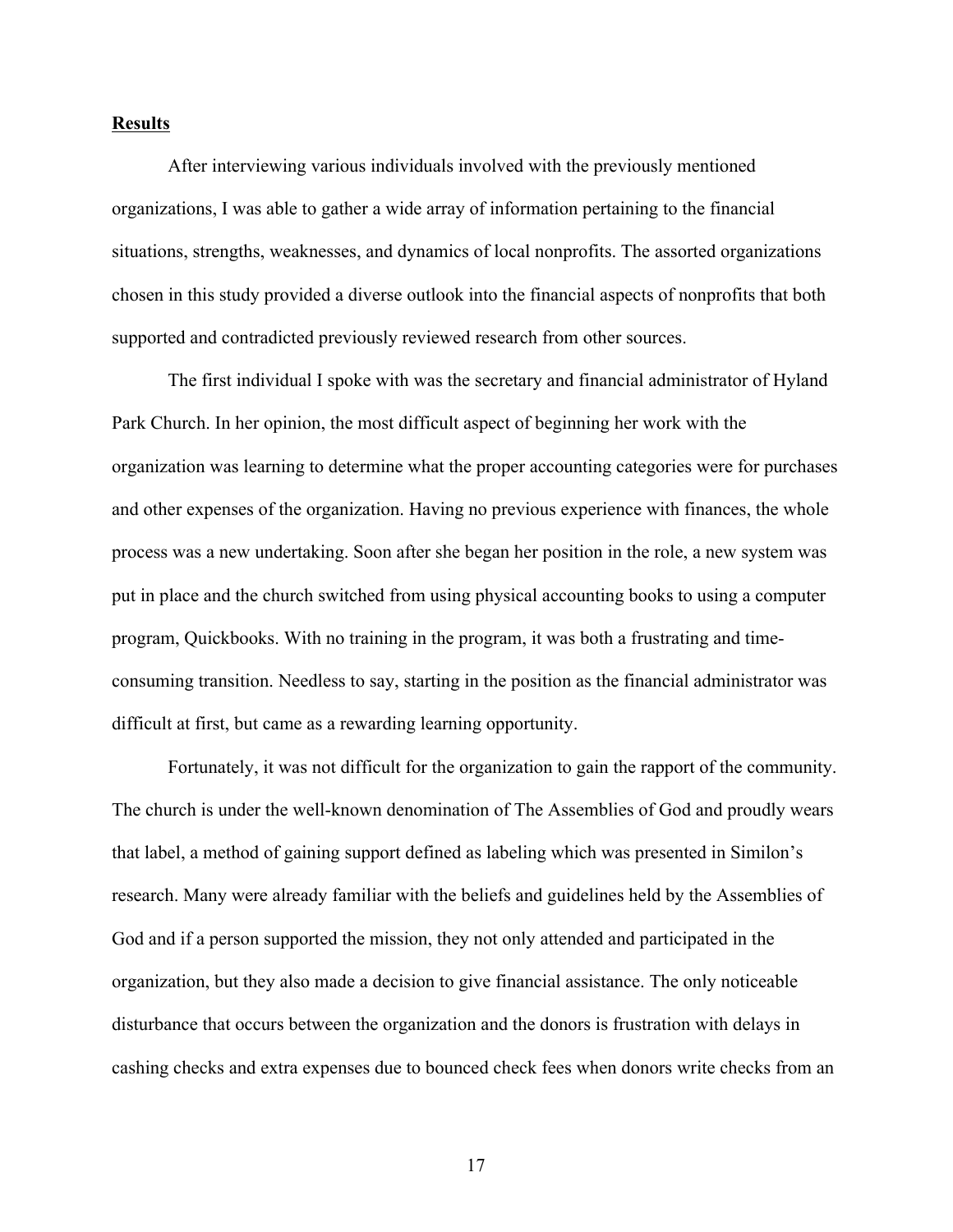#### **Results**

After interviewing various individuals involved with the previously mentioned organizations, I was able to gather a wide array of information pertaining to the financial situations, strengths, weaknesses, and dynamics of local nonprofits. The assorted organizations chosen in this study provided a diverse outlook into the financial aspects of nonprofits that both supported and contradicted previously reviewed research from other sources.

The first individual I spoke with was the secretary and financial administrator of Hyland Park Church. In her opinion, the most difficult aspect of beginning her work with the organization was learning to determine what the proper accounting categories were for purchases and other expenses of the organization. Having no previous experience with finances, the whole process was a new undertaking. Soon after she began her position in the role, a new system was put in place and the church switched from using physical accounting books to using a computer program, Quickbooks. With no training in the program, it was both a frustrating and timeconsuming transition. Needless to say, starting in the position as the financial administrator was difficult at first, but came as a rewarding learning opportunity.

Fortunately, it was not difficult for the organization to gain the rapport of the community. The church is under the well-known denomination of The Assemblies of God and proudly wears that label, a method of gaining support defined as labeling which was presented in Similon's research. Many were already familiar with the beliefs and guidelines held by the Assemblies of God and if a person supported the mission, they not only attended and participated in the organization, but they also made a decision to give financial assistance. The only noticeable disturbance that occurs between the organization and the donors is frustration with delays in cashing checks and extra expenses due to bounced check fees when donors write checks from an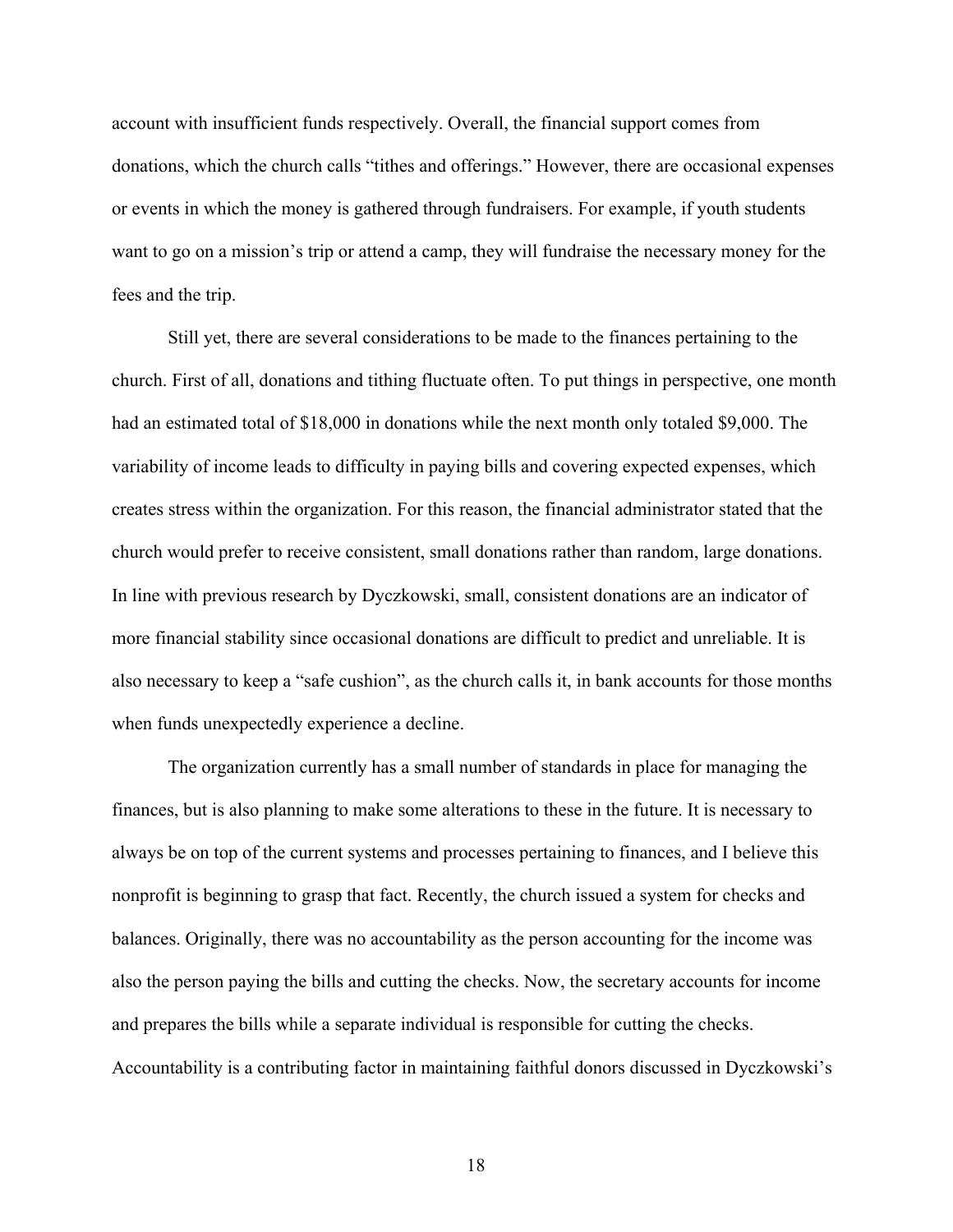account with insufficient funds respectively. Overall, the financial support comes from donations, which the church calls "tithes and offerings." However, there are occasional expenses or events in which the money is gathered through fundraisers. For example, if youth students want to go on a mission's trip or attend a camp, they will fundraise the necessary money for the fees and the trip.

Still yet, there are several considerations to be made to the finances pertaining to the church. First of all, donations and tithing fluctuate often. To put things in perspective, one month had an estimated total of \$18,000 in donations while the next month only totaled \$9,000. The variability of income leads to difficulty in paying bills and covering expected expenses, which creates stress within the organization. For this reason, the financial administrator stated that the church would prefer to receive consistent, small donations rather than random, large donations. In line with previous research by Dyczkowski, small, consistent donations are an indicator of more financial stability since occasional donations are difficult to predict and unreliable. It is also necessary to keep a "safe cushion", as the church calls it, in bank accounts for those months when funds unexpectedly experience a decline.

The organization currently has a small number of standards in place for managing the finances, but is also planning to make some alterations to these in the future. It is necessary to always be on top of the current systems and processes pertaining to finances, and I believe this nonprofit is beginning to grasp that fact. Recently, the church issued a system for checks and balances. Originally, there was no accountability as the person accounting for the income was also the person paying the bills and cutting the checks. Now, the secretary accounts for income and prepares the bills while a separate individual is responsible for cutting the checks. Accountability is a contributing factor in maintaining faithful donors discussed in Dyczkowski's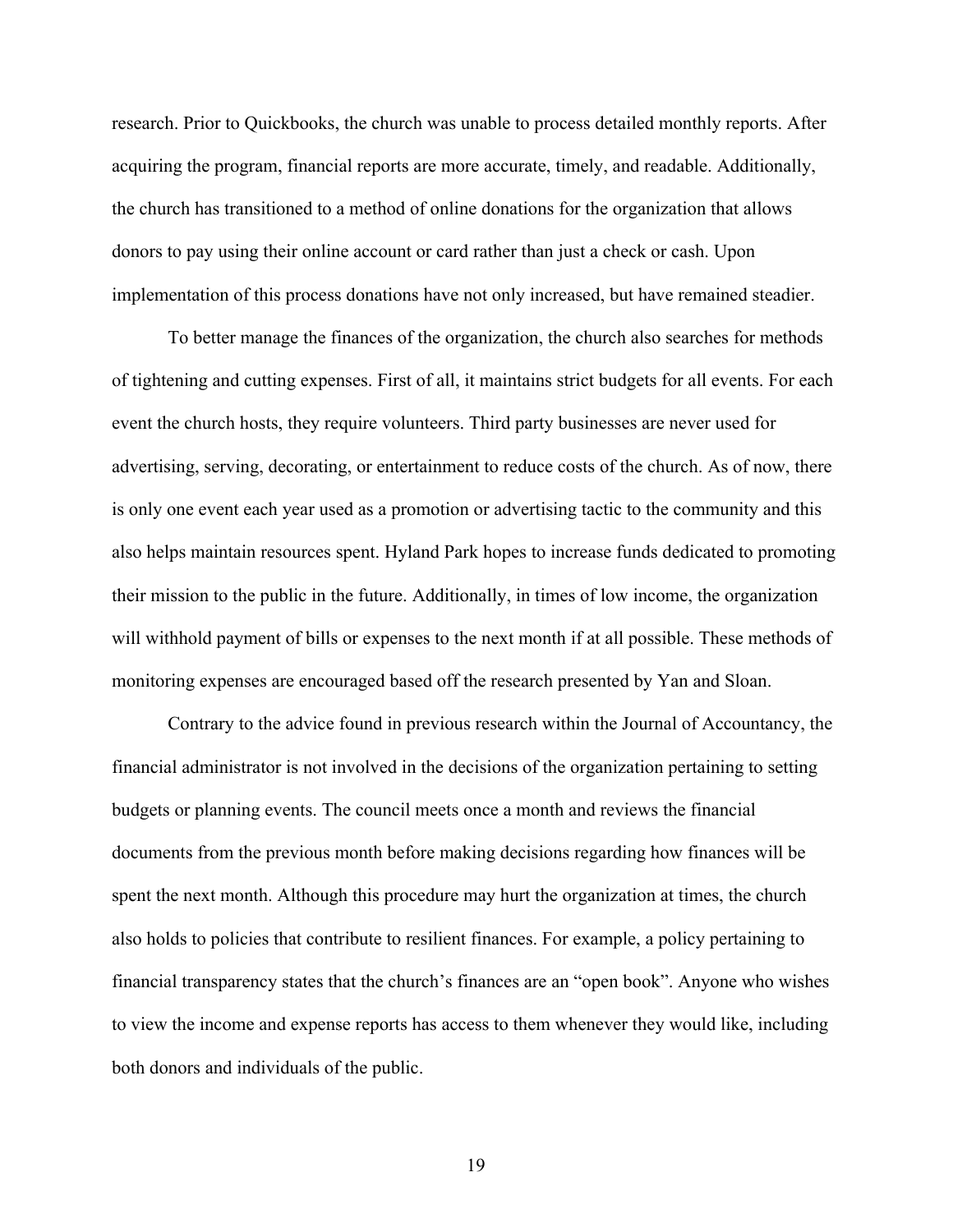research. Prior to Quickbooks, the church was unable to process detailed monthly reports. After acquiring the program, financial reports are more accurate, timely, and readable. Additionally, the church has transitioned to a method of online donations for the organization that allows donors to pay using their online account or card rather than just a check or cash. Upon implementation of this process donations have not only increased, but have remained steadier.

To better manage the finances of the organization, the church also searches for methods of tightening and cutting expenses. First of all, it maintains strict budgets for all events. For each event the church hosts, they require volunteers. Third party businesses are never used for advertising, serving, decorating, or entertainment to reduce costs of the church. As of now, there is only one event each year used as a promotion or advertising tactic to the community and this also helps maintain resources spent. Hyland Park hopes to increase funds dedicated to promoting their mission to the public in the future. Additionally, in times of low income, the organization will withhold payment of bills or expenses to the next month if at all possible. These methods of monitoring expenses are encouraged based off the research presented by Yan and Sloan.

Contrary to the advice found in previous research within the Journal of Accountancy, the financial administrator is not involved in the decisions of the organization pertaining to setting budgets or planning events. The council meets once a month and reviews the financial documents from the previous month before making decisions regarding how finances will be spent the next month. Although this procedure may hurt the organization at times, the church also holds to policies that contribute to resilient finances. For example, a policy pertaining to financial transparency states that the church's finances are an "open book". Anyone who wishes to view the income and expense reports has access to them whenever they would like, including both donors and individuals of the public.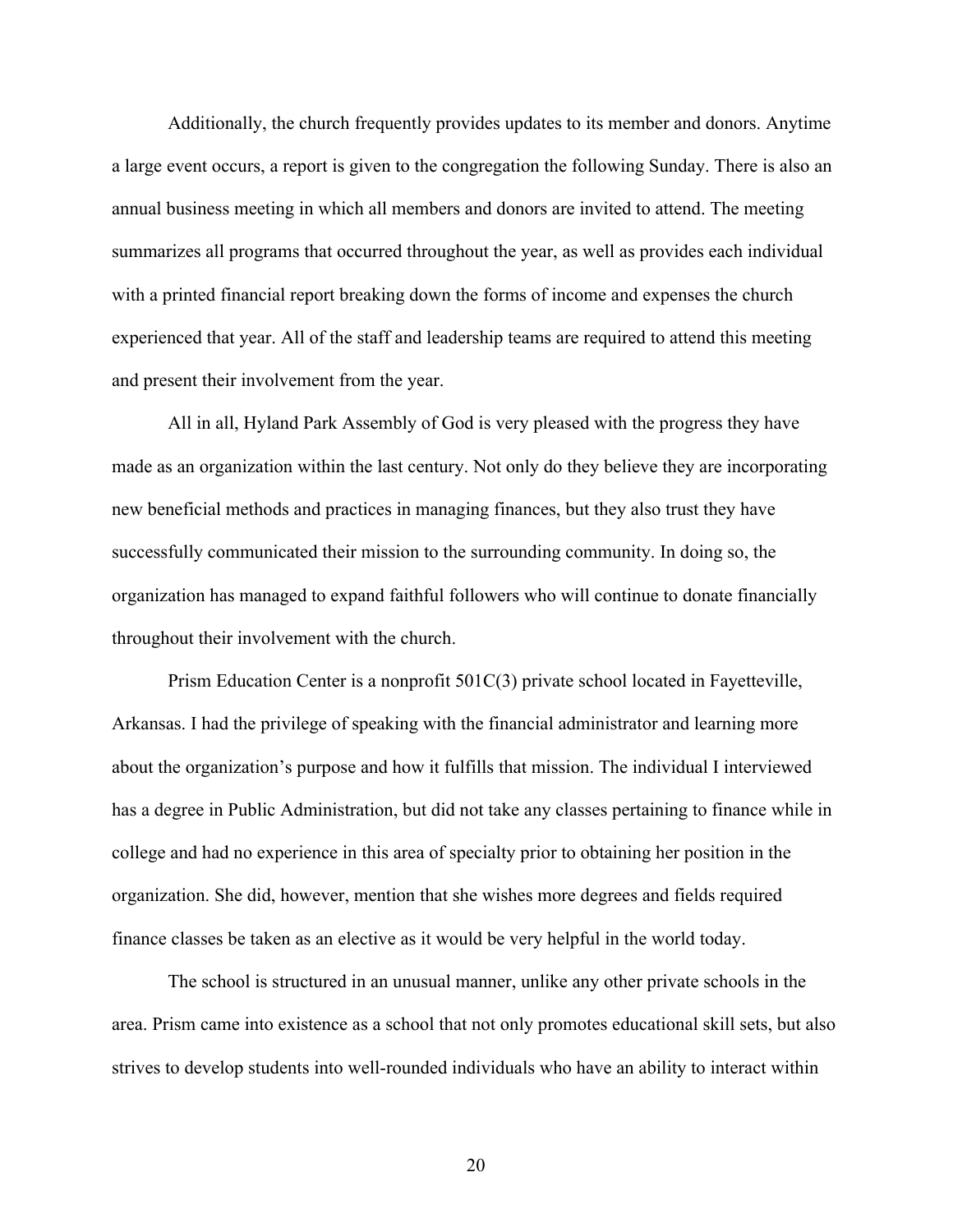Additionally, the church frequently provides updates to its member and donors. Anytime a large event occurs, a report is given to the congregation the following Sunday. There is also an annual business meeting in which all members and donors are invited to attend. The meeting summarizes all programs that occurred throughout the year, as well as provides each individual with a printed financial report breaking down the forms of income and expenses the church experienced that year. All of the staff and leadership teams are required to attend this meeting and present their involvement from the year.

All in all, Hyland Park Assembly of God is very pleased with the progress they have made as an organization within the last century. Not only do they believe they are incorporating new beneficial methods and practices in managing finances, but they also trust they have successfully communicated their mission to the surrounding community. In doing so, the organization has managed to expand faithful followers who will continue to donate financially throughout their involvement with the church.

Prism Education Center is a nonprofit 501C(3) private school located in Fayetteville, Arkansas. I had the privilege of speaking with the financial administrator and learning more about the organization's purpose and how it fulfills that mission. The individual I interviewed has a degree in Public Administration, but did not take any classes pertaining to finance while in college and had no experience in this area of specialty prior to obtaining her position in the organization. She did, however, mention that she wishes more degrees and fields required finance classes be taken as an elective as it would be very helpful in the world today.

The school is structured in an unusual manner, unlike any other private schools in the area. Prism came into existence as a school that not only promotes educational skill sets, but also strives to develop students into well-rounded individuals who have an ability to interact within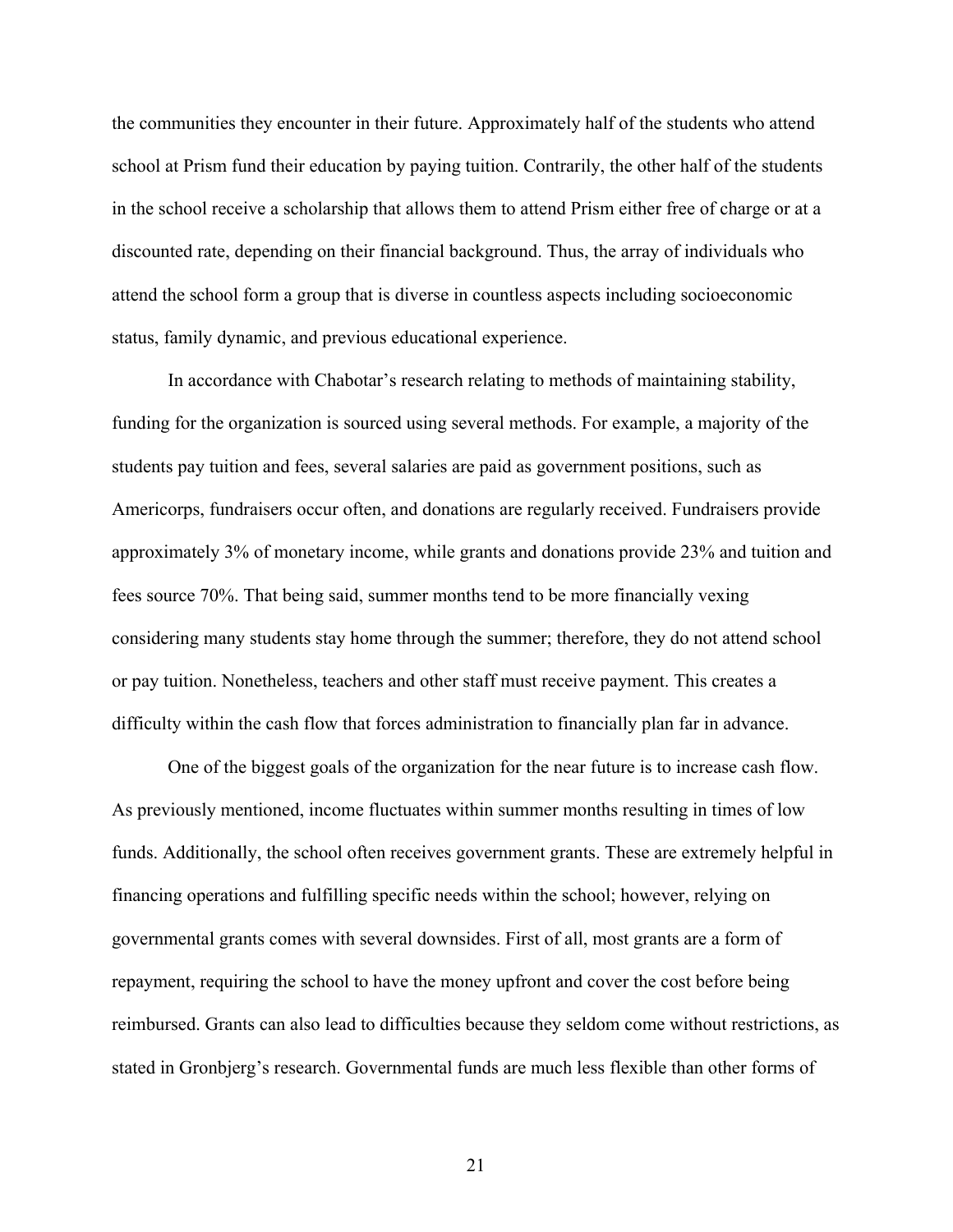the communities they encounter in their future. Approximately half of the students who attend school at Prism fund their education by paying tuition. Contrarily, the other half of the students in the school receive a scholarship that allows them to attend Prism either free of charge or at a discounted rate, depending on their financial background. Thus, the array of individuals who attend the school form a group that is diverse in countless aspects including socioeconomic status, family dynamic, and previous educational experience.

In accordance with Chabotar's research relating to methods of maintaining stability, funding for the organization is sourced using several methods. For example, a majority of the students pay tuition and fees, several salaries are paid as government positions, such as Americorps, fundraisers occur often, and donations are regularly received. Fundraisers provide approximately 3% of monetary income, while grants and donations provide 23% and tuition and fees source 70%. That being said, summer months tend to be more financially vexing considering many students stay home through the summer; therefore, they do not attend school or pay tuition. Nonetheless, teachers and other staff must receive payment. This creates a difficulty within the cash flow that forces administration to financially plan far in advance.

One of the biggest goals of the organization for the near future is to increase cash flow. As previously mentioned, income fluctuates within summer months resulting in times of low funds. Additionally, the school often receives government grants. These are extremely helpful in financing operations and fulfilling specific needs within the school; however, relying on governmental grants comes with several downsides. First of all, most grants are a form of repayment, requiring the school to have the money upfront and cover the cost before being reimbursed. Grants can also lead to difficulties because they seldom come without restrictions, as stated in Gronbjerg's research. Governmental funds are much less flexible than other forms of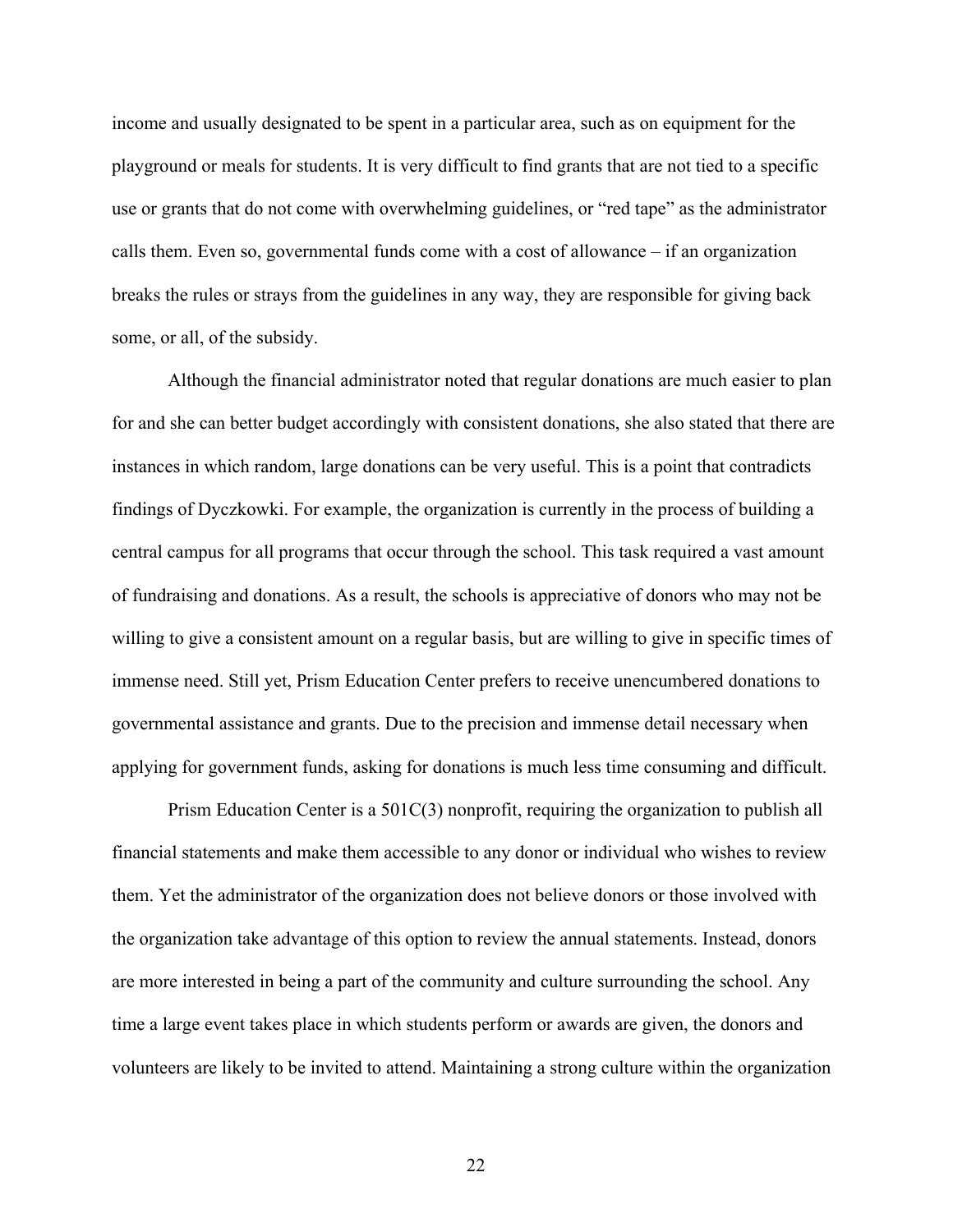income and usually designated to be spent in a particular area, such as on equipment for the playground or meals for students. It is very difficult to find grants that are not tied to a specific use or grants that do not come with overwhelming guidelines, or "red tape" as the administrator calls them. Even so, governmental funds come with a cost of allowance  $-$  if an organization breaks the rules or strays from the guidelines in any way, they are responsible for giving back some, or all, of the subsidy.

Although the financial administrator noted that regular donations are much easier to plan for and she can better budget accordingly with consistent donations, she also stated that there are instances in which random, large donations can be very useful. This is a point that contradicts findings of Dyczkowki. For example, the organization is currently in the process of building a central campus for all programs that occur through the school. This task required a vast amount of fundraising and donations. As a result, the schools is appreciative of donors who may not be willing to give a consistent amount on a regular basis, but are willing to give in specific times of immense need. Still yet, Prism Education Center prefers to receive unencumbered donations to governmental assistance and grants. Due to the precision and immense detail necessary when applying for government funds, asking for donations is much less time consuming and difficult.

Prism Education Center is a 501C(3) nonprofit, requiring the organization to publish all financial statements and make them accessible to any donor or individual who wishes to review them. Yet the administrator of the organization does not believe donors or those involved with the organization take advantage of this option to review the annual statements. Instead, donors are more interested in being a part of the community and culture surrounding the school. Any time a large event takes place in which students perform or awards are given, the donors and volunteers are likely to be invited to attend. Maintaining a strong culture within the organization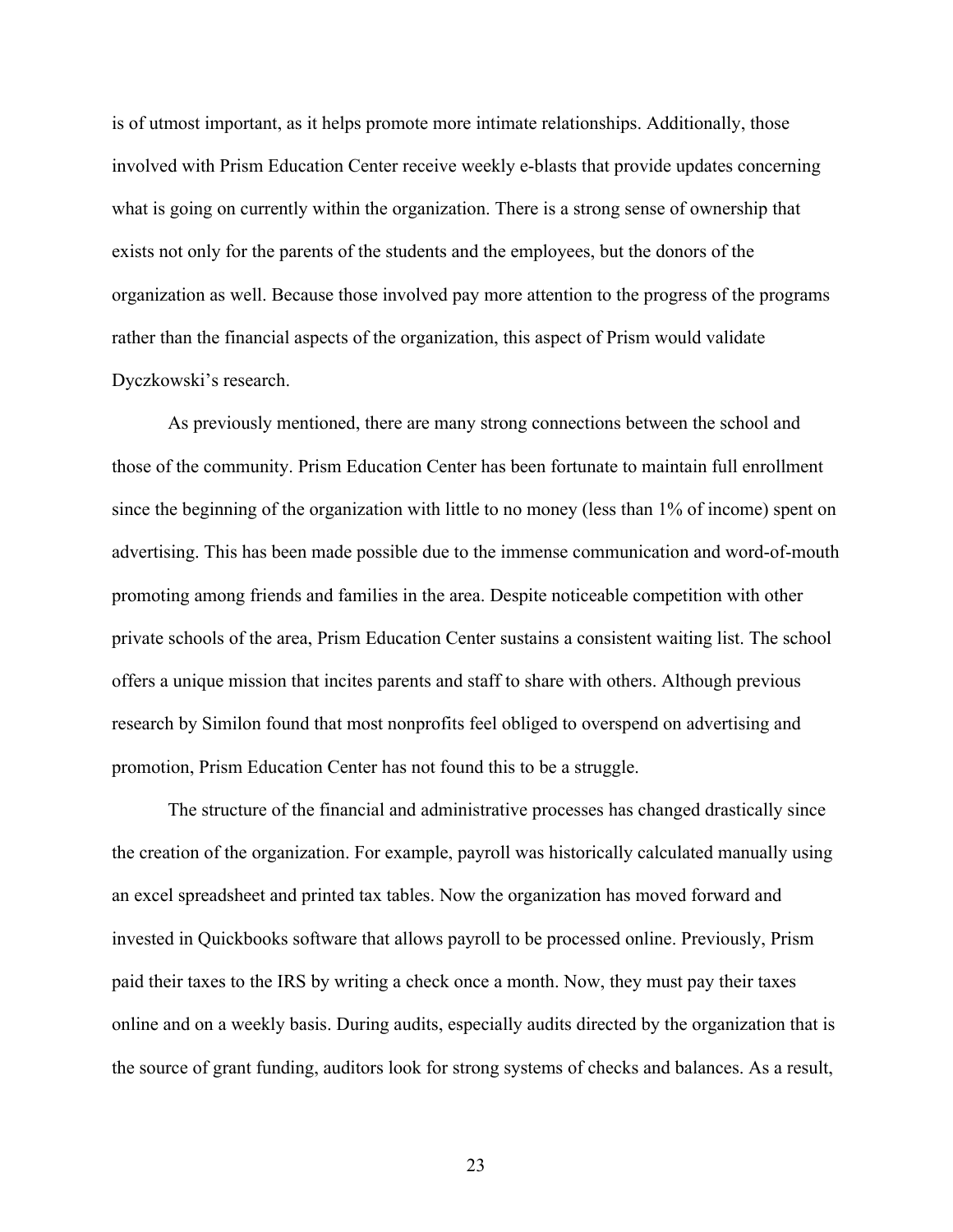is of utmost important, as it helps promote more intimate relationships. Additionally, those involved with Prism Education Center receive weekly e-blasts that provide updates concerning what is going on currently within the organization. There is a strong sense of ownership that exists not only for the parents of the students and the employees, but the donors of the organization as well. Because those involved pay more attention to the progress of the programs rather than the financial aspects of the organization, this aspect of Prism would validate Dyczkowski's research.

As previously mentioned, there are many strong connections between the school and those of the community. Prism Education Center has been fortunate to maintain full enrollment since the beginning of the organization with little to no money (less than 1% of income) spent on advertising. This has been made possible due to the immense communication and word-of-mouth promoting among friends and families in the area. Despite noticeable competition with other private schools of the area, Prism Education Center sustains a consistent waiting list. The school offers a unique mission that incites parents and staff to share with others. Although previous research by Similon found that most nonprofits feel obliged to overspend on advertising and promotion, Prism Education Center has not found this to be a struggle.

The structure of the financial and administrative processes has changed drastically since the creation of the organization. For example, payroll was historically calculated manually using an excel spreadsheet and printed tax tables. Now the organization has moved forward and invested in Quickbooks software that allows payroll to be processed online. Previously, Prism paid their taxes to the IRS by writing a check once a month. Now, they must pay their taxes online and on a weekly basis. During audits, especially audits directed by the organization that is the source of grant funding, auditors look for strong systems of checks and balances. As a result,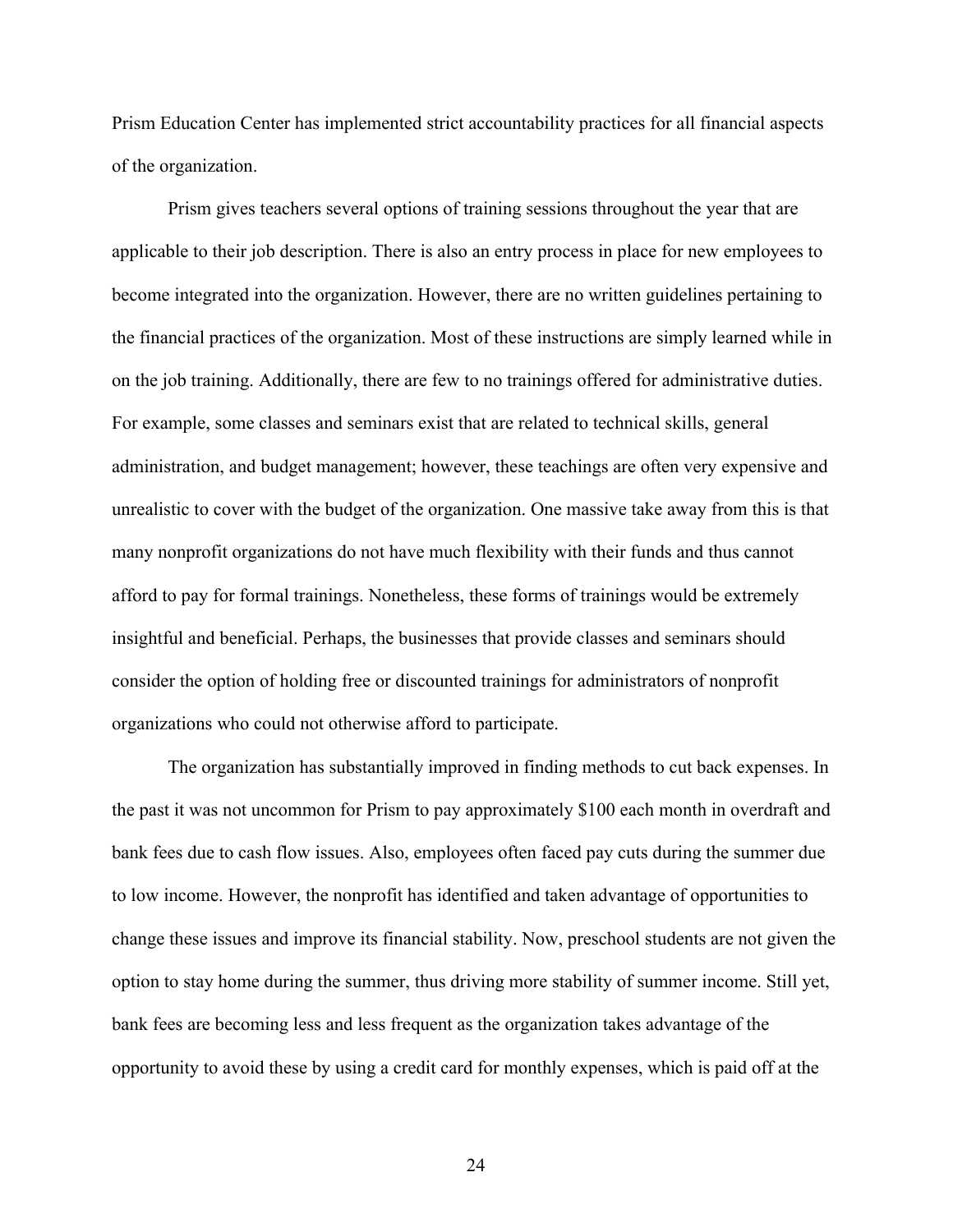Prism Education Center has implemented strict accountability practices for all financial aspects of the organization.

Prism gives teachers several options of training sessions throughout the year that are applicable to their job description. There is also an entry process in place for new employees to become integrated into the organization. However, there are no written guidelines pertaining to the financial practices of the organization. Most of these instructions are simply learned while in on the job training. Additionally, there are few to no trainings offered for administrative duties. For example, some classes and seminars exist that are related to technical skills, general administration, and budget management; however, these teachings are often very expensive and unrealistic to cover with the budget of the organization. One massive take away from this is that many nonprofit organizations do not have much flexibility with their funds and thus cannot afford to pay for formal trainings. Nonetheless, these forms of trainings would be extremely insightful and beneficial. Perhaps, the businesses that provide classes and seminars should consider the option of holding free or discounted trainings for administrators of nonprofit organizations who could not otherwise afford to participate.

The organization has substantially improved in finding methods to cut back expenses. In the past it was not uncommon for Prism to pay approximately \$100 each month in overdraft and bank fees due to cash flow issues. Also, employees often faced pay cuts during the summer due to low income. However, the nonprofit has identified and taken advantage of opportunities to change these issues and improve its financial stability. Now, preschool students are not given the option to stay home during the summer, thus driving more stability of summer income. Still yet, bank fees are becoming less and less frequent as the organization takes advantage of the opportunity to avoid these by using a credit card for monthly expenses, which is paid off at the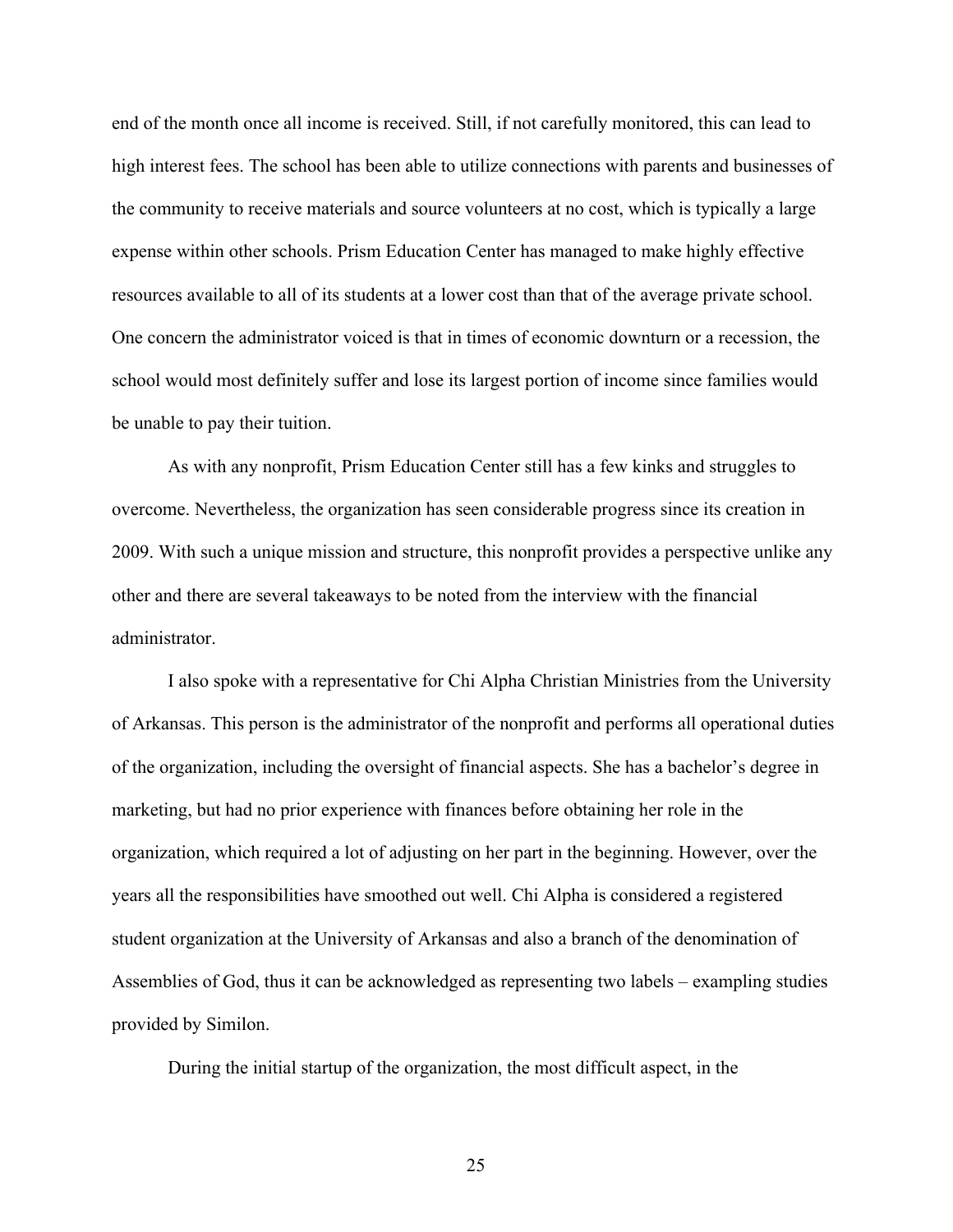end of the month once all income is received. Still, if not carefully monitored, this can lead to high interest fees. The school has been able to utilize connections with parents and businesses of the community to receive materials and source volunteers at no cost, which is typically a large expense within other schools. Prism Education Center has managed to make highly effective resources available to all of its students at a lower cost than that of the average private school. One concern the administrator voiced is that in times of economic downturn or a recession, the school would most definitely suffer and lose its largest portion of income since families would be unable to pay their tuition.

As with any nonprofit, Prism Education Center still has a few kinks and struggles to overcome. Nevertheless, the organization has seen considerable progress since its creation in 2009. With such a unique mission and structure, this nonprofit provides a perspective unlike any other and there are several takeaways to be noted from the interview with the financial administrator.

I also spoke with a representative for Chi Alpha Christian Ministries from the University of Arkansas. This person is the administrator of the nonprofit and performs all operational duties of the organization, including the oversight of financial aspects. She has a bachelor's degree in marketing, but had no prior experience with finances before obtaining her role in the organization, which required a lot of adjusting on her part in the beginning. However, over the years all the responsibilities have smoothed out well. Chi Alpha is considered a registered student organization at the University of Arkansas and also a branch of the denomination of Assemblies of God, thus it can be acknowledged as representing two labels – exampling studies provided by Similon.

During the initial startup of the organization, the most difficult aspect, in the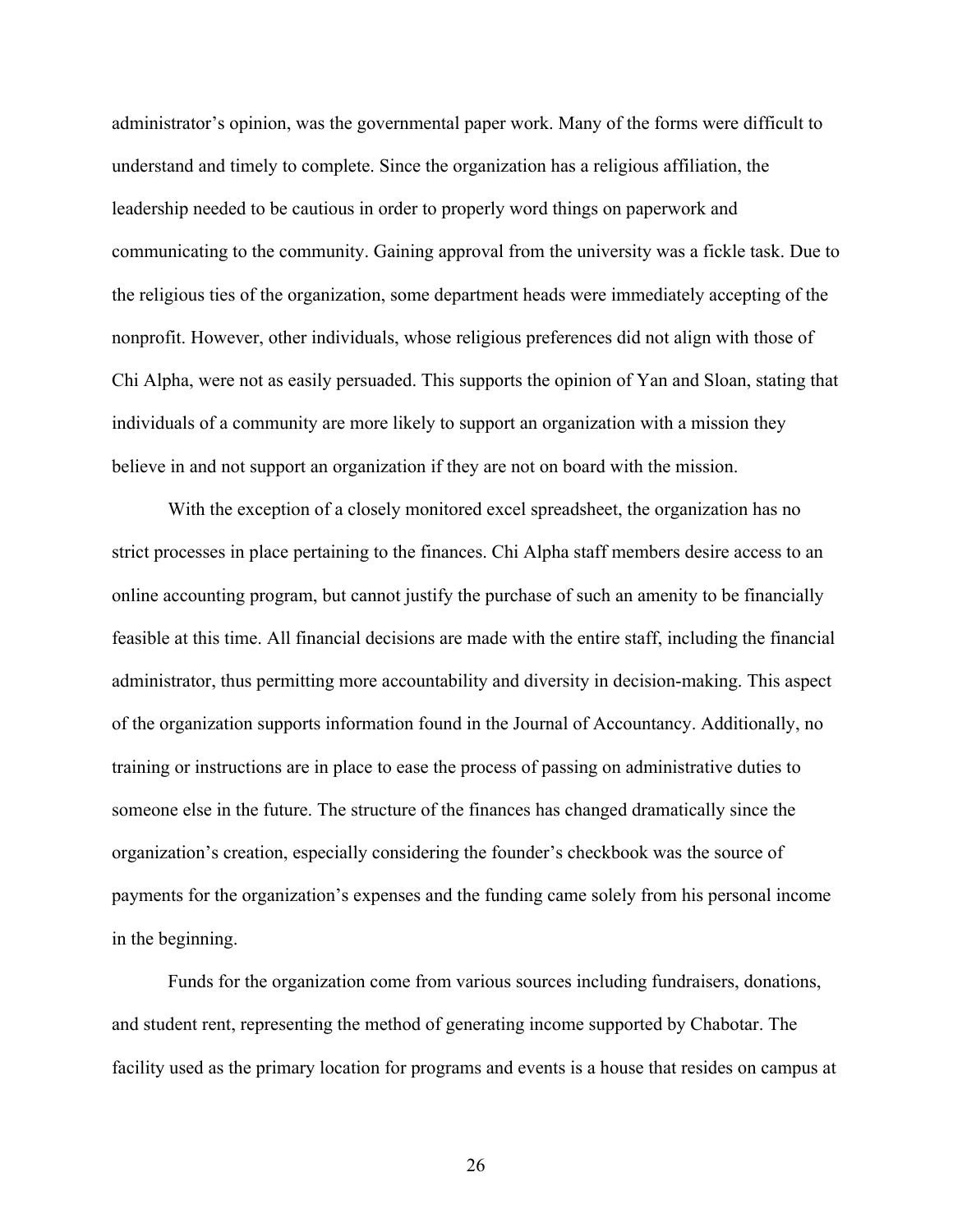administrator's opinion, was the governmental paper work. Many of the forms were difficult to understand and timely to complete. Since the organization has a religious affiliation, the leadership needed to be cautious in order to properly word things on paperwork and communicating to the community. Gaining approval from the university was a fickle task. Due to the religious ties of the organization, some department heads were immediately accepting of the nonprofit. However, other individuals, whose religious preferences did not align with those of Chi Alpha, were not as easily persuaded. This supports the opinion of Yan and Sloan, stating that individuals of a community are more likely to support an organization with a mission they believe in and not support an organization if they are not on board with the mission.

With the exception of a closely monitored excel spreadsheet, the organization has no strict processes in place pertaining to the finances. Chi Alpha staff members desire access to an online accounting program, but cannot justify the purchase of such an amenity to be financially feasible at this time. All financial decisions are made with the entire staff, including the financial administrator, thus permitting more accountability and diversity in decision-making. This aspect of the organization supports information found in the Journal of Accountancy. Additionally, no training or instructions are in place to ease the process of passing on administrative duties to someone else in the future. The structure of the finances has changed dramatically since the organization's creation, especially considering the founder's checkbook was the source of payments for the organization's expenses and the funding came solely from his personal income in the beginning.

Funds for the organization come from various sources including fundraisers, donations, and student rent, representing the method of generating income supported by Chabotar. The facility used as the primary location for programs and events is a house that resides on campus at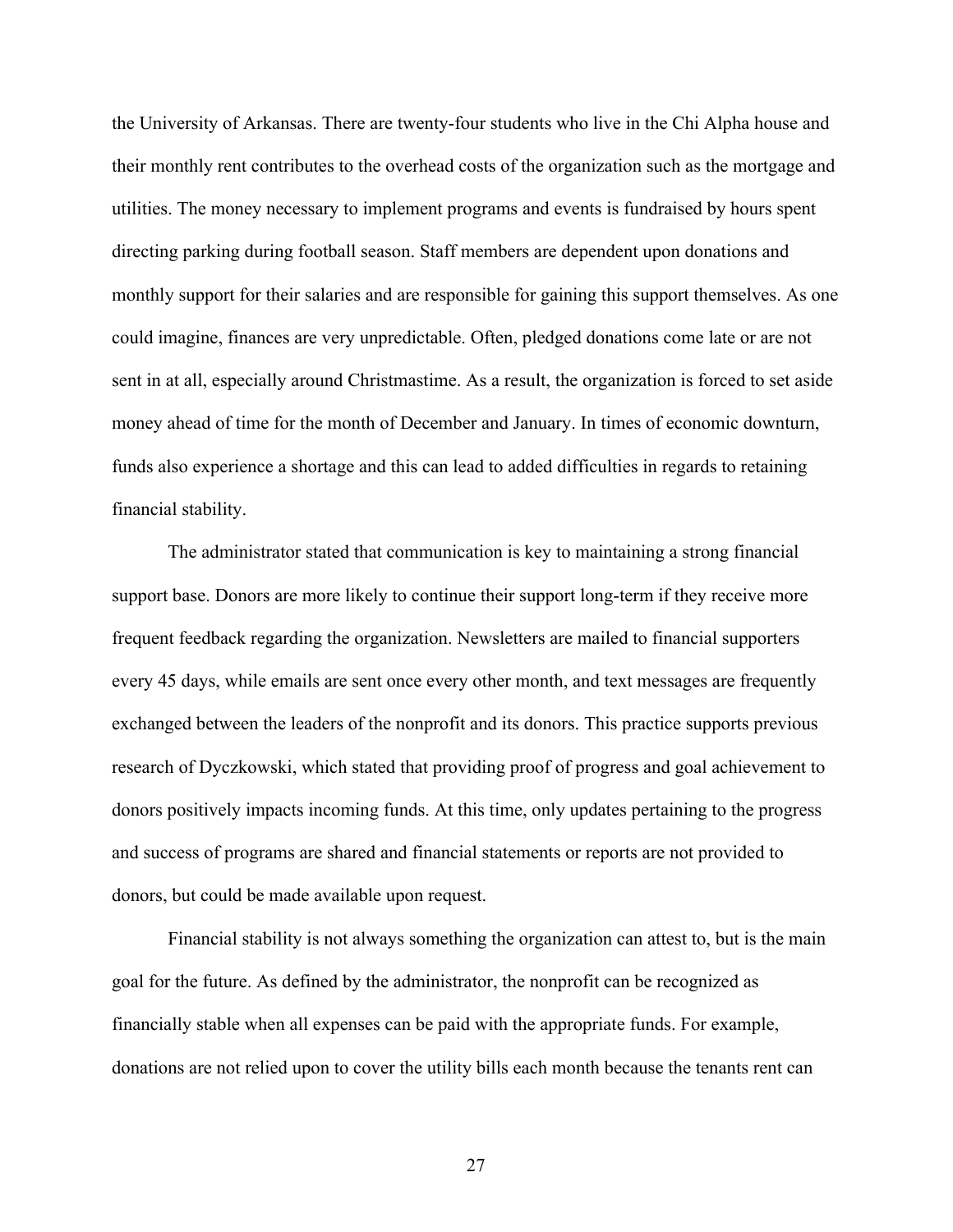the University of Arkansas. There are twenty-four students who live in the Chi Alpha house and their monthly rent contributes to the overhead costs of the organization such as the mortgage and utilities. The money necessary to implement programs and events is fundraised by hours spent directing parking during football season. Staff members are dependent upon donations and monthly support for their salaries and are responsible for gaining this support themselves. As one could imagine, finances are very unpredictable. Often, pledged donations come late or are not sent in at all, especially around Christmastime. As a result, the organization is forced to set aside money ahead of time for the month of December and January. In times of economic downturn, funds also experience a shortage and this can lead to added difficulties in regards to retaining financial stability.

The administrator stated that communication is key to maintaining a strong financial support base. Donors are more likely to continue their support long-term if they receive more frequent feedback regarding the organization. Newsletters are mailed to financial supporters every 45 days, while emails are sent once every other month, and text messages are frequently exchanged between the leaders of the nonprofit and its donors. This practice supports previous research of Dyczkowski, which stated that providing proof of progress and goal achievement to donors positively impacts incoming funds. At this time, only updates pertaining to the progress and success of programs are shared and financial statements or reports are not provided to donors, but could be made available upon request.

Financial stability is not always something the organization can attest to, but is the main goal for the future. As defined by the administrator, the nonprofit can be recognized as financially stable when all expenses can be paid with the appropriate funds. For example, donations are not relied upon to cover the utility bills each month because the tenants rent can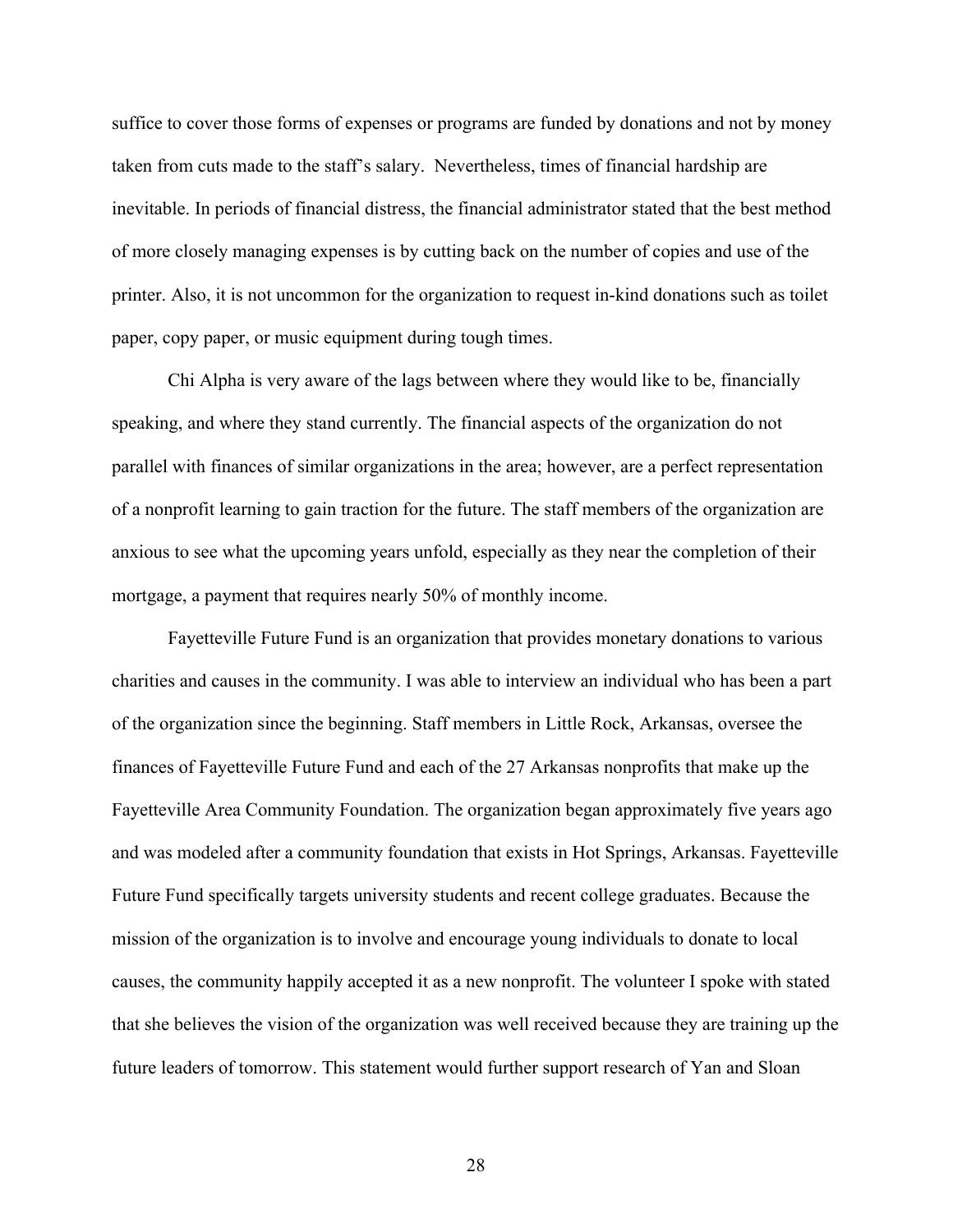suffice to cover those forms of expenses or programs are funded by donations and not by money taken from cuts made to the staff's salary. Nevertheless, times of financial hardship are inevitable. In periods of financial distress, the financial administrator stated that the best method of more closely managing expenses is by cutting back on the number of copies and use of the printer. Also, it is not uncommon for the organization to request in-kind donations such as toilet paper, copy paper, or music equipment during tough times.

Chi Alpha is very aware of the lags between where they would like to be, financially speaking, and where they stand currently. The financial aspects of the organization do not parallel with finances of similar organizations in the area; however, are a perfect representation of a nonprofit learning to gain traction for the future. The staff members of the organization are anxious to see what the upcoming years unfold, especially as they near the completion of their mortgage, a payment that requires nearly 50% of monthly income.

Fayetteville Future Fund is an organization that provides monetary donations to various charities and causes in the community. I was able to interview an individual who has been a part of the organization since the beginning. Staff members in Little Rock, Arkansas, oversee the finances of Fayetteville Future Fund and each of the 27 Arkansas nonprofits that make up the Fayetteville Area Community Foundation. The organization began approximately five years ago and was modeled after a community foundation that exists in Hot Springs, Arkansas. Fayetteville Future Fund specifically targets university students and recent college graduates. Because the mission of the organization is to involve and encourage young individuals to donate to local causes, the community happily accepted it as a new nonprofit. The volunteer I spoke with stated that she believes the vision of the organization was well received because they are training up the future leaders of tomorrow. This statement would further support research of Yan and Sloan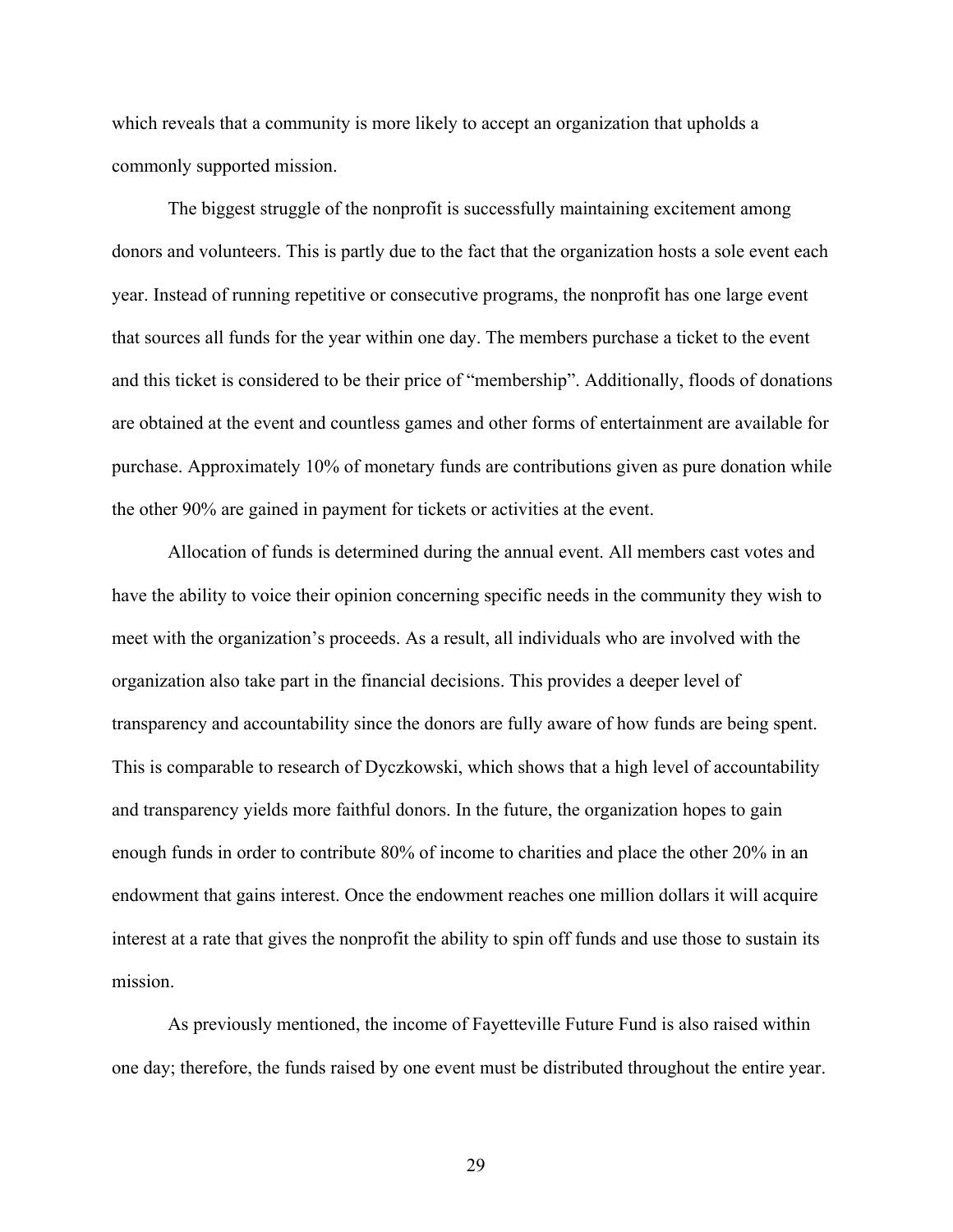which reveals that a community is more likely to accept an organization that upholds a commonly supported mission.

The biggest struggle of the nonprofit is successfully maintaining excitement among donors and volunteers. This is partly due to the fact that the organization hosts a sole event each year. Instead of running repetitive or consecutive programs, the nonprofit has one large event that sources all funds for the year within one day. The members purchase a ticket to the event and this ticket is considered to be their price of "membership". Additionally, floods of donations are obtained at the event and countless games and other forms of entertainment are available for purchase. Approximately 10% of monetary funds are contributions given as pure donation while the other 90% are gained in payment for tickets or activities at the event.

Allocation of funds is determined during the annual event. All members cast votes and have the ability to voice their opinion concerning specific needs in the community they wish to meet with the organization's proceeds. As a result, all individuals who are involved with the organization also take part in the financial decisions. This provides a deeper level of transparency and accountability since the donors are fully aware of how funds are being spent. This is comparable to research of Dyczkowski, which shows that a high level of accountability and transparency yields more faithful donors. In the future, the organization hopes to gain enough funds in order to contribute 80% of income to charities and place the other 20% in an endowment that gains interest. Once the endowment reaches one million dollars it will acquire interest at a rate that gives the nonprofit the ability to spin off funds and use those to sustain its mission.

As previously mentioned, the income of Fayetteville Future Fund is also raised within one day; therefore, the funds raised by one event must be distributed throughout the entire year.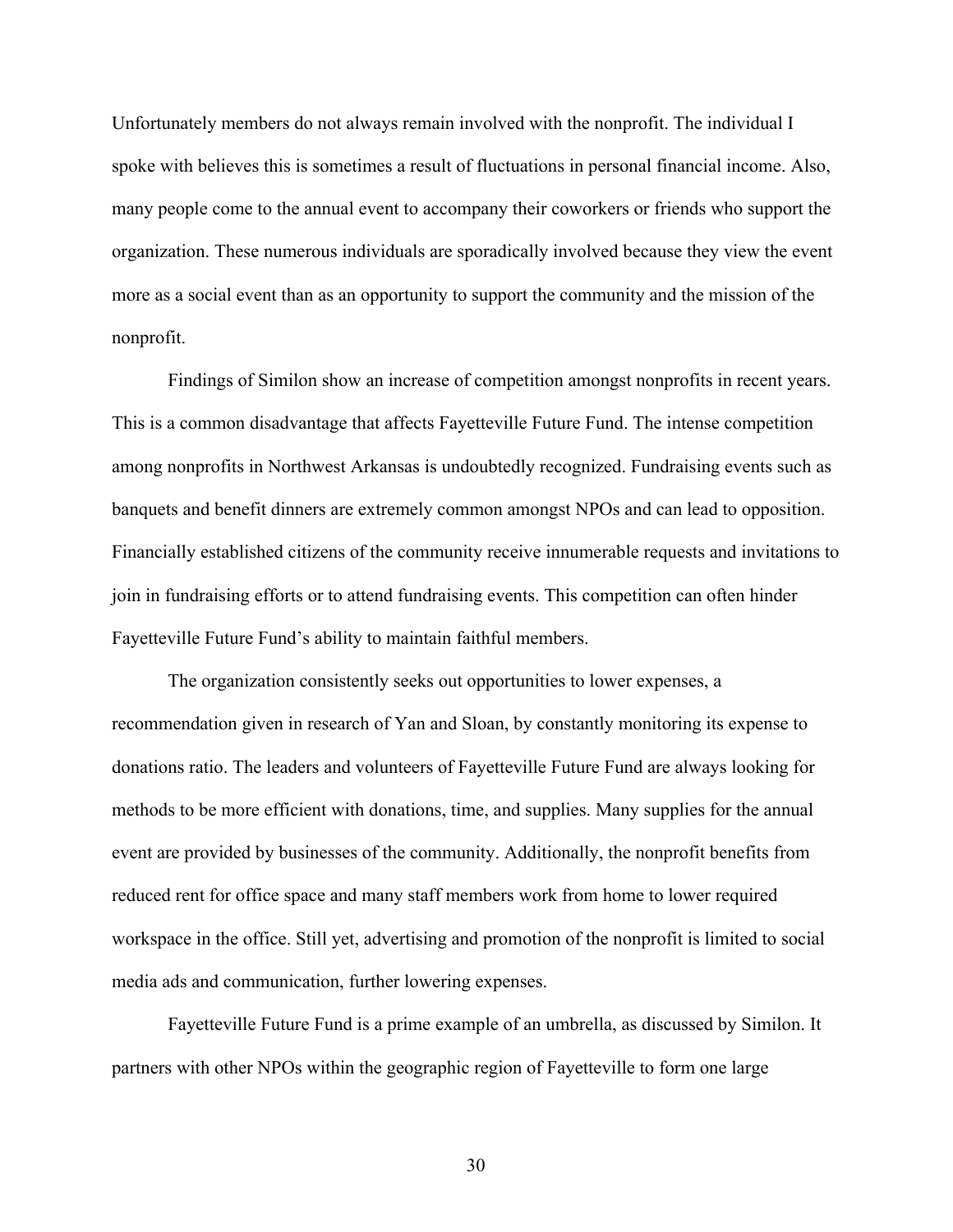Unfortunately members do not always remain involved with the nonprofit. The individual I spoke with believes this is sometimes a result of fluctuations in personal financial income. Also, many people come to the annual event to accompany their coworkers or friends who support the organization. These numerous individuals are sporadically involved because they view the event more as a social event than as an opportunity to support the community and the mission of the nonprofit.

Findings of Similon show an increase of competition amongst nonprofits in recent years. This is a common disadvantage that affects Fayetteville Future Fund. The intense competition among nonprofits in Northwest Arkansas is undoubtedly recognized. Fundraising events such as banquets and benefit dinners are extremely common amongst NPOs and can lead to opposition. Financially established citizens of the community receive innumerable requests and invitations to join in fundraising efforts or to attend fundraising events. This competition can often hinder Fayetteville Future Fund's ability to maintain faithful members.

The organization consistently seeks out opportunities to lower expenses, a recommendation given in research of Yan and Sloan, by constantly monitoring its expense to donations ratio. The leaders and volunteers of Fayetteville Future Fund are always looking for methods to be more efficient with donations, time, and supplies. Many supplies for the annual event are provided by businesses of the community. Additionally, the nonprofit benefits from reduced rent for office space and many staff members work from home to lower required workspace in the office. Still yet, advertising and promotion of the nonprofit is limited to social media ads and communication, further lowering expenses.

Fayetteville Future Fund is a prime example of an umbrella, as discussed by Similon. It partners with other NPOs within the geographic region of Fayetteville to form one large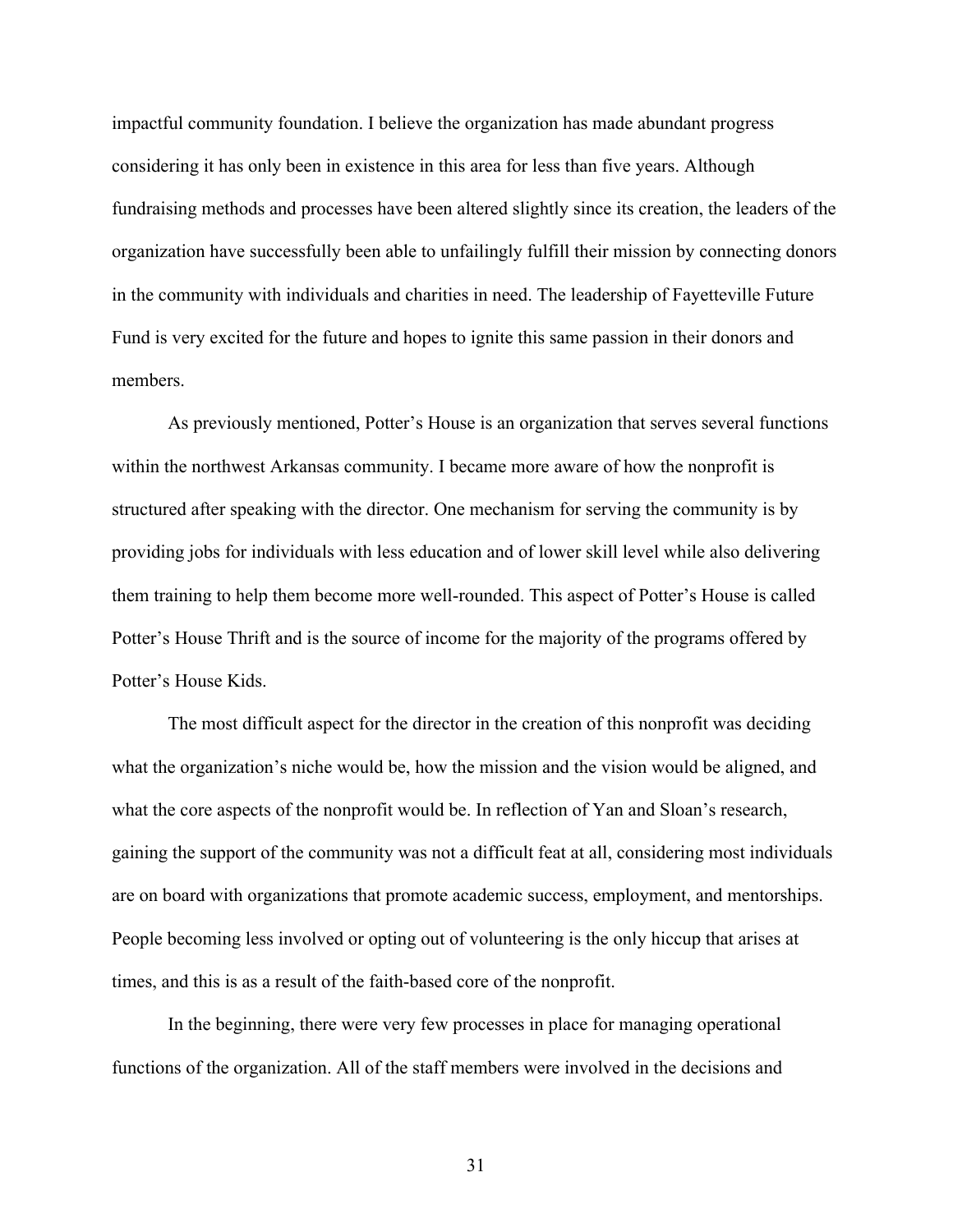impactful community foundation. I believe the organization has made abundant progress considering it has only been in existence in this area for less than five years. Although fundraising methods and processes have been altered slightly since its creation, the leaders of the organization have successfully been able to unfailingly fulfill their mission by connecting donors in the community with individuals and charities in need. The leadership of Fayetteville Future Fund is very excited for the future and hopes to ignite this same passion in their donors and members.

As previously mentioned, Potter's House is an organization that serves several functions within the northwest Arkansas community. I became more aware of how the nonprofit is structured after speaking with the director. One mechanism for serving the community is by providing jobs for individuals with less education and of lower skill level while also delivering them training to help them become more well-rounded. This aspect of Potter's House is called Potter's House Thrift and is the source of income for the majority of the programs offered by Potter's House Kids.

The most difficult aspect for the director in the creation of this nonprofit was deciding what the organization's niche would be, how the mission and the vision would be aligned, and what the core aspects of the nonprofit would be. In reflection of Yan and Sloan's research, gaining the support of the community was not a difficult feat at all, considering most individuals are on board with organizations that promote academic success, employment, and mentorships. People becoming less involved or opting out of volunteering is the only hiccup that arises at times, and this is as a result of the faith-based core of the nonprofit.

In the beginning, there were very few processes in place for managing operational functions of the organization. All of the staff members were involved in the decisions and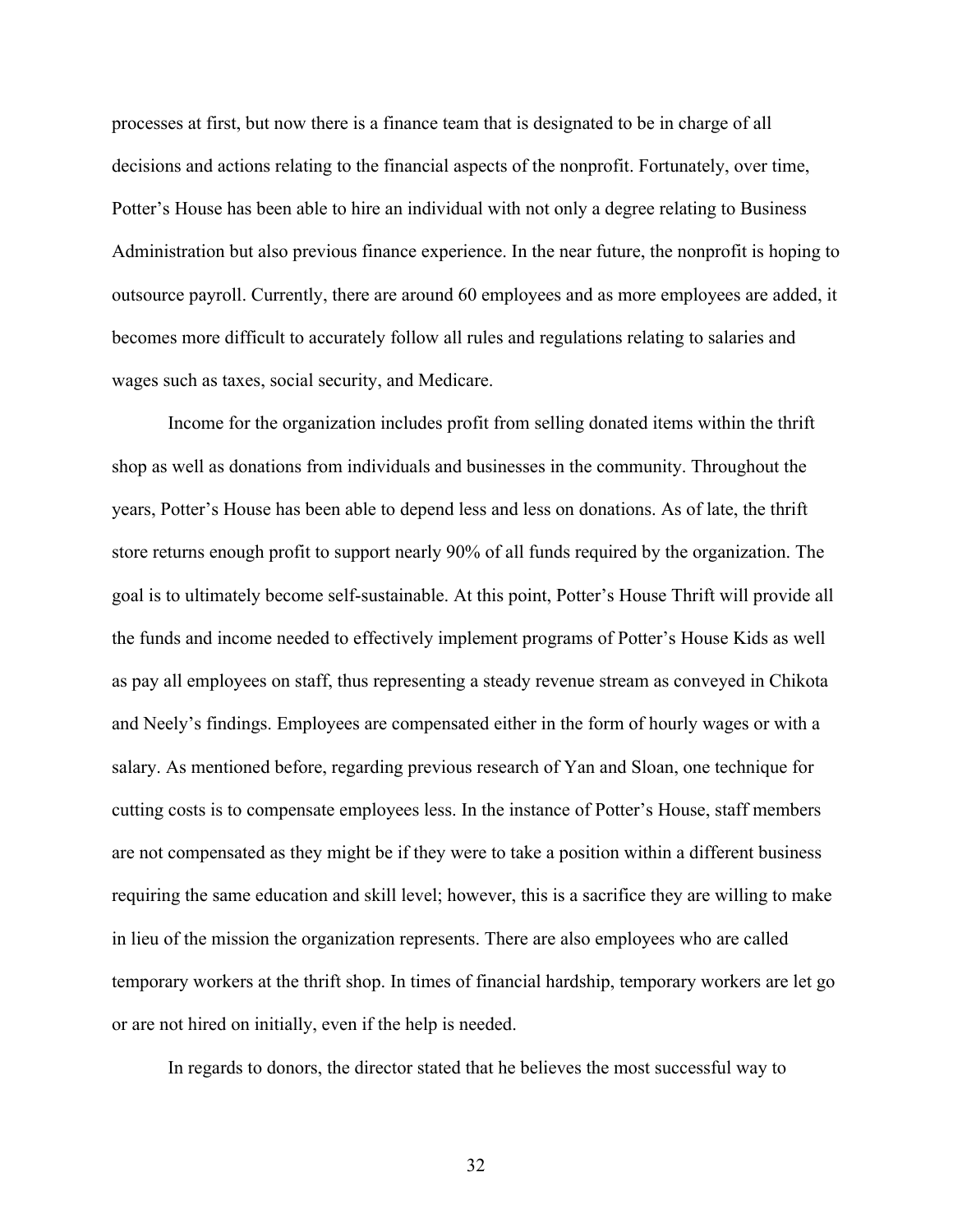processes at first, but now there is a finance team that is designated to be in charge of all decisions and actions relating to the financial aspects of the nonprofit. Fortunately, over time, Potter's House has been able to hire an individual with not only a degree relating to Business Administration but also previous finance experience. In the near future, the nonprofit is hoping to outsource payroll. Currently, there are around 60 employees and as more employees are added, it becomes more difficult to accurately follow all rules and regulations relating to salaries and wages such as taxes, social security, and Medicare.

Income for the organization includes profit from selling donated items within the thrift shop as well as donations from individuals and businesses in the community. Throughout the years, Potter's House has been able to depend less and less on donations. As of late, the thrift store returns enough profit to support nearly 90% of all funds required by the organization. The goal is to ultimately become self-sustainable. At this point, Potter's House Thrift will provide all the funds and income needed to effectively implement programs of Potter's House Kids as well as pay all employees on staff, thus representing a steady revenue stream as conveyed in Chikota and Neely's findings. Employees are compensated either in the form of hourly wages or with a salary. As mentioned before, regarding previous research of Yan and Sloan, one technique for cutting costs is to compensate employees less. In the instance of Potter's House, staff members are not compensated as they might be if they were to take a position within a different business requiring the same education and skill level; however, this is a sacrifice they are willing to make in lieu of the mission the organization represents. There are also employees who are called temporary workers at the thrift shop. In times of financial hardship, temporary workers are let go or are not hired on initially, even if the help is needed.

In regards to donors, the director stated that he believes the most successful way to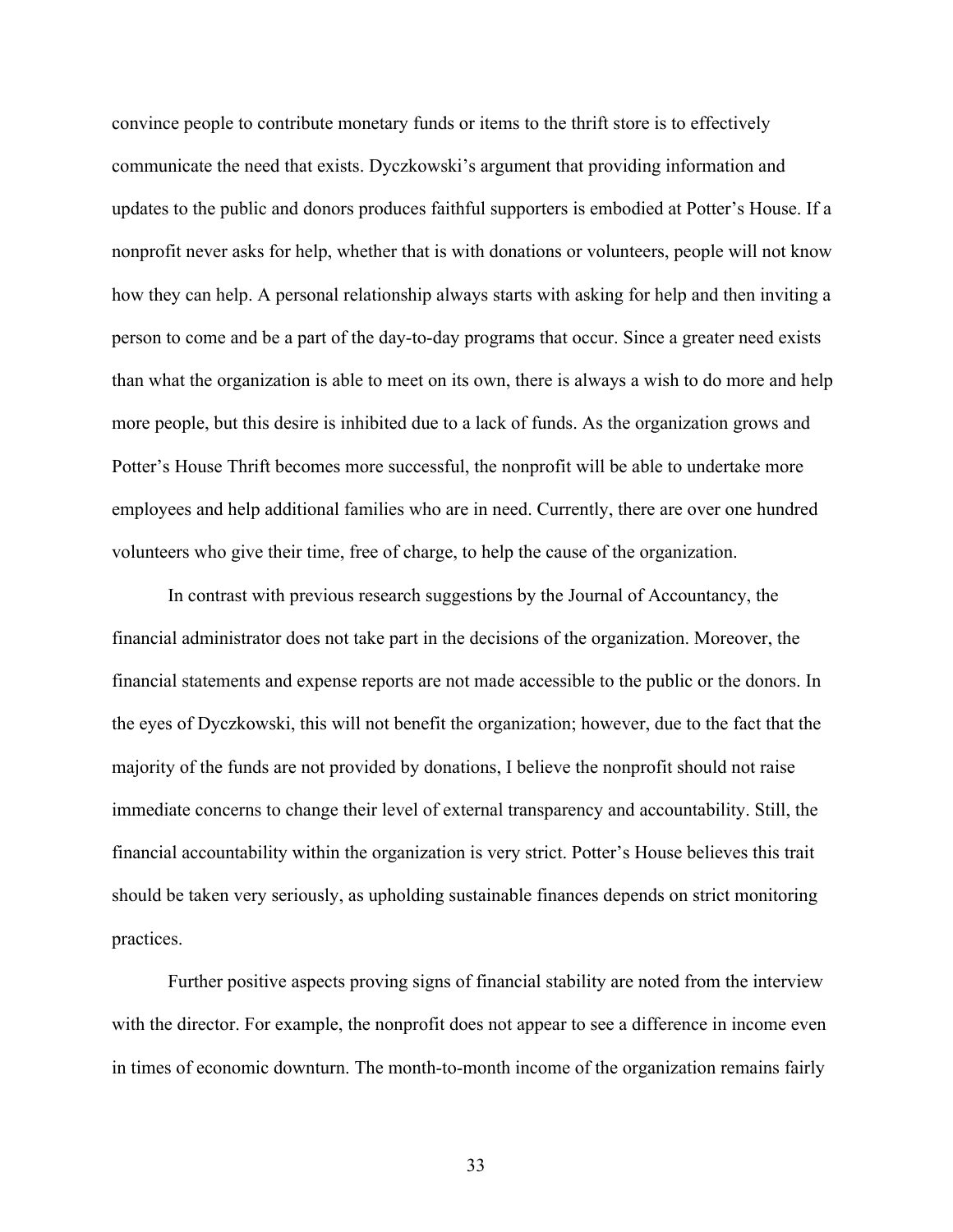convince people to contribute monetary funds or items to the thrift store is to effectively communicate the need that exists. Dyczkowski's argument that providing information and updates to the public and donors produces faithful supporters is embodied at Potter's House. If a nonprofit never asks for help, whether that is with donations or volunteers, people will not know how they can help. A personal relationship always starts with asking for help and then inviting a person to come and be a part of the day-to-day programs that occur. Since a greater need exists than what the organization is able to meet on its own, there is always a wish to do more and help more people, but this desire is inhibited due to a lack of funds. As the organization grows and Potter's House Thrift becomes more successful, the nonprofit will be able to undertake more employees and help additional families who are in need. Currently, there are over one hundred volunteers who give their time, free of charge, to help the cause of the organization.

In contrast with previous research suggestions by the Journal of Accountancy, the financial administrator does not take part in the decisions of the organization. Moreover, the financial statements and expense reports are not made accessible to the public or the donors. In the eyes of Dyczkowski, this will not benefit the organization; however, due to the fact that the majority of the funds are not provided by donations, I believe the nonprofit should not raise immediate concerns to change their level of external transparency and accountability. Still, the financial accountability within the organization is very strict. Potter's House believes this trait should be taken very seriously, as upholding sustainable finances depends on strict monitoring practices.

Further positive aspects proving signs of financial stability are noted from the interview with the director. For example, the nonprofit does not appear to see a difference in income even in times of economic downturn. The month-to-month income of the organization remains fairly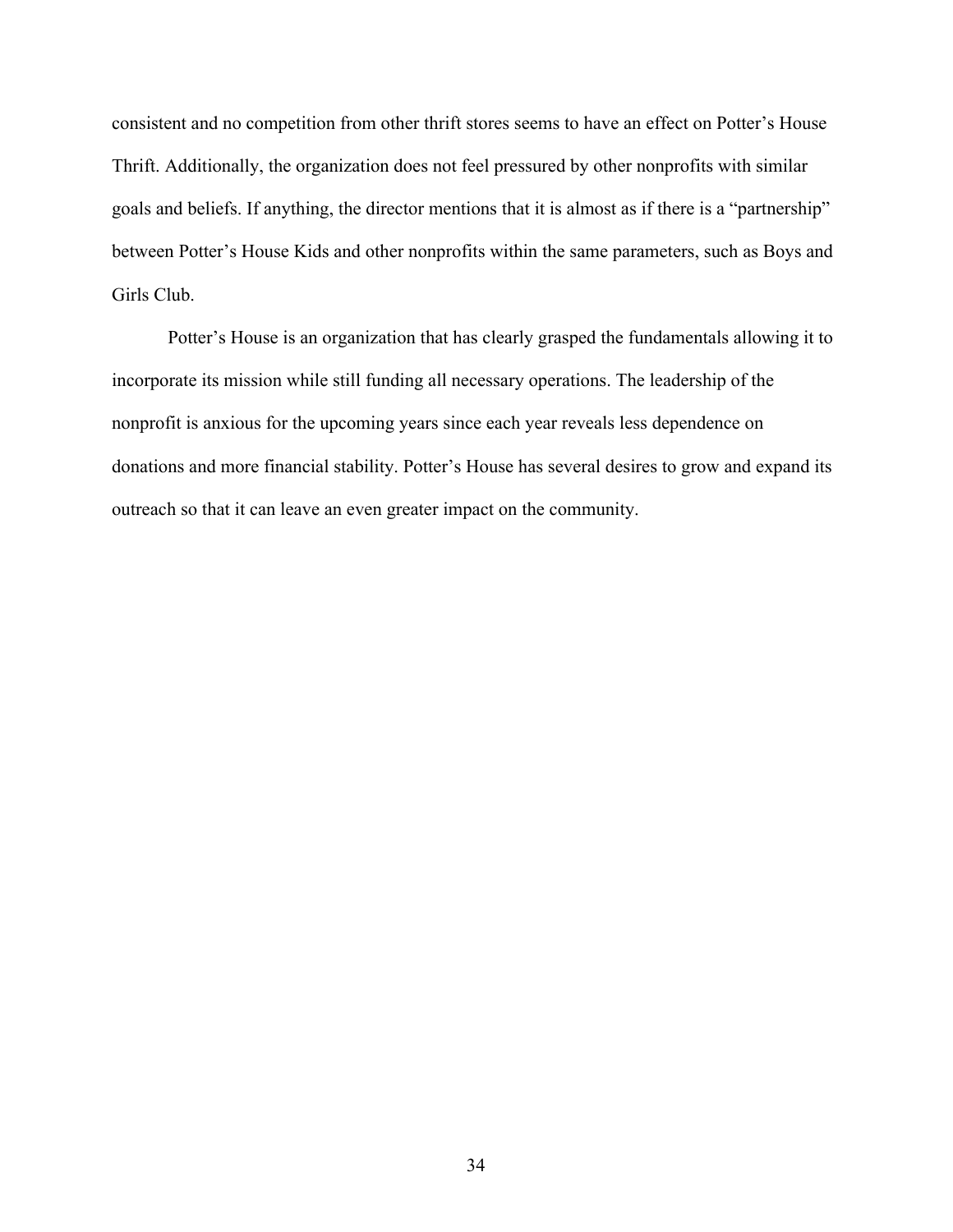consistent and no competition from other thrift stores seems to have an effect on Potter's House Thrift. Additionally, the organization does not feel pressured by other nonprofits with similar goals and beliefs. If anything, the director mentions that it is almost as if there is a "partnership" between Potter's House Kids and other nonprofits within the same parameters, such as Boys and Girls Club.

Potter's House is an organization that has clearly grasped the fundamentals allowing it to incorporate its mission while still funding all necessary operations. The leadership of the nonprofit is anxious for the upcoming years since each year reveals less dependence on donations and more financial stability. Potter's House has several desires to grow and expand its outreach so that it can leave an even greater impact on the community.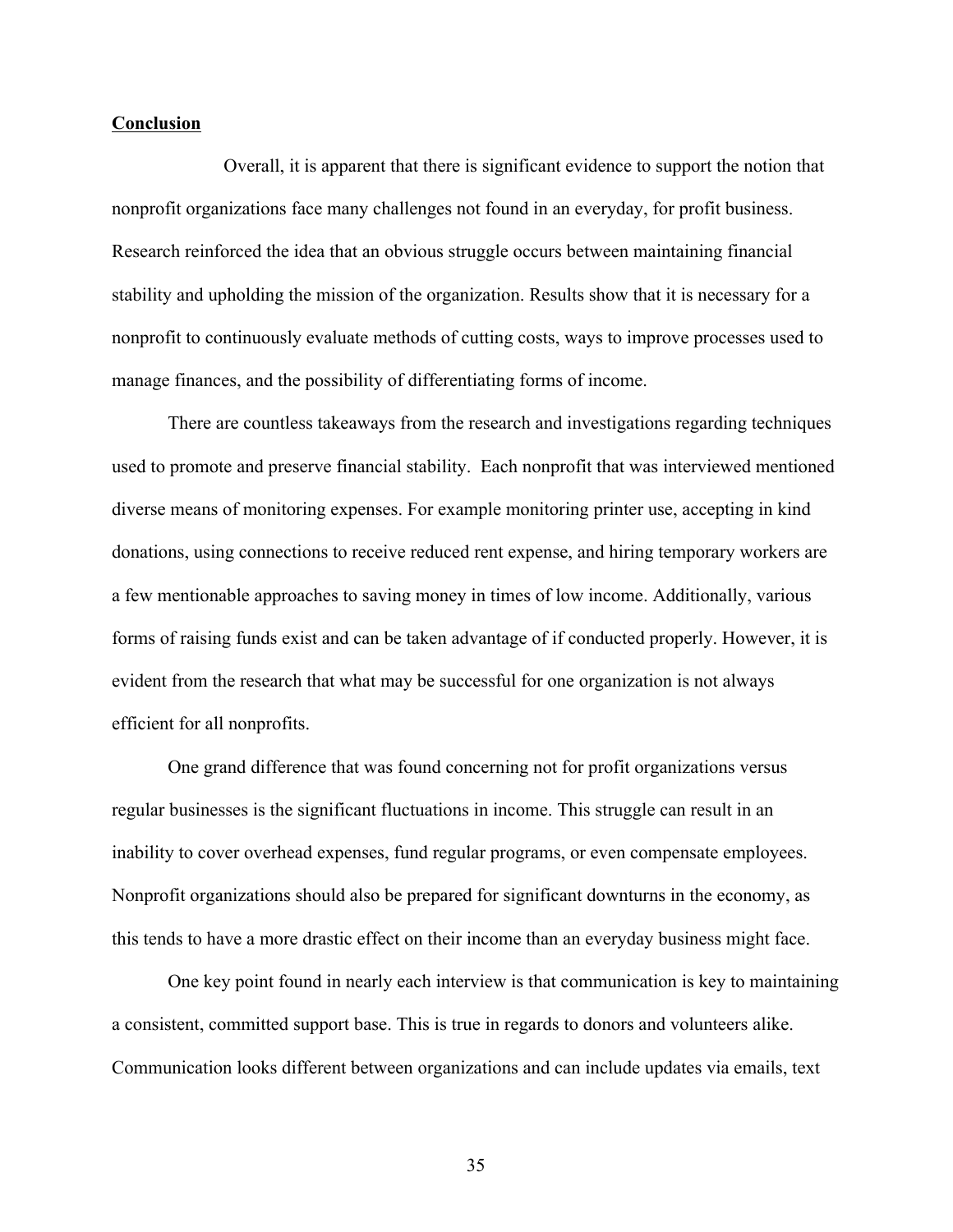#### **Conclusion**

Overall, it is apparent that there is significant evidence to support the notion that nonprofit organizations face many challenges not found in an everyday, for profit business. Research reinforced the idea that an obvious struggle occurs between maintaining financial stability and upholding the mission of the organization. Results show that it is necessary for a nonprofit to continuously evaluate methods of cutting costs, ways to improve processes used to manage finances, and the possibility of differentiating forms of income.

There are countless takeaways from the research and investigations regarding techniques used to promote and preserve financial stability. Each nonprofit that was interviewed mentioned diverse means of monitoring expenses. For example monitoring printer use, accepting in kind donations, using connections to receive reduced rent expense, and hiring temporary workers are a few mentionable approaches to saving money in times of low income. Additionally, various forms of raising funds exist and can be taken advantage of if conducted properly. However, it is evident from the research that what may be successful for one organization is not always efficient for all nonprofits.

One grand difference that was found concerning not for profit organizations versus regular businesses is the significant fluctuations in income. This struggle can result in an inability to cover overhead expenses, fund regular programs, or even compensate employees. Nonprofit organizations should also be prepared for significant downturns in the economy, as this tends to have a more drastic effect on their income than an everyday business might face.

One key point found in nearly each interview is that communication is key to maintaining a consistent, committed support base. This is true in regards to donors and volunteers alike. Communication looks different between organizations and can include updates via emails, text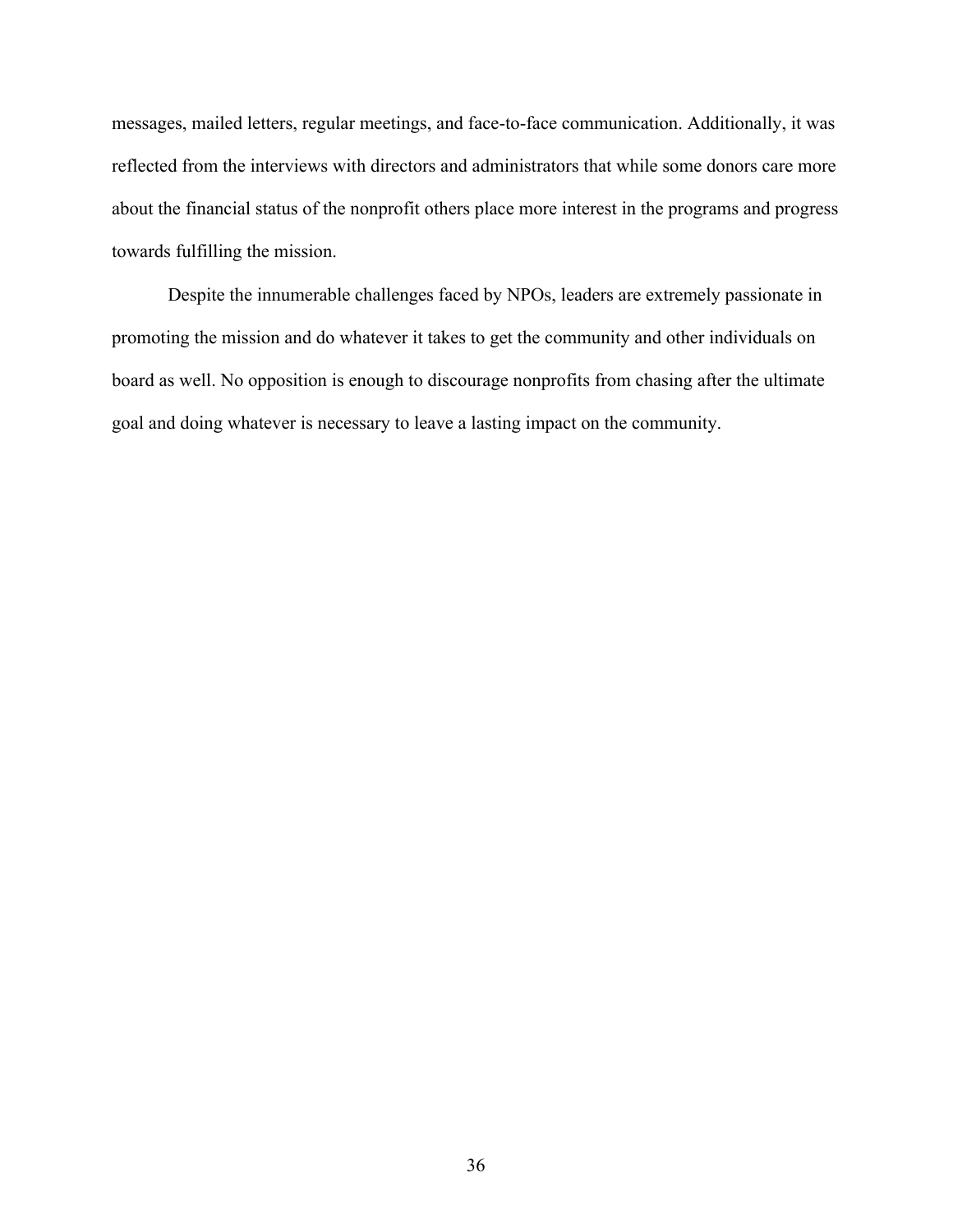messages, mailed letters, regular meetings, and face-to-face communication. Additionally, it was reflected from the interviews with directors and administrators that while some donors care more about the financial status of the nonprofit others place more interest in the programs and progress towards fulfilling the mission.

Despite the innumerable challenges faced by NPOs, leaders are extremely passionate in promoting the mission and do whatever it takes to get the community and other individuals on board as well. No opposition is enough to discourage nonprofits from chasing after the ultimate goal and doing whatever is necessary to leave a lasting impact on the community.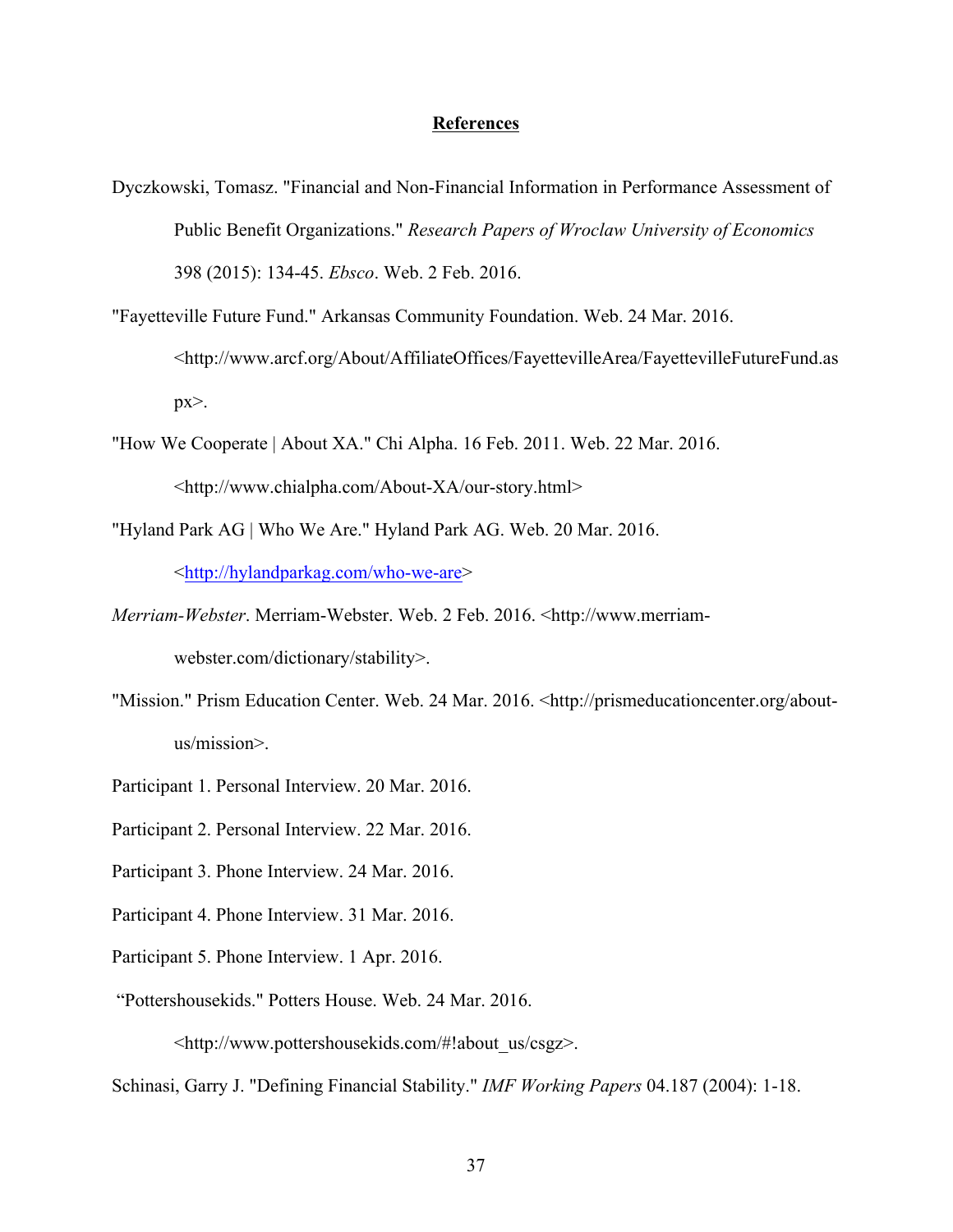#### **References**

- Dyczkowski, Tomasz. "Financial and Non-Financial Information in Performance Assessment of Public Benefit Organizations." *Research Papers of Wroclaw University of Economics* 398 (2015): 134-45. *Ebsco*. Web. 2 Feb. 2016.
- "Fayetteville Future Fund." Arkansas Community Foundation. Web. 24 Mar. 2016. <http://www.arcf.org/About/AffiliateOffices/FayettevilleArea/FayettevilleFutureFund.as  $px$ .
- "How We Cooperate | About XA." Chi Alpha. 16 Feb. 2011. Web. 22 Mar. 2016. <http://www.chialpha.com/About-XA/our-story.html>
- "Hyland Park AG | Who We Are." Hyland Park AG. Web. 20 Mar. 2016.

<http://hylandparkag.com/who-we-are>

- *Merriam-Webster*. Merriam-Webster. Web. 2 Feb. 2016. <http://www.merriamwebster.com/dictionary/stability>.
- "Mission." Prism Education Center. Web. 24 Mar. 2016. <http://prismeducationcenter.org/aboutus/mission>.
- Participant 1. Personal Interview. 20 Mar. 2016.
- Participant 2. Personal Interview. 22 Mar. 2016.
- Participant 3. Phone Interview. 24 Mar. 2016.
- Participant 4. Phone Interview. 31 Mar. 2016.
- Participant 5. Phone Interview. 1 Apr. 2016.
- "Pottershousekids." Potters House. Web. 24 Mar. 2016.

<http://www.pottershousekids.com/#!about\_us/csgz>.

Schinasi, Garry J. "Defining Financial Stability." *IMF Working Papers* 04.187 (2004): 1-18.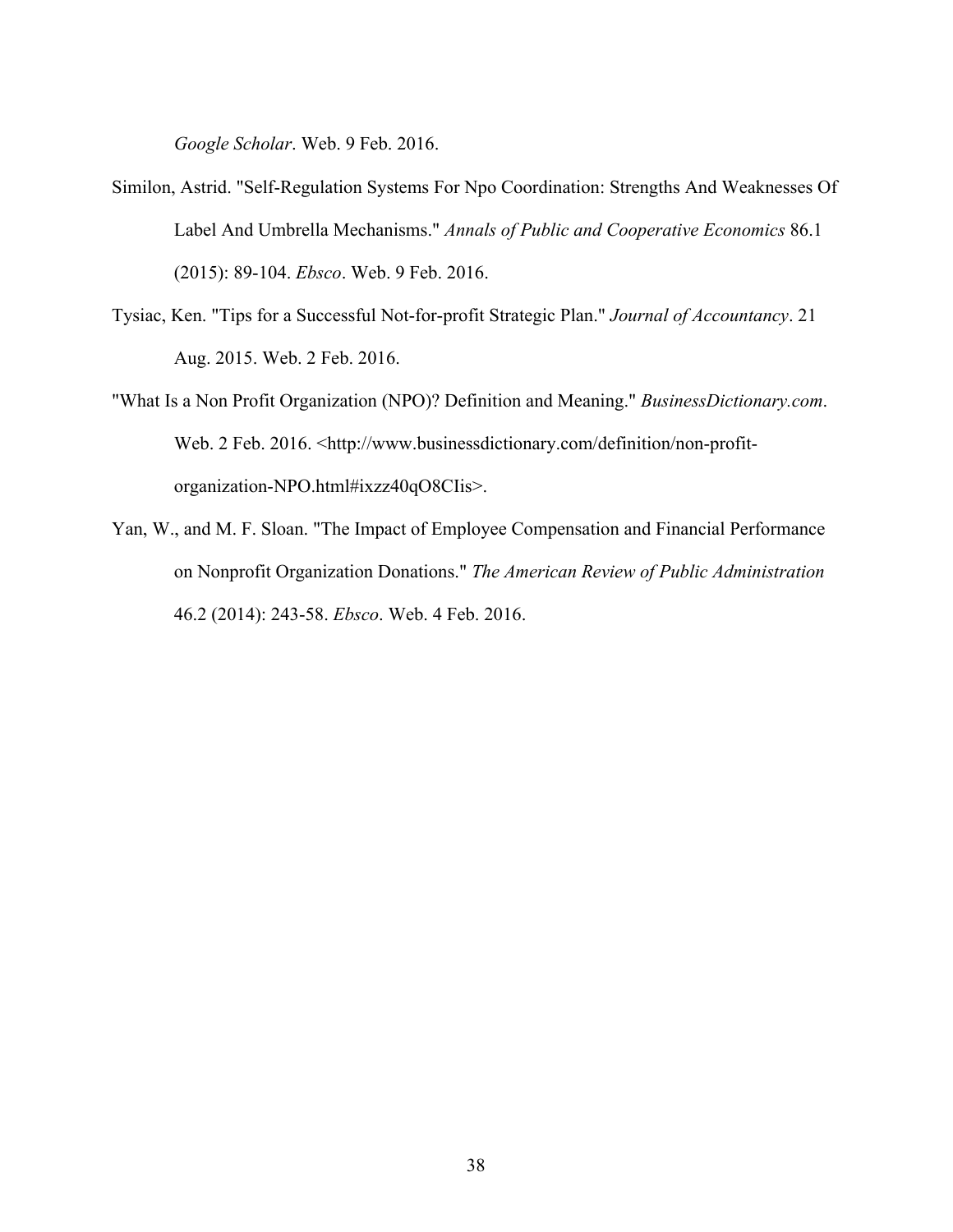*Google Scholar*. Web. 9 Feb. 2016.

- Similon, Astrid. "Self-Regulation Systems For Npo Coordination: Strengths And Weaknesses Of Label And Umbrella Mechanisms." *Annals of Public and Cooperative Economics* 86.1 (2015): 89-104. *Ebsco*. Web. 9 Feb. 2016.
- Tysiac, Ken. "Tips for a Successful Not-for-profit Strategic Plan." *Journal of Accountancy*. 21 Aug. 2015. Web. 2 Feb. 2016.
- "What Is a Non Profit Organization (NPO)? Definition and Meaning." *BusinessDictionary.com*. Web. 2 Feb. 2016. <http://www.businessdictionary.com/definition/non-profitorganization-NPO.html#ixzz40qO8CIis>.
- Yan, W., and M. F. Sloan. "The Impact of Employee Compensation and Financial Performance on Nonprofit Organization Donations." *The American Review of Public Administration* 46.2 (2014): 243-58. *Ebsco*. Web. 4 Feb. 2016.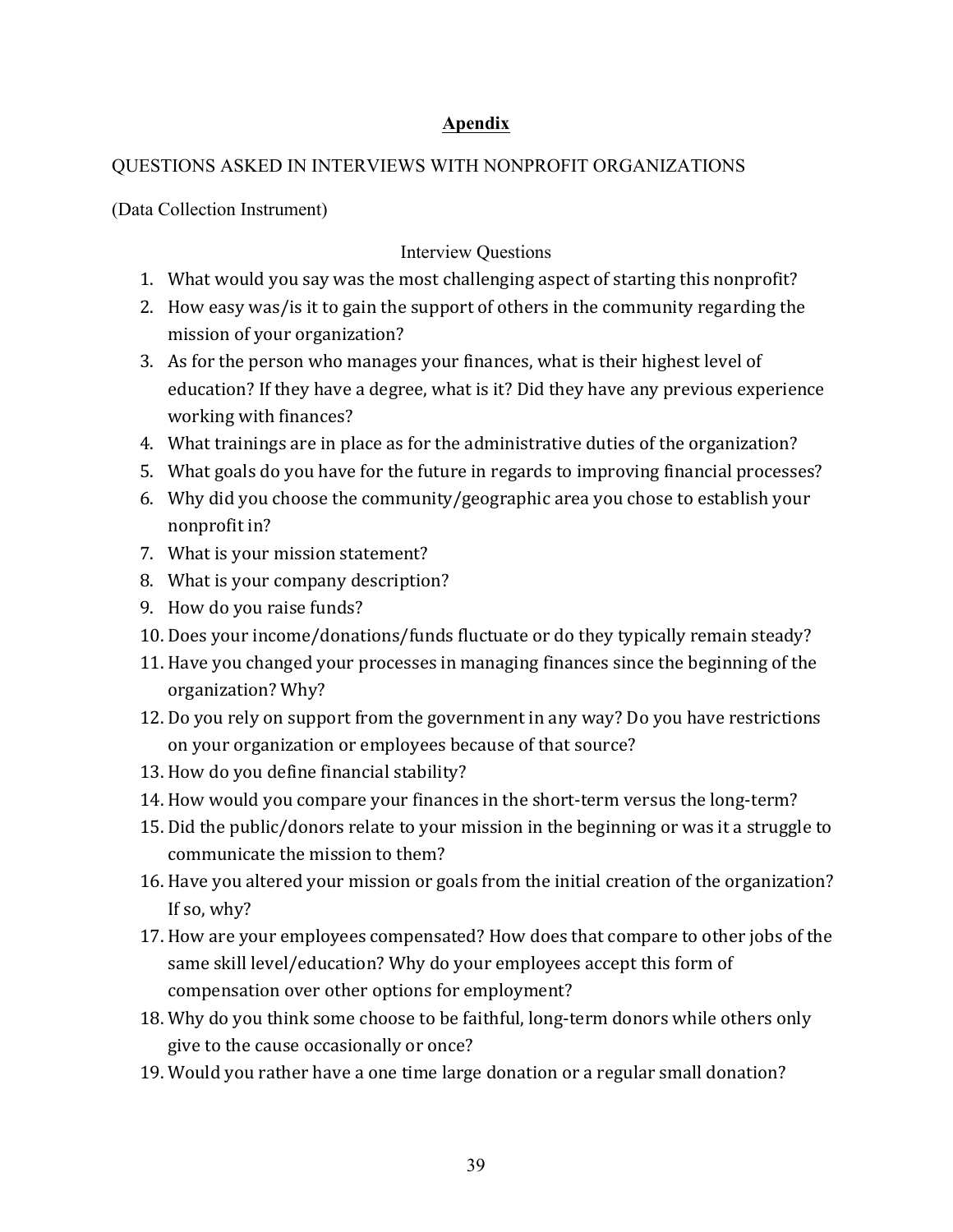## **Apendix**

## QUESTIONS ASKED IN INTERVIEWS WITH NONPROFIT ORGANIZATIONS

(Data Collection Instrument)

## Interview Questions

- 1. What would you say was the most challenging aspect of starting this nonprofit?
- 2. How easy was/ is it to gain the support of others in the community regarding the mission of your organization?
- 3. As for the person who manages your finances, what is their highest level of education? If they have a degree, what is it? Did they have any previous experience working with finances?
- 4. What trainings are in place as for the administrative duties of the organization?
- 5. What goals do you have for the future in regards to improving financial processes?
- 6. Why did you choose the community/geographic area you chose to establish your nonprofit in?
- 7. What is your mission statement?
- 8. What is your company description?
- 9. How do you raise funds?
- 10. Does your income/donations/funds fluctuate or do they typically remain steady?
- 11. Have you changed your processes in managing finances since the beginning of the organization? Why?
- 12. Do you rely on support from the government in any way? Do you have restrictions on your organization or employees because of that source?
- 13. How do you define financial stability?
- 14. How would you compare your finances in the short-term versus the long-term?
- 15. Did the public/donors relate to your mission in the beginning or was it a struggle to communicate the mission to them?
- 16. Have you altered your mission or goals from the initial creation of the organization? If so, why?
- 17. How are your employees compensated? How does that compare to other jobs of the same skill level/education? Why do your employees accept this form of compensation over other options for employment?
- 18. Why do you think some choose to be faithful, long-term donors while others only give to the cause occasionally or once?
- 19. Would you rather have a one time large donation or a regular small donation?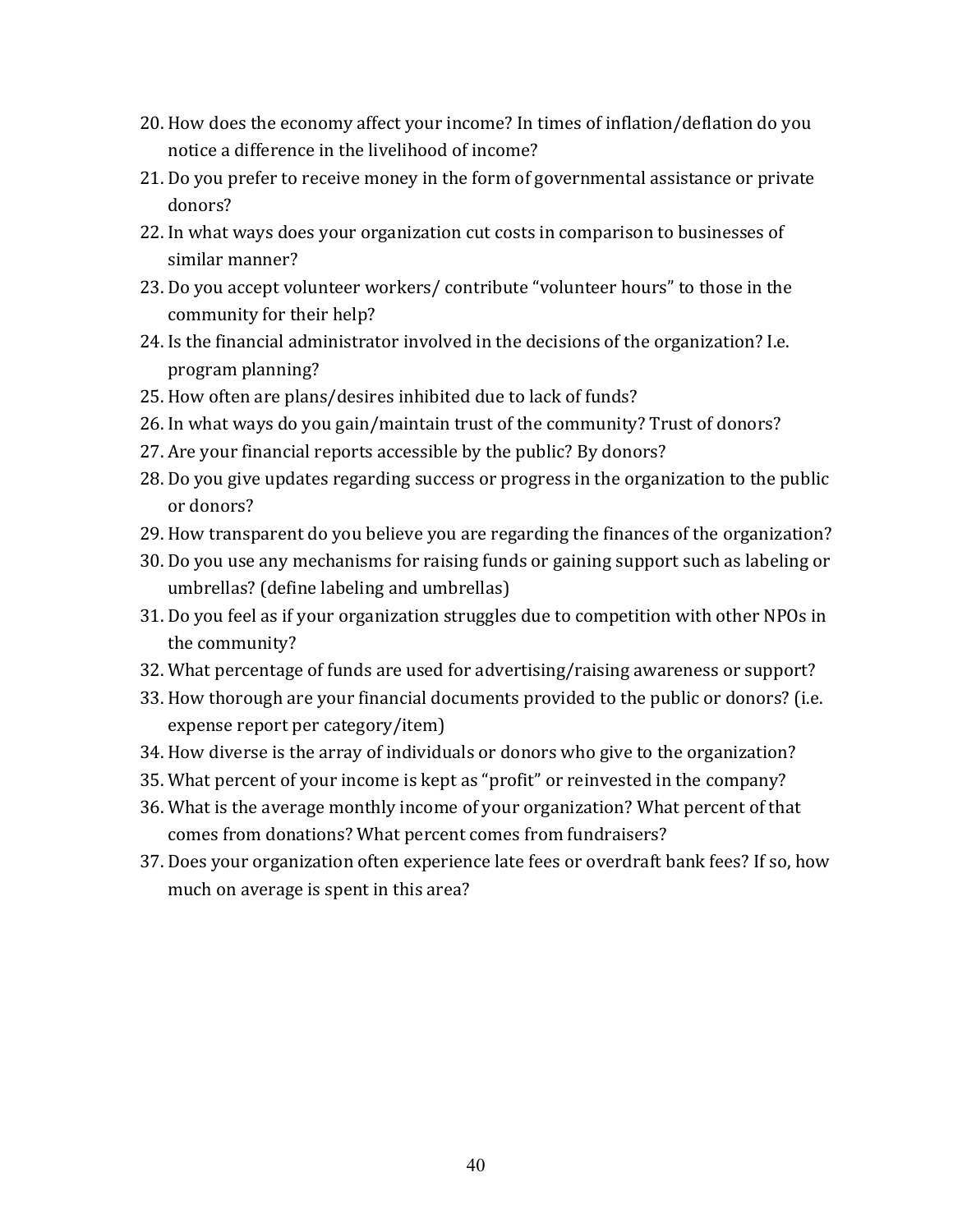- 20. How does the economy affect your income? In times of inflation/deflation do you notice a difference in the livelihood of income?
- 21. Do you prefer to receive money in the form of governmental assistance or private donors?
- 22. In what ways does your organization cut costs in comparison to businesses of similar manner?
- 23. Do you accept volunteer workers/ contribute "volunteer hours" to those in the community for their help?
- 24. Is the financial administrator involved in the decisions of the organization? I.e. program planning?
- 25. How often are plans/desires inhibited due to lack of funds?
- 26. In what ways do you gain/maintain trust of the community? Trust of donors?
- 27. Are your financial reports accessible by the public? By donors?
- 28. Do you give updates regarding success or progress in the organization to the public or donors?
- 29. How transparent do you believe you are regarding the finances of the organization?
- 30. Do you use any mechanisms for raising funds or gaining support such as labeling or umbrellas? (define labeling and umbrellas)
- 31. Do you feel as if your organization struggles due to competition with other NPOs in the community?
- 32. What percentage of funds are used for advertising/raising awareness or support?
- 33. How thorough are your financial documents provided to the public or donors? (i.e. expense report per category/item)
- 34. How diverse is the array of individuals or donors who give to the organization?
- 35. What percent of your income is kept as "profit" or reinvested in the company?
- 36. What is the average monthly income of your organization? What percent of that comes from donations? What percent comes from fundraisers?
- 37. Does your organization often experience late fees or overdraft bank fees? If so, how much on average is spent in this area?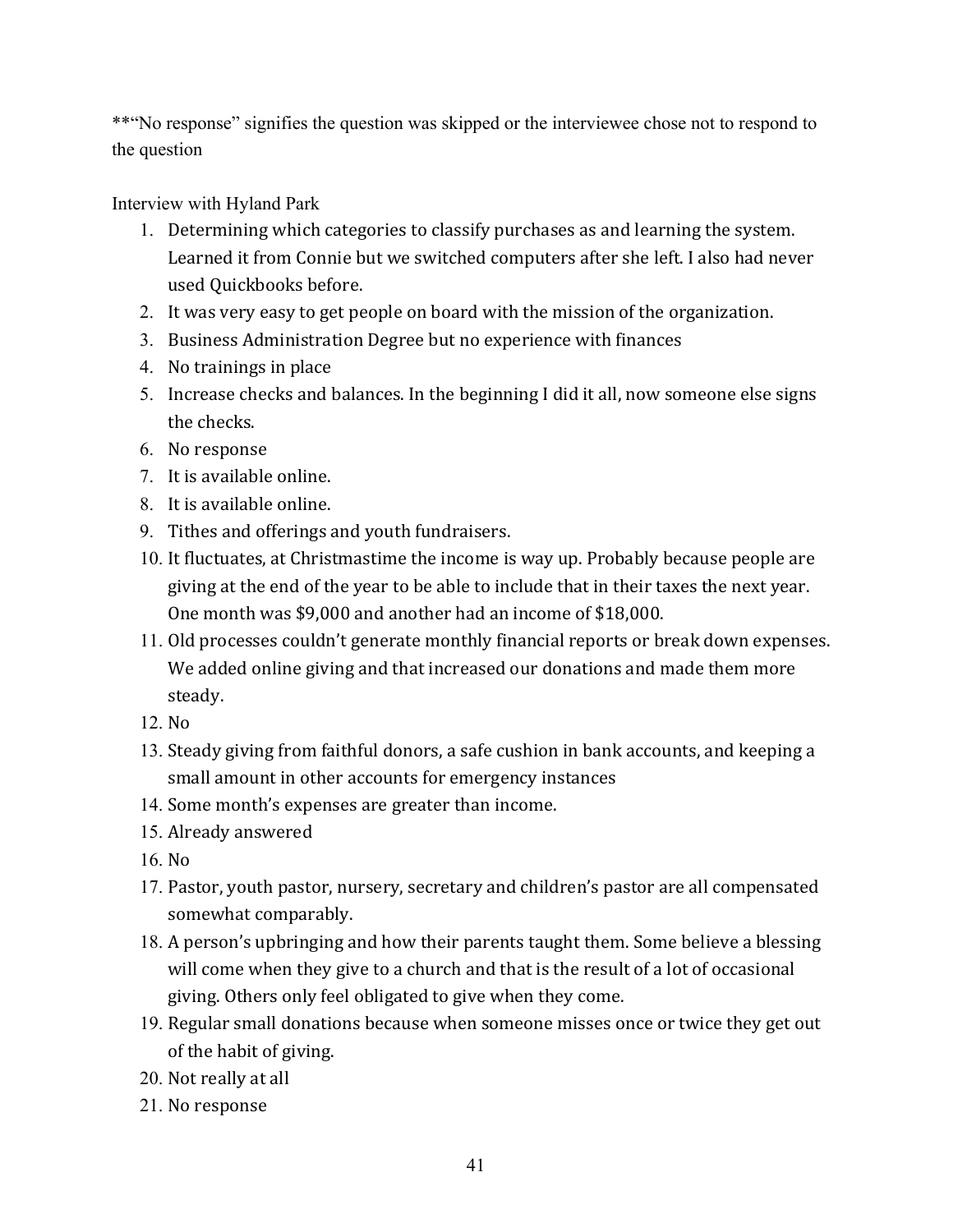\*\*"No response" signifies the question was skipped or the interviewee chose not to respond to the question

Interview with Hyland Park

- 1. Determining which categories to classify purchases as and learning the system. Learned it from Connie but we switched computers after she left. I also had never used Quickbooks before.
- 2. It was very easy to get people on board with the mission of the organization.
- 3. Business Administration Degree but no experience with finances
- 4. No trainings in place
- 5. Increase checks and balances. In the beginning I did it all, now someone else signs the checks.
- 6. No response
- 7. It is available online.
- 8. It is available online.
- 9. Tithes and offerings and youth fundraisers.
- 10. It fluctuates, at Christmastime the income is way up. Probably because people are giving at the end of the year to be able to include that in their taxes the next year. One month was \$9,000 and another had an income of \$18,000.
- 11. Old processes couldn't generate monthly financial reports or break down expenses. We added online giving and that increased our donations and made them more steady.
- 12. No
- 13. Steady giving from faithful donors, a safe cushion in bank accounts, and keeping a small amount in other accounts for emergency instances
- 14. Some month's expenses are greater than income.
- 15. Already answered
- 16. No
- 17. Pastor, youth pastor, nursery, secretary and children's pastor are all compensated somewhat comparably.
- 18. A person's upbringing and how their parents taught them. Some believe a blessing will come when they give to a church and that is the result of a lot of occasional giving. Others only feel obligated to give when they come.
- 19. Regular small donations because when someone misses once or twice they get out of the habit of giving.
- 20. Not really at all
- 21. No response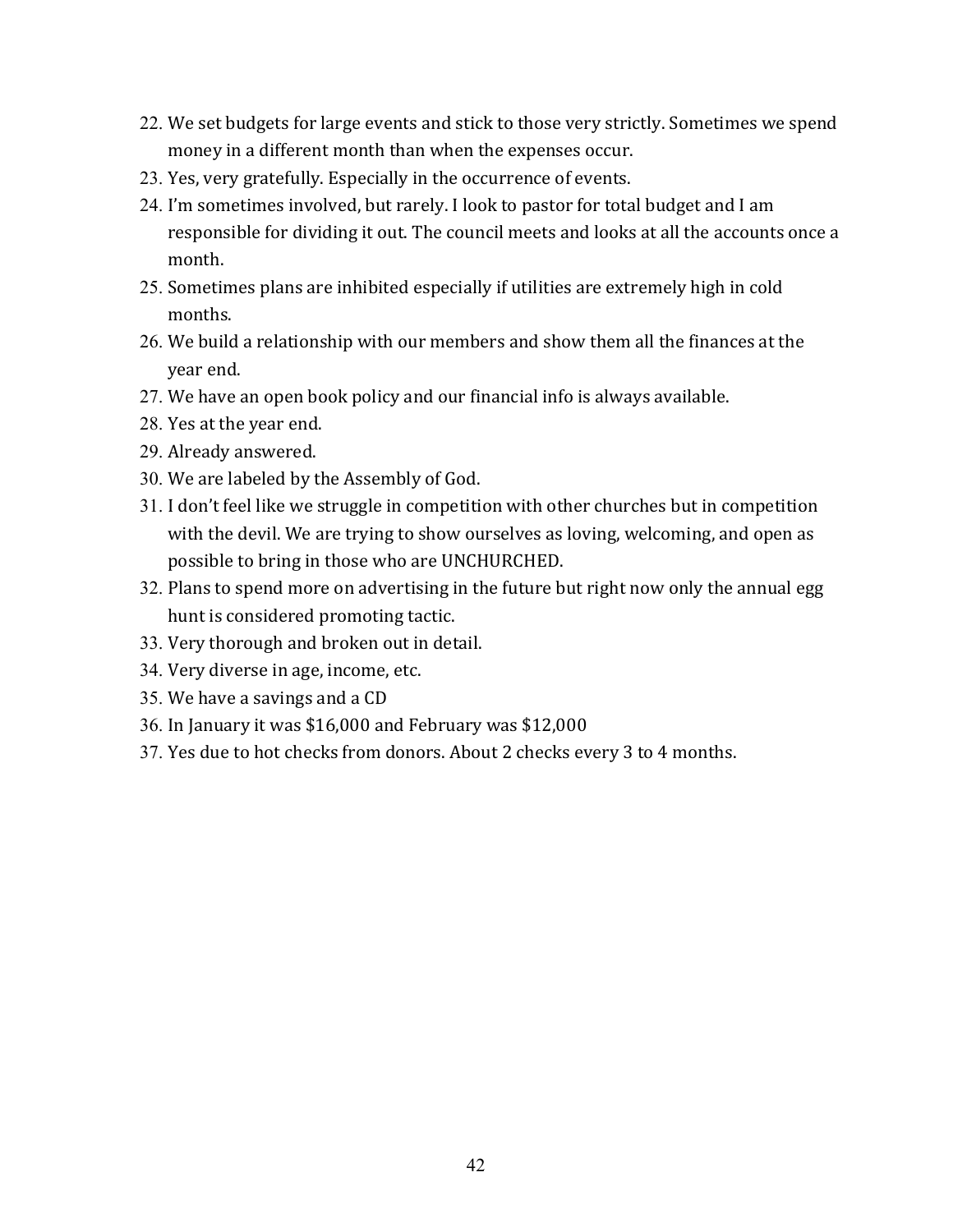- 22. We set budgets for large events and stick to those very strictly. Sometimes we spend money in a different month than when the expenses occur.
- 23. Yes, very gratefully. Especially in the occurrence of events.
- 24. I'm sometimes involved, but rarely. I look to pastor for total budget and I am responsible for dividing it out. The council meets and looks at all the accounts once a month.
- 25. Sometimes plans are inhibited especially if utilities are extremely high in cold months.
- 26. We build a relationship with our members and show them all the finances at the year end.
- 27. We have an open book policy and our financial info is always available.
- 28. Yes at the year end.
- 29. Already answered.
- 30. We are labeled by the Assembly of God.
- 31. I don't feel like we struggle in competition with other churches but in competition with the devil. We are trying to show ourselves as loving, welcoming, and open as possible to bring in those who are UNCHURCHED.
- 32. Plans to spend more on advertising in the future but right now only the annual egg hunt is considered promoting tactic.
- 33. Very thorough and broken out in detail.
- 34. Very diverse in age, income, etc.
- 35. We have a savings and a CD
- 36. In January it was \$16,000 and February was \$12,000
- 37. Yes due to hot checks from donors. About 2 checks every 3 to 4 months.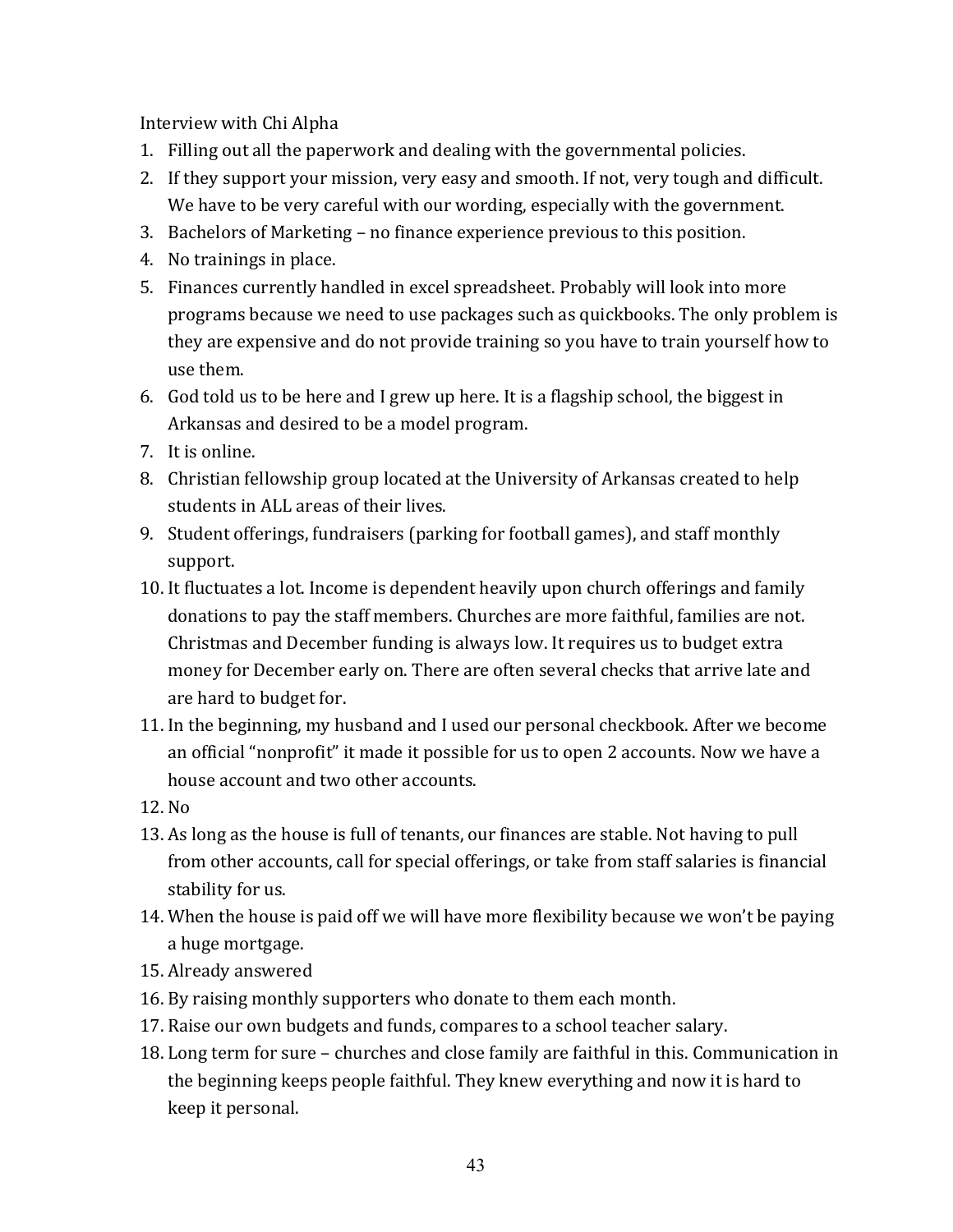Interview with Chi Alpha

- 1. Filling out all the paperwork and dealing with the governmental policies.
- 2. If they support your mission, very easy and smooth. If not, very tough and difficult. We have to be very careful with our wording, especially with the government.
- 3. Bachelors of Marketing no finance experience previous to this position.
- 4. No trainings in place.
- 5. Finances currently handled in excel spreadsheet. Probably will look into more programs because we need to use packages such as quickbooks. The only problem is they are expensive and do not provide training so you have to train yourself how to use them.
- 6. God told us to be here and I grew up here. It is a flagship school, the biggest in Arkansas and desired to be a model program.
- 7. It is online.
- 8. Christian fellowship group located at the University of Arkansas created to help students in ALL areas of their lives.
- 9. Student offerings, fundraisers (parking for football games), and staff monthly support.
- 10. It fluctuates a lot. Income is dependent heavily upon church offerings and family donations to pay the staff members. Churches are more faithful, families are not. Christmas and December funding is always low. It requires us to budget extra money for December early on. There are often several checks that arrive late and are hard to budget for.
- 11. In the beginning, my husband and I used our personal checkbook. After we become an official "nonprofit" it made it possible for us to open 2 accounts. Now we have a house account and two other accounts.
- 12. No
- 13. As long as the house is full of tenants, our finances are stable. Not having to pull from other accounts, call for special offerings, or take from staff salaries is financial stability for us.
- 14. When the house is paid off we will have more flexibility because we won't be paying a huge mortgage.
- 15. Already answered
- 16. By raising monthly supporters who donate to them each month.
- 17. Raise our own budgets and funds, compares to a school teacher salary.
- 18. Long term for sure churches and close family are faithful in this. Communication in the beginning keeps people faithful. They knew everything and now it is hard to keep it personal.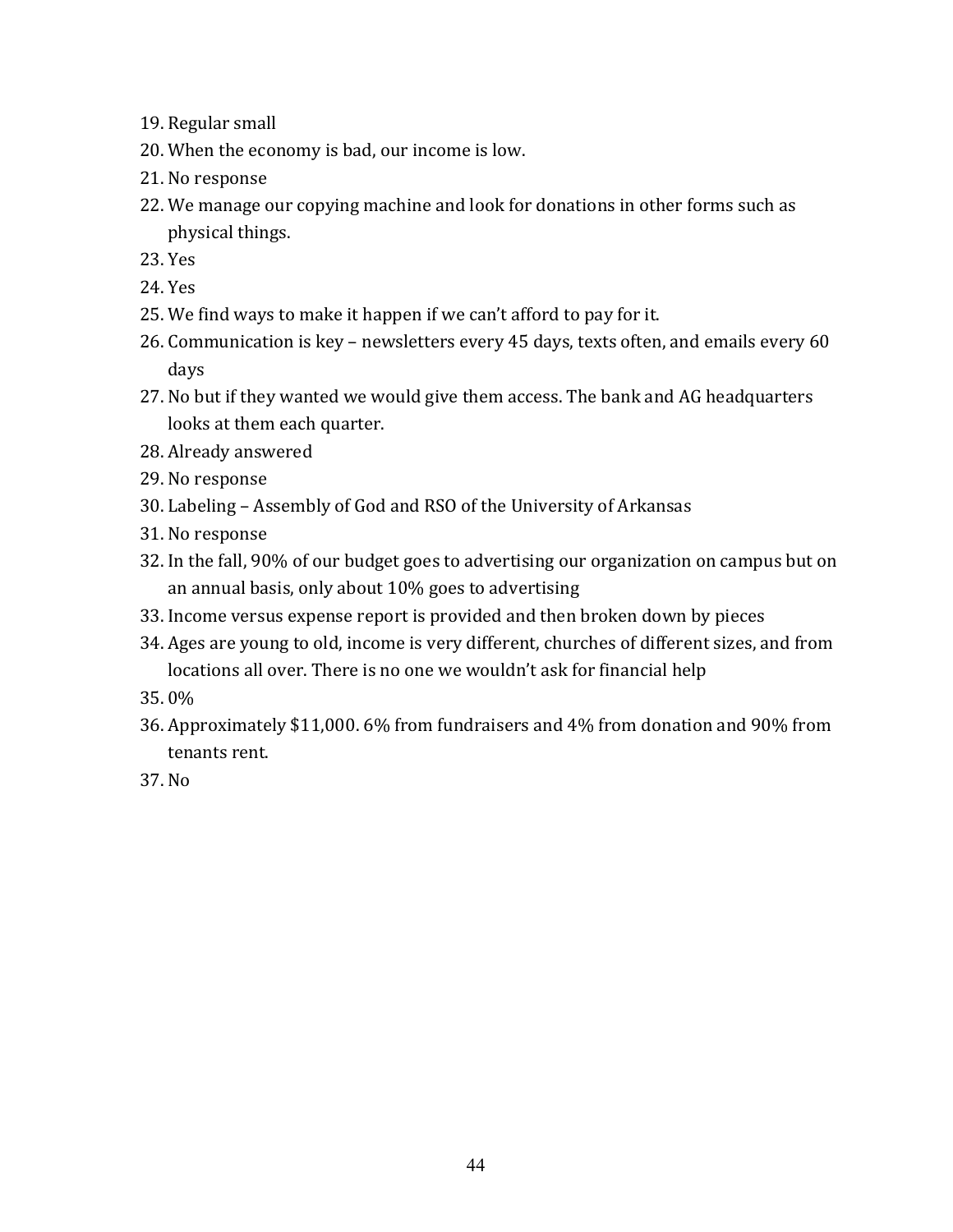- 19. Regular small
- 20. When the economy is bad, our income is low.
- 21. No response
- 22. We manage our copying machine and look for donations in other forms such as physical things.
- 23. Yes
- 24. Yes
- 25. We find ways to make it happen if we can't afford to pay for it.
- 26. Communication is key newsletters every 45 days, texts often, and emails every 60 days
- 27. No but if they wanted we would give them access. The bank and AG headquarters looks at them each quarter.
- 28. Already answered
- 29. No response
- 30. Labeling Assembly of God and RSO of the University of Arkansas
- 31. No response
- 32. In the fall, 90% of our budget goes to advertising our organization on campus but on an annual basis, only about 10% goes to advertising
- 33. Income versus expense report is provided and then broken down by pieces
- 34. Ages are voung to old, income is very different, churches of different sizes, and from locations all over. There is no one we wouldn't ask for financial help
- 35. 0%
- 36. Approximately \$11,000. 6% from fundraisers and 4% from donation and 90% from tenants rent.
- 37. No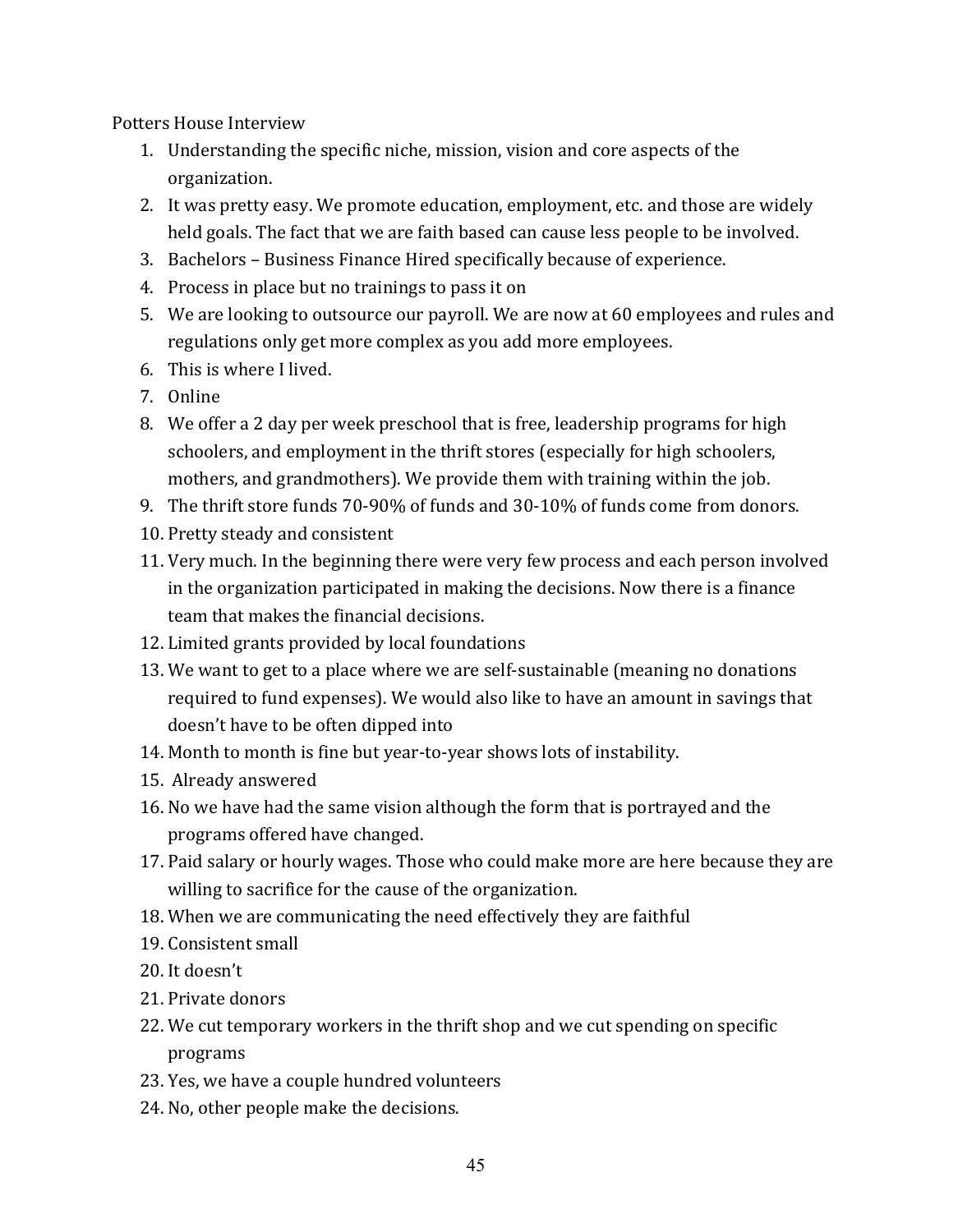Potters House Interview

- 1. Understanding the specific niche, mission, vision and core aspects of the organization.
- 2. It was pretty easy. We promote education, employment, etc. and those are widely held goals. The fact that we are faith based can cause less people to be involved.
- 3. Bachelors Business Finance Hired specifically because of experience.
- 4. Process in place but no trainings to pass it on
- 5. We are looking to outsource our payroll. We are now at 60 employees and rules and regulations only get more complex as you add more employees.
- 6. This is where I lived.
- 7. Online
- 8. We offer a 2 day per week preschool that is free, leadership programs for high schoolers, and employment in the thrift stores (especially for high schoolers, mothers, and grandmothers). We provide them with training within the job.
- 9. The thrift store funds  $70-90\%$  of funds and  $30-10\%$  of funds come from donors.
- 10. Pretty steady and consistent
- 11. Very much. In the beginning there were very few process and each person involved in the organization participated in making the decisions. Now there is a finance team that makes the financial decisions.
- 12. Limited grants provided by local foundations
- 13. We want to get to a place where we are self-sustainable (meaning no donations required to fund expenses). We would also like to have an amount in savings that doesn't have to be often dipped into
- 14. Month to month is fine but year-to-year shows lots of instability.
- 15. Already answered
- 16. No we have had the same vision although the form that is portrayed and the programs offered have changed.
- 17. Paid salary or hourly wages. Those who could make more are here because they are willing to sacrifice for the cause of the organization.
- 18. When we are communicating the need effectively they are faithful
- 19. Consistent small
- 20. It doesn't
- 21. Private donors
- 22. We cut temporary workers in the thrift shop and we cut spending on specific programs
- 23. Yes, we have a couple hundred volunteers
- 24. No, other people make the decisions.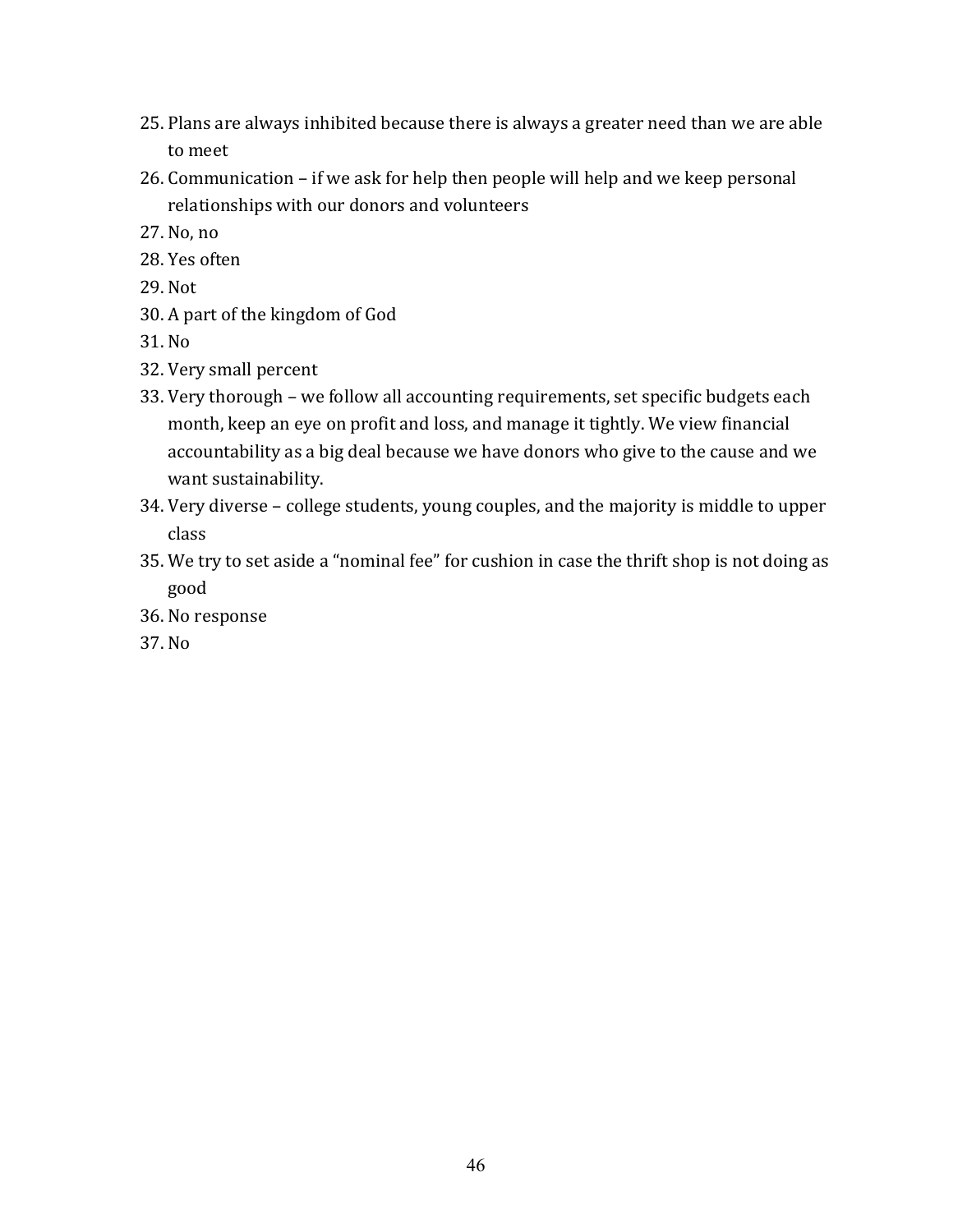- 25. Plans are always inhibited because there is always a greater need than we are able to meet
- $26.$  Communication if we ask for help then people will help and we keep personal relationships with our donors and volunteers
- 27. No, no
- 28. Yes often
- 29. Not
- 30. A part of the kingdom of God
- 31. No
- 32. Very small percent
- 33. Very thorough we follow all accounting requirements, set specific budgets each month, keep an eye on profit and loss, and manage it tightly. We view financial accountability as a big deal because we have donors who give to the cause and we want sustainability.
- 34. Very diverse college students, young couples, and the majority is middle to upper class
- 35. We try to set aside a "nominal fee" for cushion in case the thrift shop is not doing as good
- 36. No response
- 37. No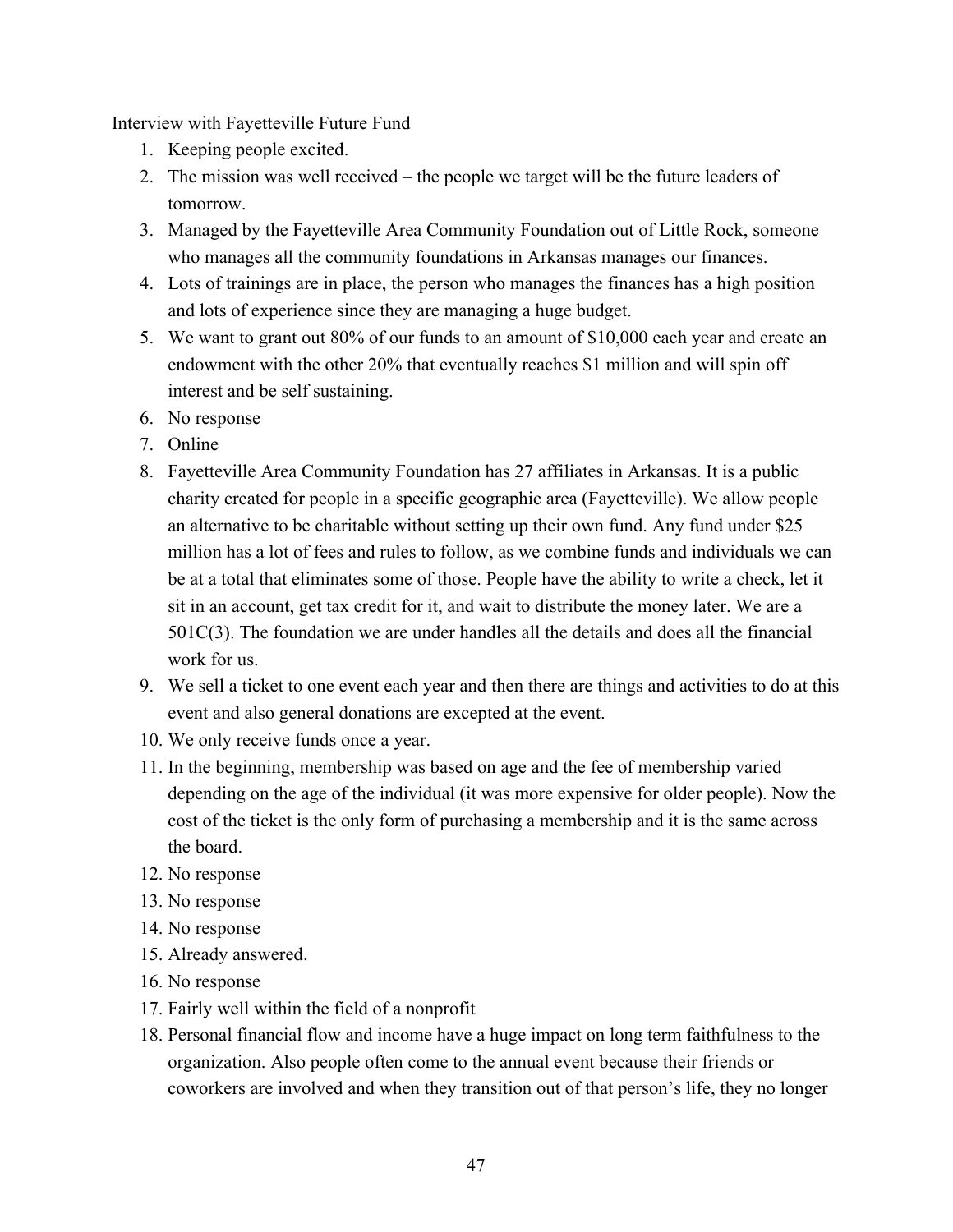Interview with Fayetteville Future Fund

- 1. Keeping people excited.
- 2. The mission was well received the people we target will be the future leaders of tomorrow.
- 3. Managed by the Fayetteville Area Community Foundation out of Little Rock, someone who manages all the community foundations in Arkansas manages our finances.
- 4. Lots of trainings are in place, the person who manages the finances has a high position and lots of experience since they are managing a huge budget.
- 5. We want to grant out 80% of our funds to an amount of \$10,000 each year and create an endowment with the other 20% that eventually reaches \$1 million and will spin off interest and be self sustaining.
- 6. No response
- 7. Online
- 8. Fayetteville Area Community Foundation has 27 affiliates in Arkansas. It is a public charity created for people in a specific geographic area (Fayetteville). We allow people an alternative to be charitable without setting up their own fund. Any fund under \$25 million has a lot of fees and rules to follow, as we combine funds and individuals we can be at a total that eliminates some of those. People have the ability to write a check, let it sit in an account, get tax credit for it, and wait to distribute the money later. We are a 501C(3). The foundation we are under handles all the details and does all the financial work for us.
- 9. We sell a ticket to one event each year and then there are things and activities to do at this event and also general donations are excepted at the event.
- 10. We only receive funds once a year.
- 11. In the beginning, membership was based on age and the fee of membership varied depending on the age of the individual (it was more expensive for older people). Now the cost of the ticket is the only form of purchasing a membership and it is the same across the board.
- 12. No response
- 13. No response
- 14. No response
- 15. Already answered.
- 16. No response
- 17. Fairly well within the field of a nonprofit
- 18. Personal financial flow and income have a huge impact on long term faithfulness to the organization. Also people often come to the annual event because their friends or coworkers are involved and when they transition out of that person's life, they no longer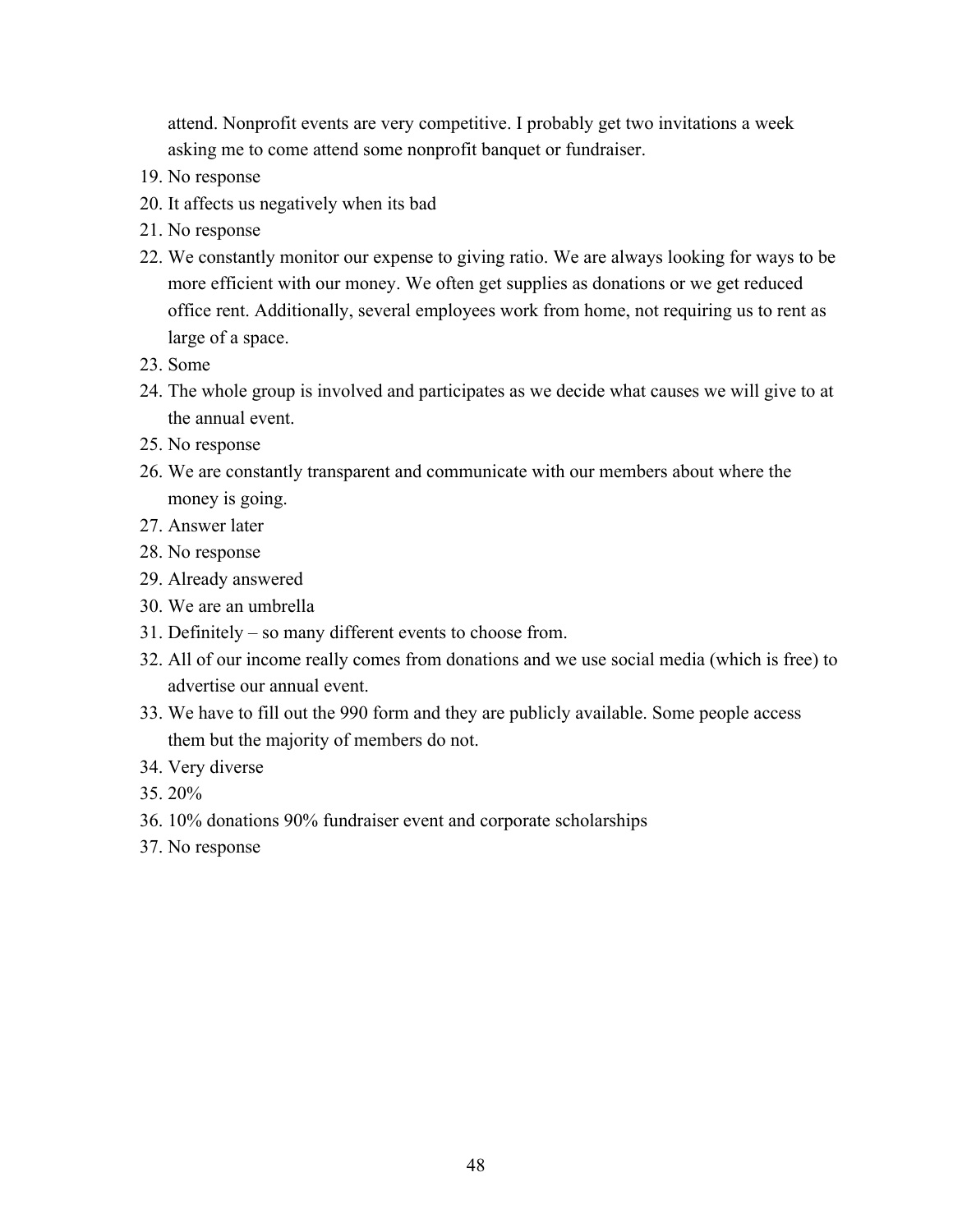attend. Nonprofit events are very competitive. I probably get two invitations a week asking me to come attend some nonprofit banquet or fundraiser.

- 19. No response
- 20. It affects us negatively when its bad
- 21. No response
- 22. We constantly monitor our expense to giving ratio. We are always looking for ways to be more efficient with our money. We often get supplies as donations or we get reduced office rent. Additionally, several employees work from home, not requiring us to rent as large of a space.
- 23. Some
- 24. The whole group is involved and participates as we decide what causes we will give to at the annual event.
- 25. No response
- 26. We are constantly transparent and communicate with our members about where the money is going.
- 27. Answer later
- 28. No response
- 29. Already answered
- 30. We are an umbrella
- 31. Definitely so many different events to choose from.
- 32. All of our income really comes from donations and we use social media (which is free) to advertise our annual event.
- 33. We have to fill out the 990 form and they are publicly available. Some people access them but the majority of members do not.
- 34. Very diverse
- 35. 20%
- 36. 10% donations 90% fundraiser event and corporate scholarships
- 37. No response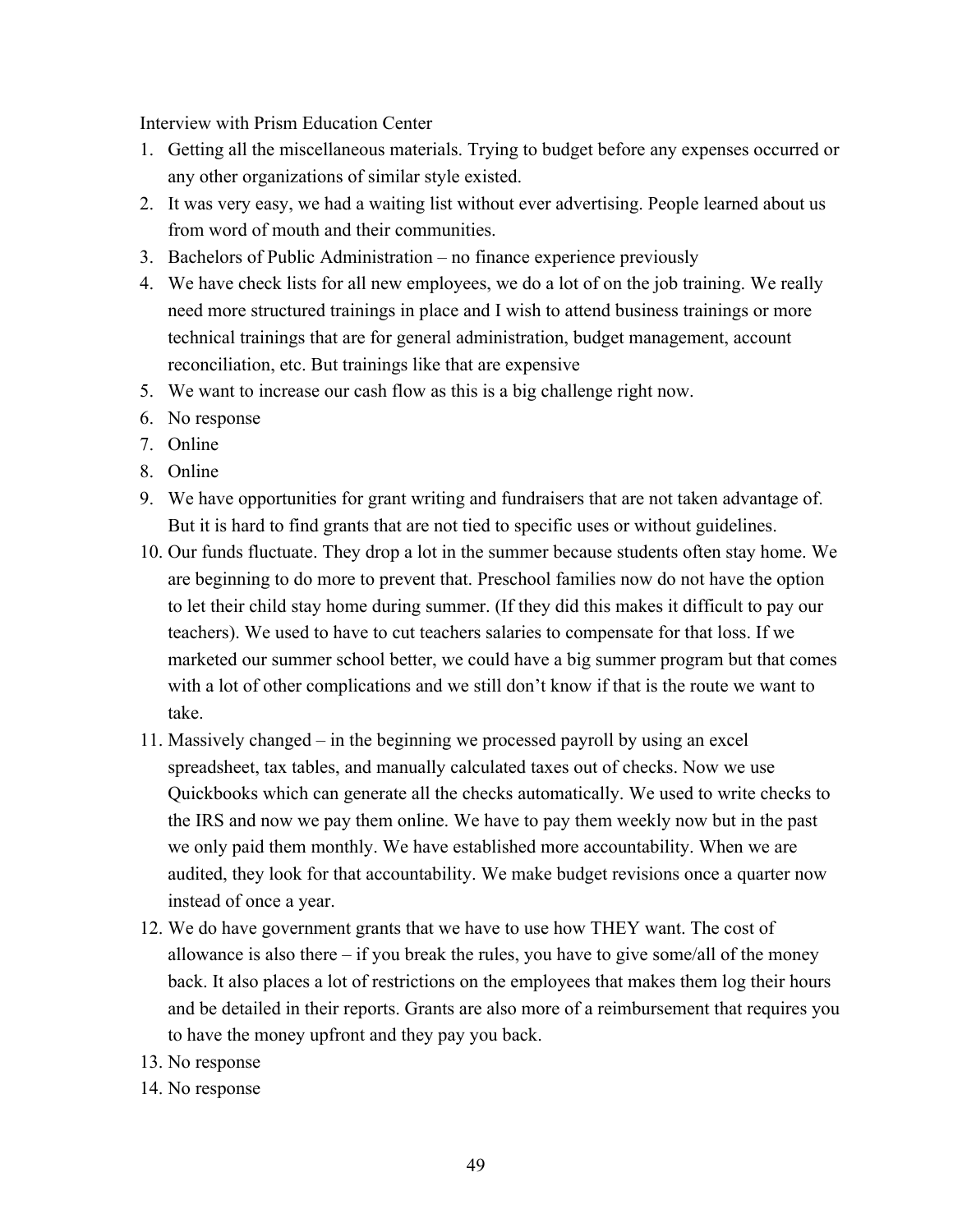Interview with Prism Education Center

- 1. Getting all the miscellaneous materials. Trying to budget before any expenses occurred or any other organizations of similar style existed.
- 2. It was very easy, we had a waiting list without ever advertising. People learned about us from word of mouth and their communities.
- 3. Bachelors of Public Administration no finance experience previously
- 4. We have check lists for all new employees, we do a lot of on the job training. We really need more structured trainings in place and I wish to attend business trainings or more technical trainings that are for general administration, budget management, account reconciliation, etc. But trainings like that are expensive
- 5. We want to increase our cash flow as this is a big challenge right now.
- 6. No response
- 7. Online
- 8. Online
- 9. We have opportunities for grant writing and fundraisers that are not taken advantage of. But it is hard to find grants that are not tied to specific uses or without guidelines.
- 10. Our funds fluctuate. They drop a lot in the summer because students often stay home. We are beginning to do more to prevent that. Preschool families now do not have the option to let their child stay home during summer. (If they did this makes it difficult to pay our teachers). We used to have to cut teachers salaries to compensate for that loss. If we marketed our summer school better, we could have a big summer program but that comes with a lot of other complications and we still don't know if that is the route we want to take.
- 11. Massively changed in the beginning we processed payroll by using an excel spreadsheet, tax tables, and manually calculated taxes out of checks. Now we use Quickbooks which can generate all the checks automatically. We used to write checks to the IRS and now we pay them online. We have to pay them weekly now but in the past we only paid them monthly. We have established more accountability. When we are audited, they look for that accountability. We make budget revisions once a quarter now instead of once a year.
- 12. We do have government grants that we have to use how THEY want. The cost of allowance is also there  $-$  if you break the rules, you have to give some/all of the money back. It also places a lot of restrictions on the employees that makes them log their hours and be detailed in their reports. Grants are also more of a reimbursement that requires you to have the money upfront and they pay you back.
- 13. No response
- 14. No response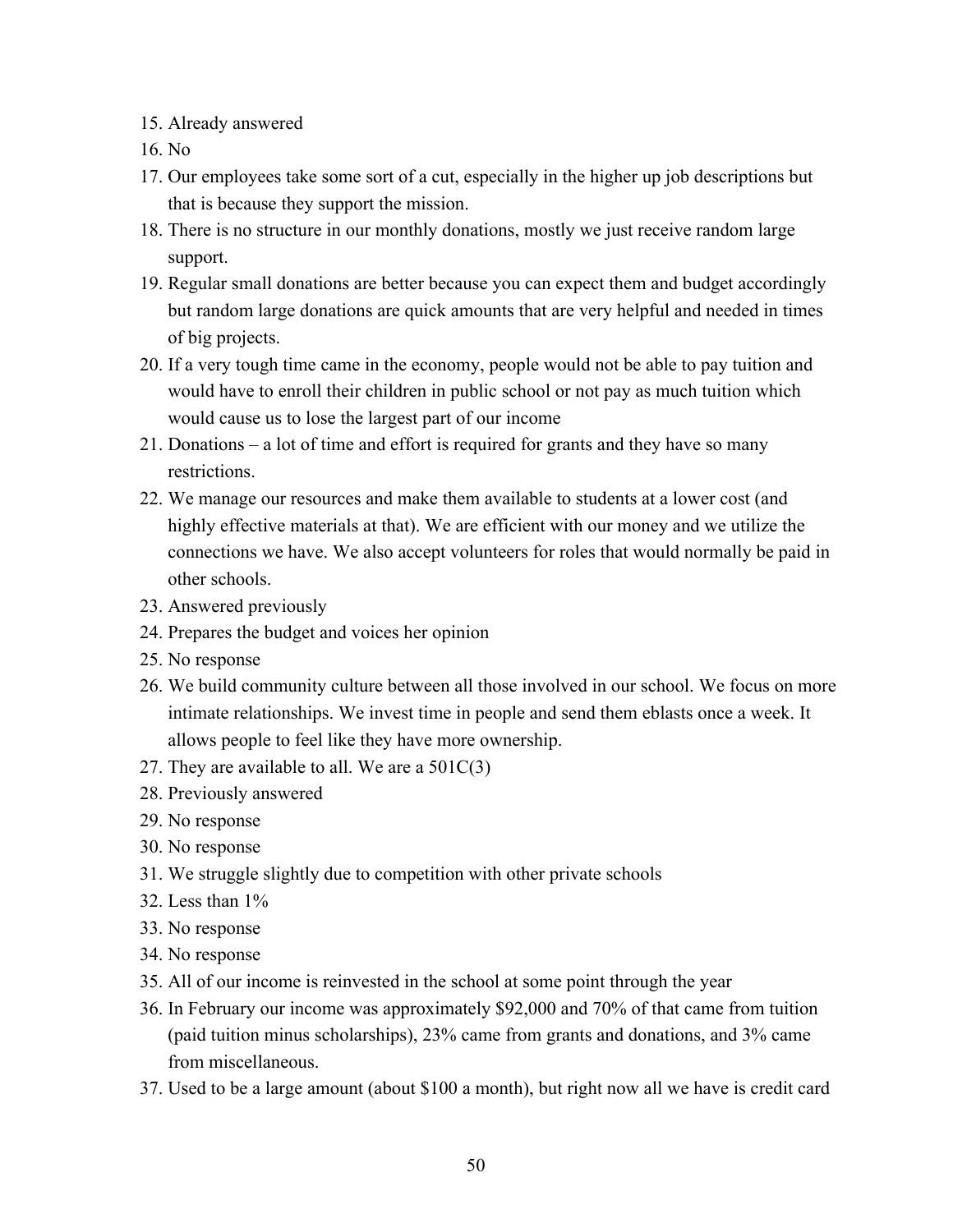- 15. Already answered
- 16. No
- 17. Our employees take some sort of a cut, especially in the higher up job descriptions but that is because they support the mission.
- 18. There is no structure in our monthly donations, mostly we just receive random large support.
- 19. Regular small donations are better because you can expect them and budget accordingly but random large donations are quick amounts that are very helpful and needed in times of big projects.
- 20. If a very tough time came in the economy, people would not be able to pay tuition and would have to enroll their children in public school or not pay as much tuition which would cause us to lose the largest part of our income
- 21. Donations a lot of time and effort is required for grants and they have so many restrictions.
- 22. We manage our resources and make them available to students at a lower cost (and highly effective materials at that). We are efficient with our money and we utilize the connections we have. We also accept volunteers for roles that would normally be paid in other schools.
- 23. Answered previously
- 24. Prepares the budget and voices her opinion
- 25. No response
- 26. We build community culture between all those involved in our school. We focus on more intimate relationships. We invest time in people and send them eblasts once a week. It allows people to feel like they have more ownership.
- 27. They are available to all. We are a  $501C(3)$
- 28. Previously answered
- 29. No response
- 30. No response
- 31. We struggle slightly due to competition with other private schools
- 32. Less than 1%
- 33. No response
- 34. No response
- 35. All of our income is reinvested in the school at some point through the year
- 36. In February our income was approximately \$92,000 and 70% of that came from tuition (paid tuition minus scholarships), 23% came from grants and donations, and 3% came from miscellaneous.
- 37. Used to be a large amount (about \$100 a month), but right now all we have is credit card